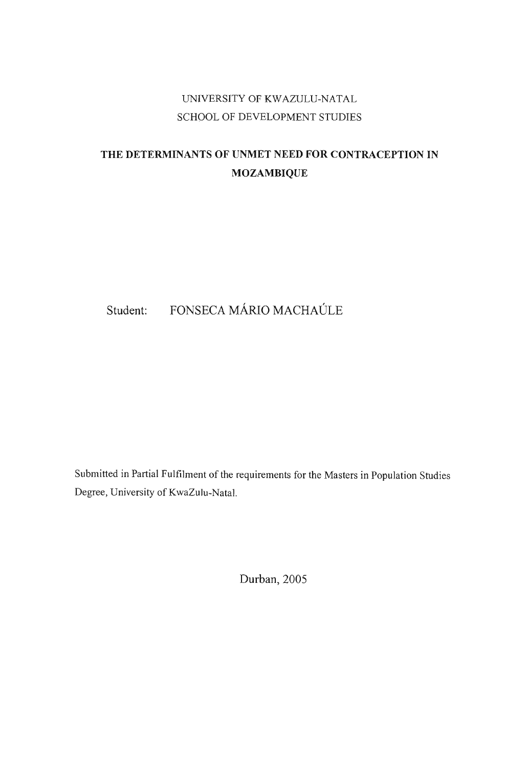## UNIVERSITY OF KWAZULU-NATAL SCHOOL OF DEVELOPMENT STUDIES

# **THE DETERMINANTS OF UNMET NEED FOR CONTRACEPTION IN MOZAMBIQUE**

# Student: FONSECA MÁRIO MACHAÚLE

Submitted in Partial Fulfilment of the requirements for the Masters in Population Studies Degree, University of KwaZulu-Natal.

Durban, 2005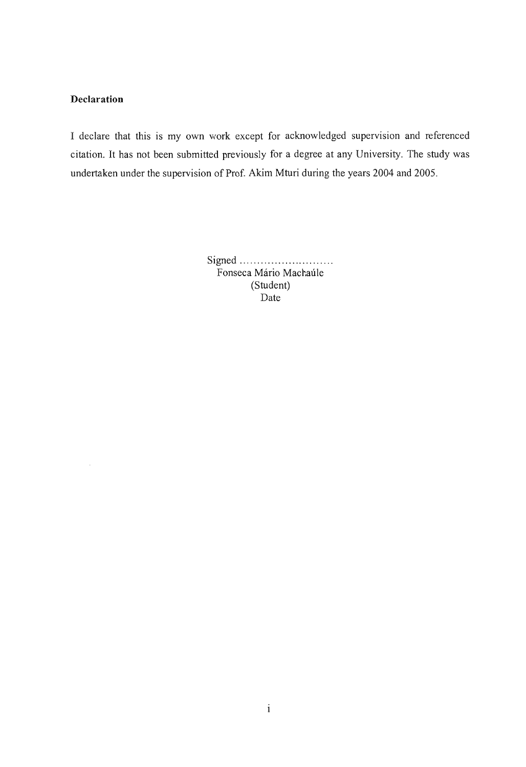## **Declaration**

I declare that this is my own work except for acknowledged supervision and referenced citation. It has not been submitted previously for a degree at any University. The study was undertaken under the supervision of Prof. Akim Mturi during the years 2004 and 2005.

> Signed ..... .. ................ ... . Fonseca Mário Machaúle (Student) Date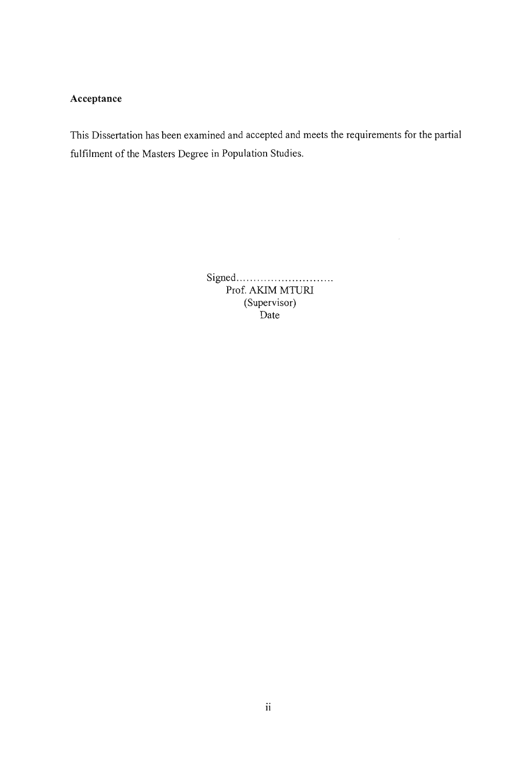## **Acceptance**

This Dissertation has been examined and accepted and meets the requirements for the partial fulfilment of the Masters Degree in Population Studies.

> Signed ..... ........ .. ............ . Prof. AKIM MTURI (Supervisor) .<br>Date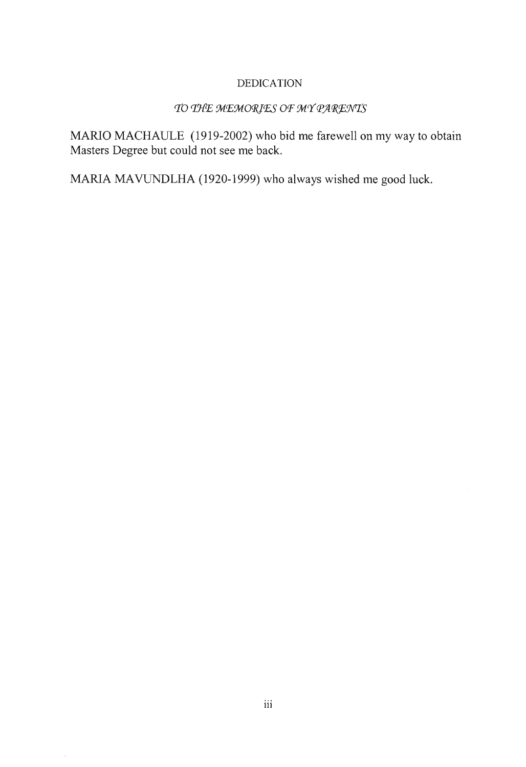## DEDICATION

## TO THE MEMORIES OF MY PARENTS

MARIO MACHAULE (1919-2002) who bid me farewell on my way to obtain Masters Degree but could not see me back.

MARIA MAVUNDLHA (1920-1999) who always wished me good luck.

 $\bar{z}$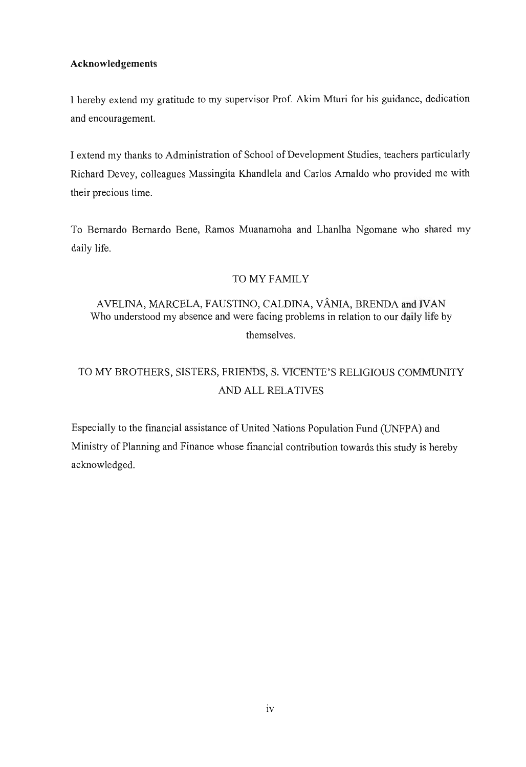## **Acknowledgements**

I hereby extend my gratitude to my supervisor Prof. Akim Mturi for his guidance, dedication and encouragement.

I extend my thanks to Administration of School of Development Studies, teachers particularly Richard Devey, colleagues Massingita Khandlela and Carlos Arnaldo who provided me with their precious time.

To Bernardo Bernardo Bene, Ramos Muanamoha and Lhanlha Ngomane who shared my daily life.

## TO MY FAMILY

## A VELINA, MARCELA, FAUSTINO, CALDINA, VANIA, BRENDA and IVAN Who understood my absence and were facing problems in relation to our daily life by themselves.

# TO MY BROTHERS, SISTERS, FRIENDS, S. VICENTE'S RELIGIOUS COMMUNITY AND ALL RELATIVES

Especially to the financial assistance of United Nations Population Fund (UNFP A) and Ministry of Planning and Finance whose financial contribution towards this study is hereby acknowledged.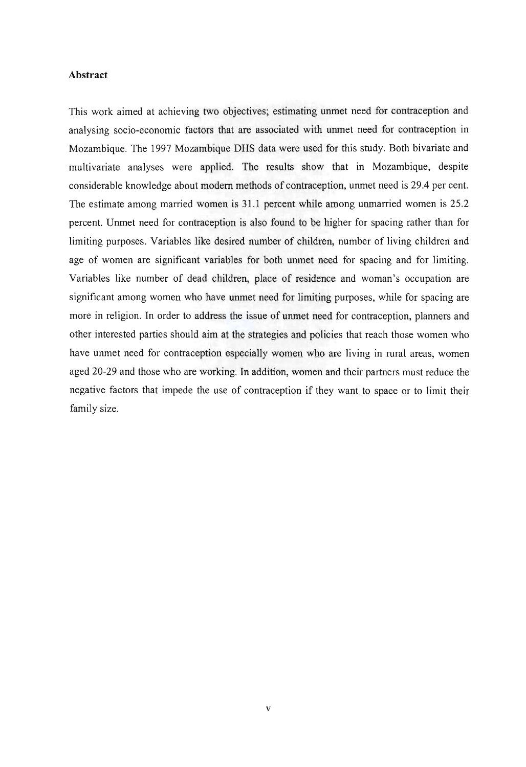#### **Abstract**

This work aimed at achieving two objectives; estimating unmet need for contraception and analysing socio-economic factors that are associated with unmet need for contraception in Mozambique. The 1997 Mozambique DHS data were used for this study. Both bivariate and multivariate analyses were applied. The results show that in Mozambique, despite considerable knowledge about modern methods of contraception, unmet need is 29.4 per cent. The estimate among married women is 31.1 percent while among unmarried women is 25.2 percent. Unmet need for contraception is also found to be higher for spacing rather than for limiting purposes. Variables like desired number of children, number of living children and age of women are significant variables for both unmet need for spacing and for limiting. Variables like number of dead children, place of residence and woman's occupation are significant among women who have unmet need for limiting purposes, while for spacing are more in religion. In order to address the issue of unmet need for contraception, planners and other interested parties should aim at the strategies and policies that reach those women who have unmet need for contraception especially women who are living in rural areas, women aged 20-29 and those who are working. In addition, women and their partners must reduce the negative factors that impede the use of contraception if they want to space or to limit their family size.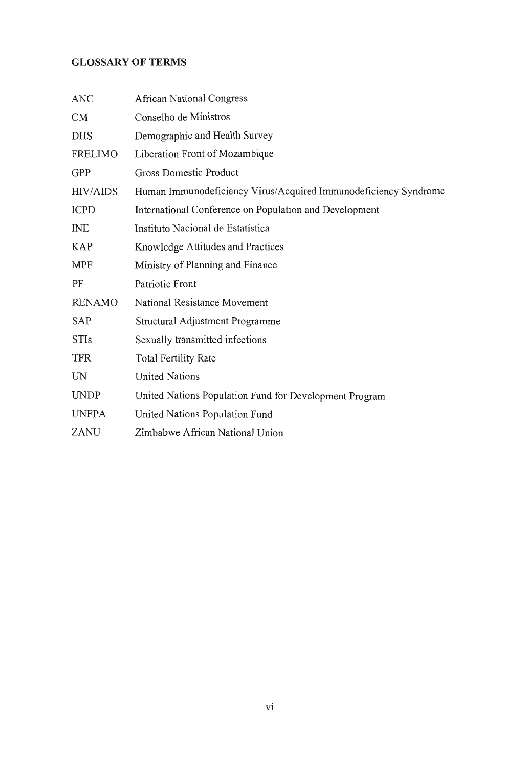## **GLOSSARY OF TERMS**

| <b>ANC</b>      | <b>African National Congress</b>                                |
|-----------------|-----------------------------------------------------------------|
| CM              | Conselho de Ministros                                           |
| <b>DHS</b>      | Demographic and Health Survey                                   |
| FRELIMO         | Liberation Front of Mozambique                                  |
| <b>GPP</b>      | <b>Gross Domestic Product</b>                                   |
| <b>HIV/AIDS</b> | Human Immunodeficiency Virus/Acquired Immunodeficiency Syndrome |
| <b>ICPD</b>     | International Conference on Population and Development          |
| <b>INE</b>      | Instituto Nacional de Estatística                               |
| <b>KAP</b>      | Knowledge Attitudes and Practices                               |
| MPF             | Ministry of Planning and Finance                                |
| PF              | Patriotic Front                                                 |
| <b>RENAMO</b>   | National Resistance Movement                                    |
| <b>SAP</b>      | Structural Adjustment Programme                                 |
| <b>STIs</b>     | Sexually transmitted infections                                 |
| <b>TFR</b>      | <b>Total Fertility Rate</b>                                     |
| UN              | <b>United Nations</b>                                           |
| <b>UNDP</b>     | United Nations Population Fund for Development Program          |
| <b>UNFPA</b>    | United Nations Population Fund                                  |
| ZANU            | Zimbabwe African National Union                                 |
|                 |                                                                 |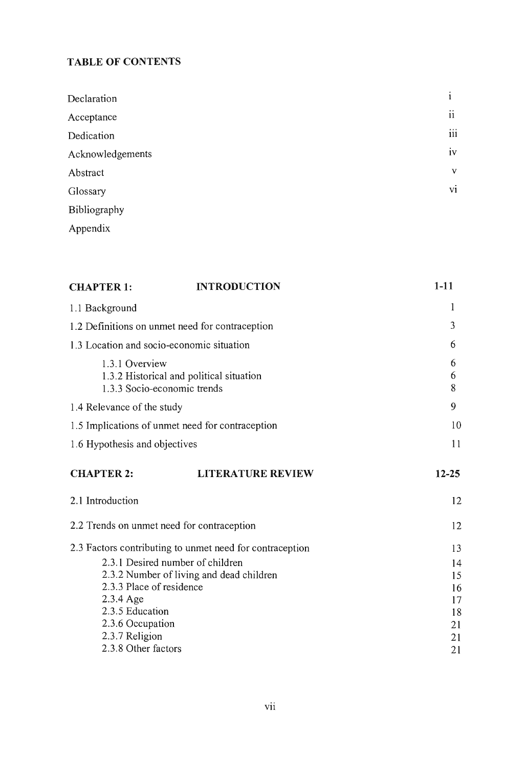# **TABLE OF CONTENTS**

| Declaration      | ٠<br>$\mathbf{1}$ |
|------------------|-------------------|
| Acceptance       | ii                |
| Dedication       | $\cdots$<br>111   |
| Acknowledgements | iv                |
| Abstract         | V                 |
| Glossary         | vi                |
| Bibliography     |                   |
| Appendix         |                   |

| <b>CHAPTER 1:</b>                               | <b>INTRODUCTION</b>                                      | $1 - 11$    |
|-------------------------------------------------|----------------------------------------------------------|-------------|
| 1.1 Background                                  |                                                          | 1           |
| 1.2 Definitions on unmet need for contraception |                                                          | 3           |
| 1.3 Location and socio-economic situation       |                                                          | 6           |
| 1.3.1 Overview<br>1.3.3 Socio-economic trends   | 1.3.2 Historical and political situation                 | 6<br>6<br>8 |
| 1.4 Relevance of the study                      |                                                          | 9           |
|                                                 | 1.5 Implications of unmet need for contraception         | 10          |
| 1.6 Hypothesis and objectives                   |                                                          | 11          |
| <b>CHAPTER 2:</b>                               | <b>LITERATURE REVIEW</b>                                 | $12 - 25$   |
| 2.1 Introduction                                |                                                          | 12          |
| 2.2 Trends on unmet need for contraception      |                                                          | 12          |
|                                                 | 2.3 Factors contributing to unmet need for contraception | 13          |
| 2.3.1 Desired number of children                |                                                          | 14          |
|                                                 | 2.3.2 Number of living and dead children                 | 15          |
| 2.3.3 Place of residence<br>2.3.4 Age           |                                                          | 16          |
| 2.3.5 Education                                 |                                                          | 17<br>18    |
| 2.3.6 Occupation                                |                                                          | 21          |
| 2.3.7 Religion                                  |                                                          | 21          |
| 2.3.8 Other factors                             |                                                          |             |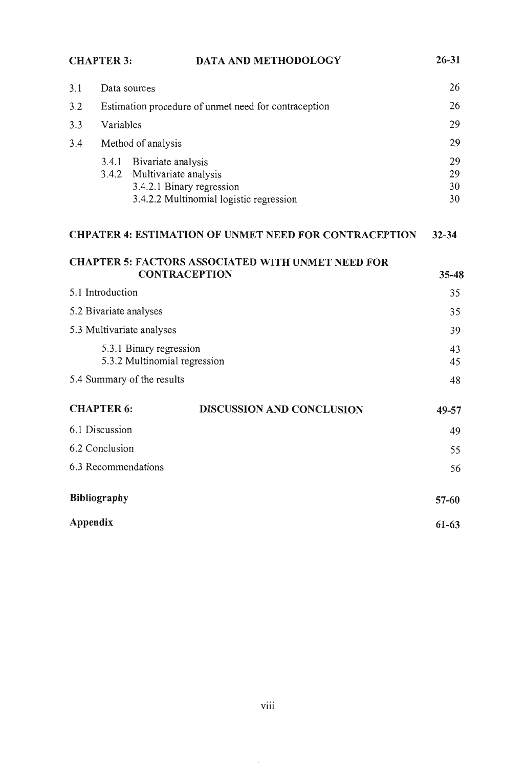|                                                         | <b>CHAPTER 3:</b>                                    | DATA AND METHODOLOGY                                                             | $26 - 31$      |
|---------------------------------------------------------|------------------------------------------------------|----------------------------------------------------------------------------------|----------------|
| 3.1                                                     | Data sources                                         |                                                                                  | 26             |
| 3.2                                                     | Estimation procedure of unmet need for contraception |                                                                                  | 26             |
| 3.3                                                     | Variables                                            |                                                                                  | 29             |
| 3.4                                                     |                                                      | Method of analysis                                                               | 29             |
|                                                         | 3.4.1<br>3.4.2                                       | Bivariate analysis<br>Multivariate analysis<br>3.4.2.1 Binary regression         | 29<br>29<br>30 |
|                                                         |                                                      | 3.4.2.2 Multinomial logistic regression                                          | 30             |
|                                                         |                                                      | <b>CHPATER 4: ESTIMATION OF UNMET NEED FOR CONTRACEPTION</b>                     | $32 - 34$      |
|                                                         |                                                      |                                                                                  |                |
|                                                         |                                                      | <b>CHAPTER 5: FACTORS ASSOCIATED WITH UNMET NEED FOR</b><br><b>CONTRACEPTION</b> | $35 - 48$      |
|                                                         | 5.1 Introduction                                     |                                                                                  | 35             |
| 5.2 Bivariate analyses                                  |                                                      | 35                                                                               |                |
| 5.3 Multivariate analyses                               |                                                      | 39                                                                               |                |
| 5.3.1 Binary regression<br>5.3.2 Multinomial regression |                                                      | 43<br>45                                                                         |                |
|                                                         |                                                      | 5.4 Summary of the results                                                       | 48             |
|                                                         | <b>CHAPTER 6:</b>                                    | <b>DISCUSSION AND CONCLUSION</b>                                                 | 49-57          |
|                                                         | 6.1 Discussion                                       |                                                                                  | 49             |
| 6.2 Conclusion                                          |                                                      | 55                                                                               |                |
|                                                         |                                                      | 6.3 Recommendations                                                              | 56             |
|                                                         | <b>Bibliography</b>                                  |                                                                                  | $57 - 60$      |
| Appendix                                                |                                                      |                                                                                  | $61 - 63$      |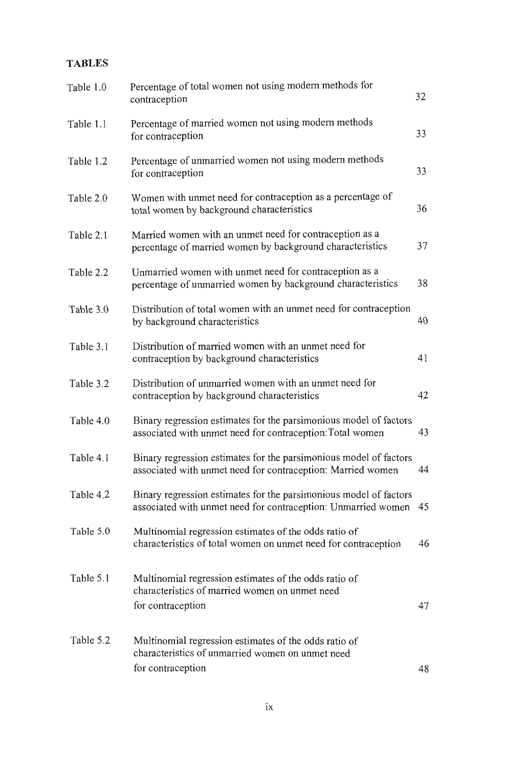## **TABLES**

| Table 1.0 | Percentage of total women not using modern methods for<br>contraception                                                            | 32 |
|-----------|------------------------------------------------------------------------------------------------------------------------------------|----|
| Table 1.1 | Percentage of married women not using modern methods<br>for contraception                                                          | 33 |
| Table 1.2 | Percentage of unmarried women not using modern methods<br>for contraception                                                        | 33 |
| Table 2.0 | Women with unmet need for contraception as a percentage of<br>total women by background characteristics                            | 36 |
| Table 2.1 | Married women with an unmet need for contraception as a<br>percentage of married women by background characteristics               | 37 |
| Table 2.2 | Unmarried women with unmet need for contraception as a<br>percentage of unmarried women by background characteristics              | 38 |
| Table 3.0 | Distribution of total women with an unmet need for contraception<br>by background characteristics                                  | 40 |
| Table 3.1 | Distribution of married women with an unmet need for<br>contraception by background characteristics                                | 41 |
| Table 3.2 | Distribution of unmarried women with an unmet need for<br>contraception by background characteristics                              | 42 |
| Table 4.0 | Binary regression estimates for the parsimonious model of factors<br>associated with unmet need for contraception: Total women     | 43 |
| Table 4.1 | Binary regression estimates for the parsimonious model of factors<br>associated with unmet need for contraception: Married women   | 44 |
| Table 4.2 | Binary regression estimates for the parsimonious model of factors<br>associated with unmet need for contraception: Unmarried women | 45 |
| Table 5.0 | Multinomial regression estimates of the odds ratio of<br>characteristics of total women on unmet need for contraception            | 46 |
| Table 5.1 | Multinomial regression estimates of the odds ratio of<br>characteristics of married women on unmet need<br>for contraception       | 47 |
| Table 5.2 | Multinomial regression estimates of the odds ratio of<br>characteristics of unmarried women on unmet need<br>for contraception     | 48 |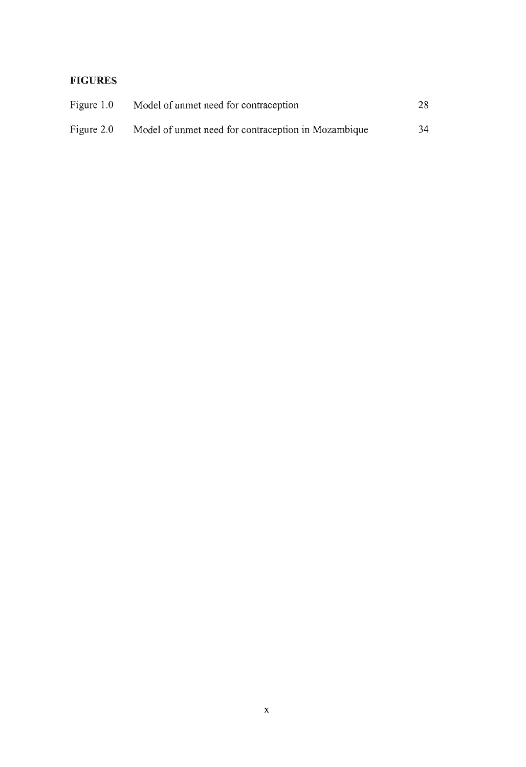## **FIGURES**

| Figure 1.0 | Model of unmet need for contraception               | 28 |
|------------|-----------------------------------------------------|----|
| Figure 2.0 | Model of unmet need for contraception in Mozambique | 34 |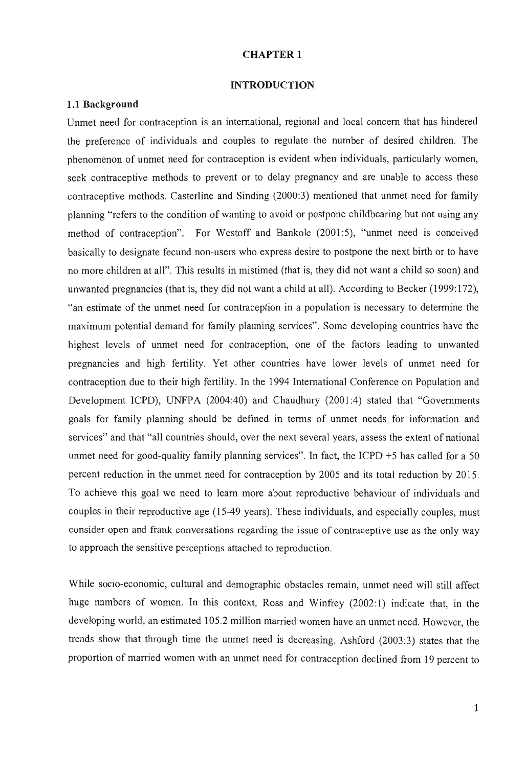#### CHAPTER 1

#### **INTRODUCTION**

## **1.1 Background**

Unmet need for contraception is an international, regional and local concern that has hindered the preference of individuals and couples to regulate the number of desired children. The phenomenon of unmet need for contraception is evident when individuals, particularly women, seek contraceptive methods to prevent or to delay pregnancy and are unable to access these contraceptive methods. Casterline and Sinding (2000:3) mentioned that unmet need for family planning "refers to the condition of wanting to avoid or postpone childbearing but not using any method of contraception". For Westoff and Bankole (2001:5), "unmet need is conceived basically to designate fecund non-users who express desire to postpone the next birth or to have no more children at all". This results in mistimed (that is, they did not want a child so soon) and unwanted pregnancies (that is, they did not want a child at all). According to Becker (1999:172), "an estimate of the unmet need for contraception in a population is necessary to determine the maximum potential demand for family planning services". Some developing countries have the highest levels of unmet need for contraception, one of the factors leading to unwanted pregnancies and high fertility. Yet other countries have lower levels of unmet need for contraception due to their high fertility. In the 1994 International Conference on Population and Development ICPD), UNFPA (2004:40) and Chaudhury (2001:4) stated that "Governments goals for family planning should be defined in terms of unmet needs for information and services" and that "all countries should, over the next several years, assess the extent of national unmet need for good-quality family planning services". In fact, the ICPD  $+5$  has called for a 50 percent reduction in the unmet need for contraception by 2005 and its total reduction by 2015. To achieve this goal we need to learn more about reproductive behaviour of individuals and couples in their reproductive age (15-49 years). These individuals, and especially couples, must consider open and frank conversations regarding the issue of contraceptive use as the only way to approach the sensitive perceptions attached to reproduction.

While socio-economic, cultural and demographic obstacles remain, unmet need will still affect huge numbers of women. In this context, Ross and Winfrey (2002:1) indicate that, in the developing world, an estimated 105.2 million married women have an unmet need. However, the trends show that through time the unmet need is decreasing. Ashford (2003:3) states that the proportion of married women with an unmet need for contraception declined from 19 percent to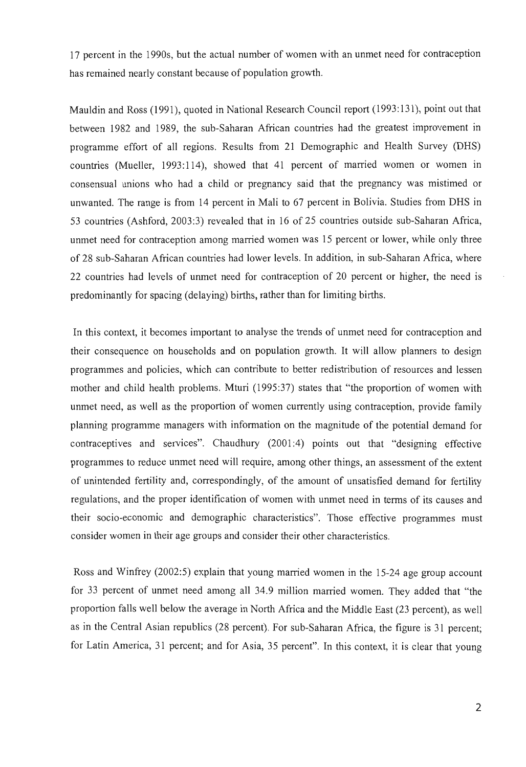17 percent in the 1990s, but the actual number of women with an unmet need for contraception has remained nearly constant because of population growth.

Mauldin and Ross (1991), quoted in National Research Council report (1993:131), point out that between 1982 and 1989, the sub-Saharan African countries had the greatest improvement in programme effort of all regions. Results from 21 Demographic and Health Survey (DHS) countries (Mueller, 1993:114), showed that 41 percent of married women or women in consensual unions who had a child or pregnancy said that the pregnancy was mistimed or unwanted. The range is from 14 percent in Mali to 67 percent in Bolivia. Studies from DHS in 53 countries (Ashford, 2003:3) revealed that in 16 of 25 countries outside sub-Saharan Africa, unmet need for contraception among married women was 15 percent or lower, while only three of 28 sub-Saharan African countries had lower levels. **In** addition, in sub-Saharan Africa, where 22 countries had levels of unrnet need for contraception of 20 percent or higher, the need is predominantly for spacing (delaying) births, rather than for limiting births.

**In** this context, it becomes important to analyse the trends of unrnet need for contraception and their consequence on households and on population growth. It will allow planners to design programmes and policies, which can contribute to better redistribution of resources and lessen mother and child health problems. Mturi (1995:37) states that "the proportion of women with unrnet need, as well as the proportion of women currently using contraception, provide family planning programme managers with information on the magnitude of the potential demand for contraceptives and services". Chaudhury (2001 :4) points out that "designing effective programmes to reduce unmet need will require, among other things, an assessment of the extent of unintended fertility and, correspondingly, of the amount of unsatisfied demand for fertility regulations, and the proper identification of women with unmet need in terms of its causes and their socio-economic and demographic characteristics". Those effective programmes must consider women in their age groups and consider their other characteristics.

Ross and Winfrey (2002:5) explain that young married women in the 15-24 age group account for 33 percent of unrnet need among all 34.9 million married women. They added that "the proportion falls well below the average in North Africa and the Middle East (23 percent), as well as in the Central Asian republics (28 percent). For sub-Saharan Africa, the figure is 31 percent; for Latin America, 31 percent; and for Asia, 35 percent". **In** this context, it is clear that young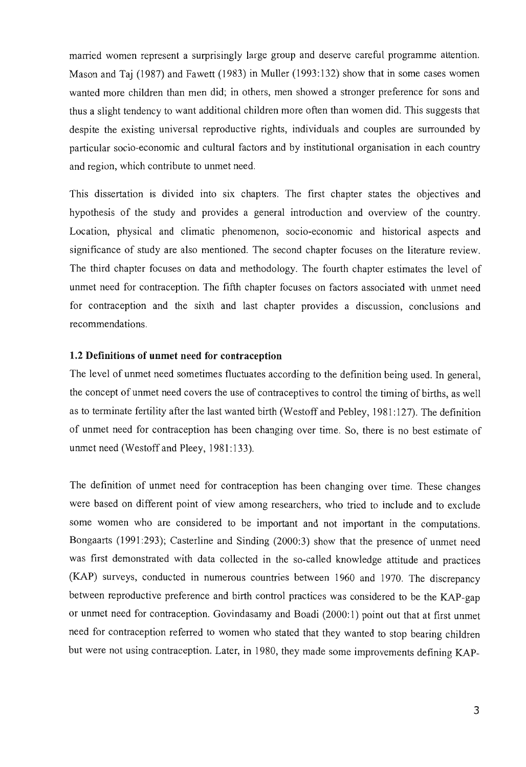married women represent a surprisingly large group and deserve careful programme attention. Mason and Taj (1987) and Fawett (1983) in Muller (1993:132) show that in some cases women wanted more children than men did; in others, men showed a stronger preference for sons and thus a slight tendency to want additional children more often than women did. This suggests that despite the existing universal reproductive rights, individuals and couples are surrounded by particular socio-economic and cultural factors and by institutional organisation in each country and region, which contribute to unmet need.

This dissertation is divided into six chapters. The first chapter states the objectives and hypothesis of the study and provides a general introduction and overview of the country. Location, physical and climatic phenomenon, socio-economic and historical aspects and significance of study are also mentioned. The second chapter focuses on the literature review. The third chapter focuses on data and methodology. The fourth chapter estimates the level of unmet need for contraception. The fifth chapter focuses on factors associated with unmet need for contraception and the sixth and last chapter provides a discussion, conclusions and recommendations.

#### **1.2 Definitions of unmet need for contraception**

The level of unmet need sometimes fluctuates according to the definition being used. In general, the concept of unmet need covers the use of contraceptives to control the timing of births, as well as to terminate fertility after the last wanted birth (Westoff and Pebley, 1981:127). The definition of unmet need for contraception has been changing over time. So, there is no best estimate of unmet need (Westoff and Pleey, 1981:133).

The definition of unmet need for contraception has been changing over time. These changes were based on different point of view among researchers, who tried to include and to exclude some women who are considered to be important and not important in the computations. Bongaarts (1991:293); Casterline and Sinding (2000:3) show that the presence of unmet need was first demonstrated with data collected in the so-called knowledge attitude and practices (KAP) surveys, conducted in numerous countries between 1960 and 1970. The discrepancy between reproductive preference and birth control practices was considered to be the KAP-gap or unmet need for contraception. Govindasamy and Boadi (2000: 1) point out that at first unmet need for contraception referred to women who stated that they wanted to stop bearing children but were not using contraception. Later, in 1980, they made some improvements defining KAP-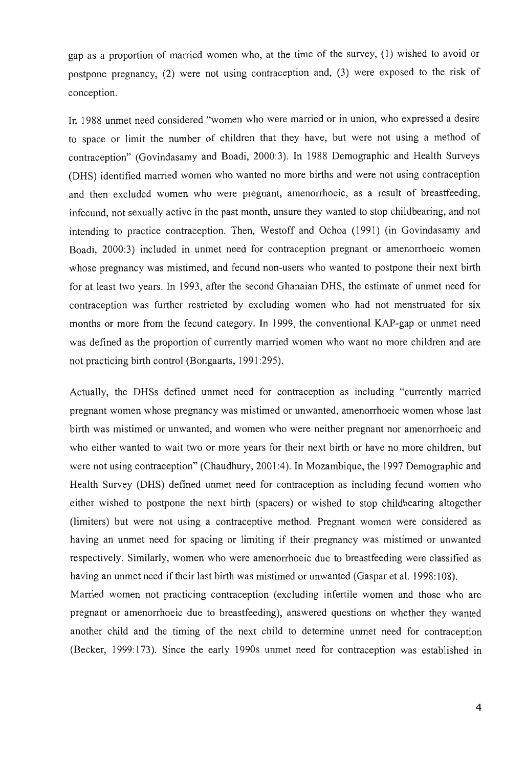gap as a proportion of married women who, at the time of the survey, (1) wished to avoid or postpone pregnancy, (2) were not using contraception and, (3) were exposed to the risk of conception.

**In** 1988 unmet need considered "women who were married or in union, who expressed a desire to space or limit the number of children that they have, but were not using a method of contraception" (Govindasamy and Boadi, 2000:3). **In** 1988 Demographic and Health Surveys (DHS) identified married women who wanted no more births and were not using contraception and then excluded women who were pregnant, amenorrhoeic, as a result of breastfeeding, infecund, not sexually active in the past month, unsure they wanted to stop childbearing, and not intending to practice contraception. Then, Westoff and Ochoa (1991) (in Govindasamy and Boadi, 2000:3) included in unmet need for contraception pregnant or amenorrhoeic women whose pregnancy was mistimed, and fecund non-users who wanted to postpone their next birth for at least two years. **In** 1993, after the second Ghanaian DHS, the estimate of unmet need for contraception was further restricted by excluding women who had not menstruated for six months or more from the fecund category. **In** 1999, the conventional KAP-gap or unmet need was defined as the proportion of currently married women who want no more children and are not practicing birth control (Bongaarts, 1991 :295).

Actually, the DHSs defined unmet need for contraception as including "currently married pregnant women whose pregnancy was mistimed or unwanted, amenorrhoeic women whose last birth was mistimed or unwanted, and women who were neither pregnant nor amenorrhoeic and who either wanted to wait two or more years for their next birth or have no more children, but were not using contraception" (Chaudhury, 2001 :4). **In** Mozambique, the 1997 Demographic and Health Survey (DHS) defined unmet need for contraception as including fecund women who either wished to postpone the next birth (spacers) or wished to stop childbearing altogether (limiters) but were not using a contraceptive method. Pregnant women were considered as having an unmet need for spacing or limiting if their pregnancy was mistimed or unwanted respectively. Similarly, women who were amenorrhoeic due to breastfeeding were classified as having an unmet need if their last birth was mistimed or unwanted (Gaspar et al. 1998:108).

Married women not practicing contraception (excluding infertile women and those who are pregnant or amenorrhoeic due to breastfeeding), answered questions on whether they wanted another child and the timing of the next child to determine unmet need for contraception (Becker, 1999:173). Since the early 1990s unmet need for contraception was established in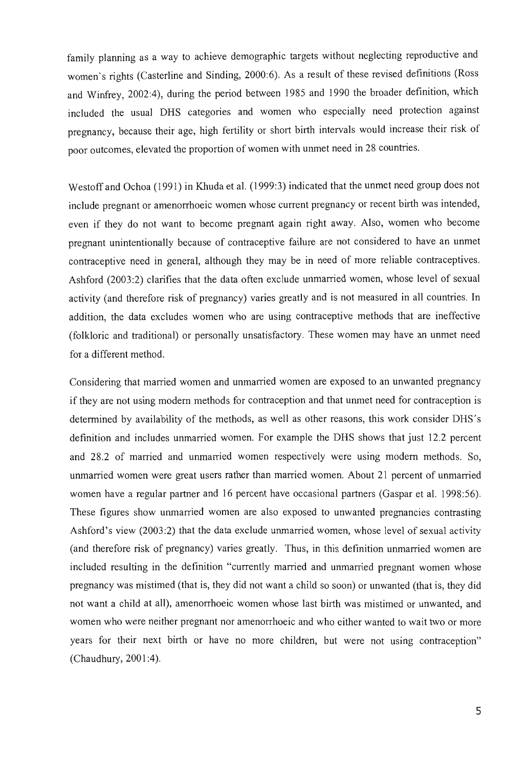family planning as a way to achieve demographic targets without neglecting reproductive and women's rights (Casterline and Sinding, 2000:6). As a result of these revised definitions (Ross and Winfrey, 2002:4), during the period between 1985 and 1990 the broader definition, which included the usual DRS categories and women who especially need protection against pregnancy, because their age, high fertility or short birth intervals would increase their risk of poor outcomes, elevated the proportion of women with unmet need in 28 countries.

Westoffand Ochoa (1991) in Khuda et al. (1999:3) indicated that the unmet need group does not include pregnant or amenorrhoeic women whose current pregnancy or recent birth was intended, even if they do not want to become pregnant again right away. Also, women who become pregnant unintentionally because of contraceptive failure are not considered to have an unmet contraceptive need in general, although they may be in need of more reliable contraceptives. Ashford (2003:2) clarifies that the data often exclude unmarried women, whose level of sexual activity (and therefore risk of pregnancy) varies greatly and is not measured in all countries. In addition, the data excludes women who are using contraceptive methods that are ineffective (folkloric and traditional) or personally unsatisfactory. These women may have an unmet need for a different method.

Considering that married women and unmarried women are exposed to an unwanted pregnancy if they are not using modem methods for contraception and that unmet need for contraception is determined by availability of the methods, as well as other reasons, this work consider DHS's definition and includes unmarried women. For example the DHS shows that just 12.2 percent and 28.2 of married and unmarried women respectively were using modem methods. So, unmarried women were great users rather than married women. About 21 percent of unmarried women have a regular partner and 16 percent have occasional partners (Gaspar et al. 1998:56). These figures show unmarried women are also exposed to unwanted pregnancies contrasting Ashford's view (2003:2) that the data exclude unmarried women, whose level of sexual activity (and therefore risk of pregnancy) varies greatly. Thus, in this definition unmarried women are included resulting in the definition "currently married and unmarried pregnant women whose pregnancy was mistimed (that is, they did not want a child so soon) or unwanted (that is, they did not want a child at all), amenorrhoeic women whose last birth was mistimed or unwanted, and women who were neither pregnant nor amenorrhoeic and who either wanted to wait two or more years for their next birth or have no more children, but were not using contraception" (Chaudhury, 2001:4).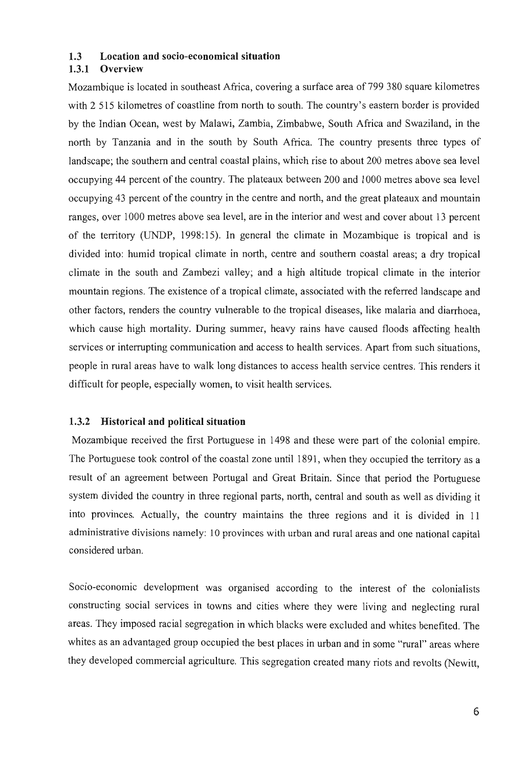#### 1.3 Location and socio-economical situation

#### 1.3.1 Overview

Mozambique is located in southeast Africa, covering a surface area of 799 380 square kilometres with 2 515 kilometres of coastline from north to south. The country's eastern border is provided by the Indian Ocean, west by Malawi, Zambia, Zimbabwe, South Africa and Swaziland, in the north by Tanzania and in the south by South Africa. The country presents three types of landscape; the southern and central coastal plains, which rise to about 200 metres above sea level occupying 44 percent of the country. The plateaux between 200 and 1000 metres above sea level occupying 43 percent of the country in the centre and north, and the great plateaux and mountain ranges, over 1000 metres above sea level, are in the interior and west and cover about 13 percent of the territory (UNDP, 1998:15). In general the climate in Mozambique is tropical and is divided into: humid tropical climate in north, centre and southern coastal areas; a dry tropical climate in the south and Zambezi valley; and a high altitude tropical climate in the interior mountain regions. The existence of a tropical climate, associated with the referred landscape and other factors, renders the country vulnerable to the tropical diseases, like malaria and diarrhoea, which cause high mortality. During summer, heavy rains have caused floods affecting health services or interrupting communication and access to health services. Apart from such situations, people in rural areas have to walk long distances to access health service centres. This renders it difficult for people, especially women, to visit health services.

#### 1.3.2 Historical and political situation

Mozambique received the first Portuguese in 1498 and these were part of the colonial empire. The Portuguese took control of the coastal zone until 1891, when they occupied the territory as a result of an agreement between Portugal and Great Britain. Since that period the Portuguese system divided the country in three regional parts, north, central and south as well as dividing it into provinces. Actually, the country maintains the three regions and it is divided in 11 administrative divisions namely: 10 provinces with urban and rural areas and one national capital considered urban.

Socio-economic development was organised according to the interest of the colonialists constructing social services in towns and cities where they were living and neglecting rural areas. They imposed racial segregation in which blacks were excluded and whites benefited. The whites as an advantaged group occupied the best places in urban and in some "rural" areas where they developed commercial agriculture. This segregation created many riots and revolts (Newitt,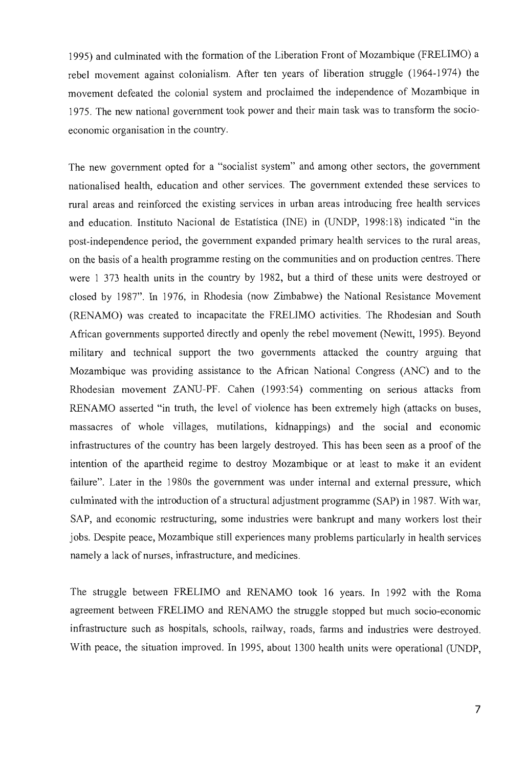1995) and culminated with the formation of the Liberation Front of Mozambique (FRELIMO) a rebel movement against colonialism. After ten years of liberation struggle (1964-1974) the movement defeated the colonial system and proclaimed the independence of Mozambique in 1975. The new national government took power and their main task was to transform the socioeconomic organisation in the country.

The new government opted for a "socialist system" and among other sectors, the government nationalised health, education and other services. The government extended these services to rural areas and reinforced the existing services in urban areas introducing free health services and education. Instituto Nacional de Estatística (INE) in (UNDP, 1998:18) indicated "in the post-independence period, the government expanded primary health services to the rural areas, on the basis of a health programme resting on the communities and on production centres. There were 1 373 health units in the country by 1982, but a third of these units were destroyed or closed by 1987". In 1976, in Rhodesia (now Zimbabwe) the National Resistance Movement (RENAMO) was created to incapacitate the FRELIMO activities. The Rhodesian and South African governments supported directly and openly the rebel movement (Newitt, 1995). Beyond military and technical support the two governments attacked the country arguing that Mozambique was providing assistance to the African National Congress (ANC) and to the Rhodesian movement ZANU-PF. Cahen (1993:54) commenting on serious attacks from RENAMO asserted "in truth, the level of violence has been extremely high (attacks on buses, massacres of whole villages, mutilations, kidnappings) and the social and economic infrastructures of the country has been largely destroyed. This has been seen as a proof of the intention of the apartheid regime to destroy Mozambique or at least to make it an evident failure". Later in the 1980s the government was under internal and external pressure, which culminated with the introduction of a structural adjustment programme (SAP) in 1987. With war, SAP, and economic restructuring, some industries were bankrupt and many workers lost their jobs. Despite peace, Mozambique still experiences many problems particularly in health services namely a lack of nurses, infrastructure, and medicines.

The struggle between FRELIMO and RENAMO took 16 years. In 1992 with the Roma agreement between FRELIMO and RENAMO the struggle stopped but much socio-economic infrastructure such as hospitals, schools, railway, roads, farms and industries were destroyed. With peace, the situation improved. In 1995, about 1300 health units were operational (UNDP,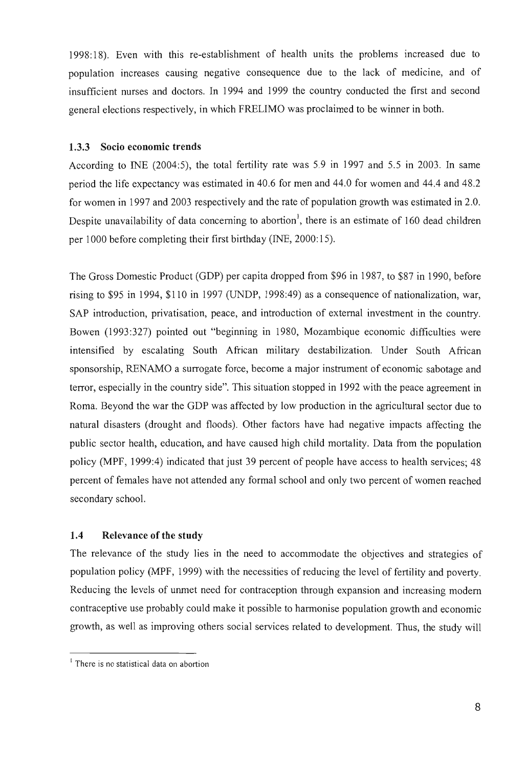1998: 18). Even with this re-establishment of health units the problems increased due to population increases causing negative consequence due to the lack of medicine, and of insufficient nurses and doctors. In 1994 and 1999 the country conducted the first and second general elections respectively, in which FRELIMO was proclaimed to be winner in both.

#### 1.3.3 Socio economic trends

According to INE (2004:5), the total fertility rate was 5.9 in 1997 and 5.5 in 2003. In same period the life expectancy was estimated in 40.6 for men and 44.0 for women and 44.4 and 48.2 for women in 1997 and 2003 respectively and the rate of population growth was estimated in 2.0. Despite unavailability of data concerning to abortion<sup>1</sup>, there is an estimate of 160 dead children per 1000 before completing their first birthday (INE, 2000:15).

The Gross Domestic Product (GDP) per capita dropped from \$96 in 1987, to \$87 in 1990, before rising to \$95 in 1994, \$110 in 1997 (UNDP, 1998:49) as a consequence of nationalization, war, SAP introduction, privatisation, peace, and introduction of external investment in the country. Bowen (1993:327) pointed out "beginning in 1980, Mozambique economic difficulties were intensified by escalating South African military destabilization. Under South African sponsorship, RENAMO a surrogate force, become a major instrument of economic sabotage and terror, especially in the country side". This situation stopped in 1992 with the peace agreement in Roma. Beyond the war the GDP was affected by low production in the agricultural sector due to natural disasters (drought and floods). Other factors have had negative impacts affecting the public sector health, education, and have caused high child mortality. Data from the population policy (MPF, 1999:4) indicated that just 39 percent of people have access to health services; 48 percent of females have not attended any formal school and only two percent of women reached secondary school.

## **1.4** Relevance of the study

The relevance of the study lies in the need to accommodate the objectives and strategies of population policy (MPF, 1999) with the necessities of reducing the level of fertility and poverty. Reducing the levels of unmet need for contraception through expansion and increasing modem contraceptive use probably could make it possible to harmonise population growth and economic growth, as well as improving others social services related to development. Thus, the study will

<sup>&</sup>lt;sup>1</sup> There is no statistical data on abortion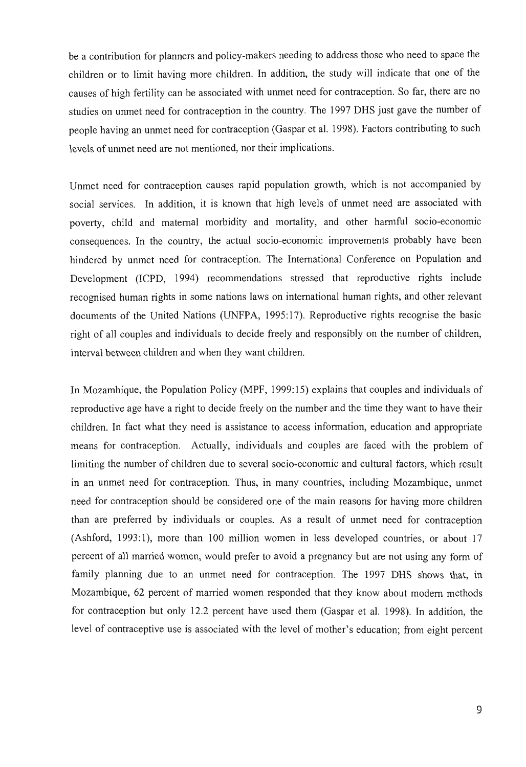be a contribution for planners and policy-makers needing to address those who need to space the children or to limit having more children. In addition, the study will indicate that one of the causes of high fertility can be associated with unmet need for contraception. So far, there are no studies on unmet need for contraception in the country. The 1997 DRS just gave the number of people having an unmet need for contraception (Gaspar et al. 1998). Factors contributing to such levels of unmet need are not mentioned, nor their implications.

Unmet need for contraception causes rapid population growth, which is not accompanied by social services. In addition, it is known that high levels of unmet need are associated with poverty, child and maternal morbidity and mortality, and other harmful socio-economic consequences. In the country, the actual socio-economic improvements probably have been hindered by unmet need for contraception. The International Conference on Population and Development (ICPD, 1994) recommendations stressed that reproductive rights include recognised human rights in some nations laws on international human rights, and other relevant documents of the United Nations (UNFPA, 1995:17). Reproductive rights recognise the basic right of all couples and individuals to decide freely and responsibly on the number of children, interval between children and when they want children.

In Mozambique, the Population Policy (MPF, 1999:15) explains that couples and individuals of reproductive age have a right to decide freely on the number and the time they want to have their children. In fact what they need is assistance to access information, education and appropriate means for contraception. Actually, individuals and couples are faced with the problem of limiting the number of children due to several socio-economic and cultural factors, which result in an unmet need for contraception. Thus, in many countries, including Mozambique, unmet need for contraception should be considered one of the main reasons for having more children than are preferred by individuals or couples. As a result of unmet need for contraception (Ashford, 1993:1), more than 100 million women in less developed countries, or about 17 percent of all married women, would prefer to avoid a pregnancy but are not using any form of family planning due to an unmet need for contraception. The 1997 DHS shows that, in Mozambique, 62 percent of married women responded that they know about modem methods for contraception but only 12.2 percent have used them (Gaspar et al. 1998). In addition, the level of contraceptive use is associated with the level of mother's education; from eight percent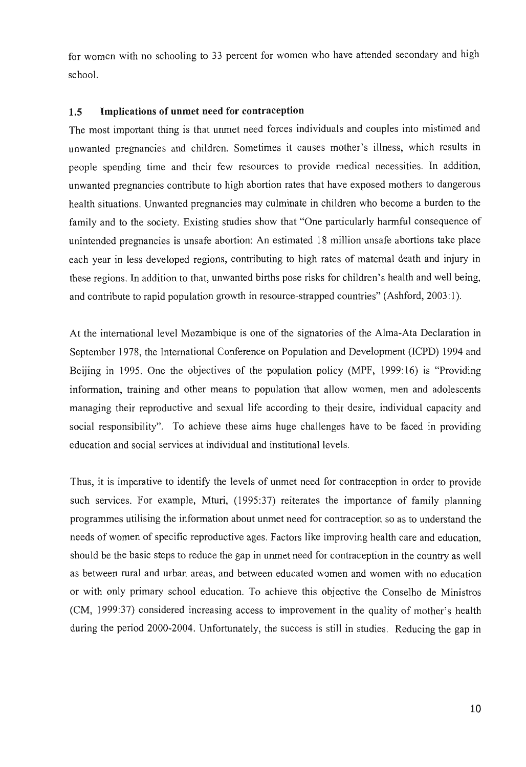for women with no schooling to 33 percent for women who have attended secondary and high school.

#### **1.5 Implications of unmet need for contraception**

The most important thing is that unmet need forces individuals and couples into mistimed and unwanted pregnancies and children. Sometimes it causes mother's illness, which results in people spending time and their few resources to provide medical necessities. In addition, unwanted pregnancies contribute to high abortion rates that have exposed mothers to dangerous health situations. Unwanted pregnancies may culminate in children who become a burden to the family and to the society. Existing studies show that "One particularly harmful consequence of unintended pregnancies is unsafe abortion: An estimated 18 million unsafe abortions take place each year in less developed regions, contributing to high rates of maternal death and injury in these regions. In addition to that, unwanted births pose risks for children's health and well being, and contribute to rapid population growth in resource-strapped countries" (Ashford, 2003:1).

At the international level Mozambique is one of the signatories of the Alma-Ata Declaration in September 1978, the International Conference on Population and Development (ICPD) 1994 and Beijing in 1995. One the objectives of the population policy (MPF, 1999:16) is "Providing infonnation, training and other means to population that allow women, men and adolescents managing their reproductive and sexual life according to their desire, individual capacity and social responsibility". To achieve these aims huge challenges have to be faced in providing education and social services at individual and institutional levels.

Thus, it is imperative to identify the levels of unmet need for contraception in order to provide such services. For example, Mturi, (1995:37) reiterates the importance of family planning programmes utilising the information about unmet need for contraception so as to understand the needs of women of specific reproductive ages. Factors like improving health care and education, should be the basic steps to reduce the gap in unmet need for contraception in the country as well as between rural and urban areas, and between educated women and women with no education or with only primary school education. To achieve this objective the Conselho de Ministros (CM, 1999:37) considered increasing access to improvement in the quality of mother's health during the period 2000-2004. Unfortunately, the success is still in studies. Reducing the gap in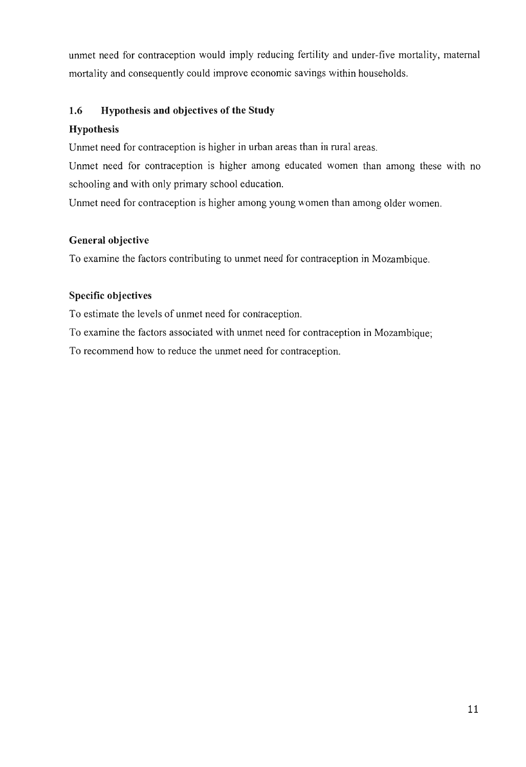unmet need for contraception would imply reducing fertility and under-five mortality, maternal mortality and consequently could improve economic savings within households.

## **1.6 Hypothesis and objectives of the Study**

## **Hypothesis**

Unmet need for contraception is higher in urban areas than in rural areas.

Unmet need for contraception is higher among educated women than among these with no schooling and with only primary school education.

Unmet need for contraception is higher among young women than among older women.

## **General objective**

To examine the factors contributing to unmet need for contraception in Mozambique.

## **Specific objectives**

To estimate the levels of unmet need for contraception.

To examine the factors associated with unmet need for contraception in Mozambique;

To recommend how to reduce the unmet need for contraception.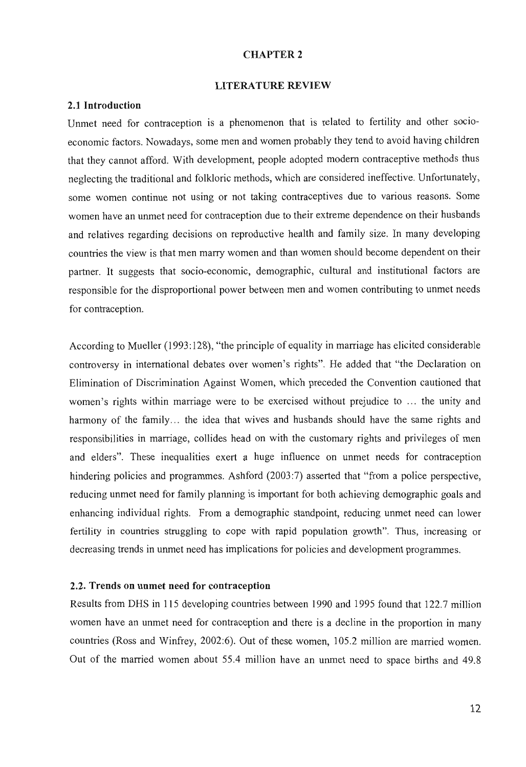#### CHAPTER 2

#### LITERATURE REVIEW

#### 2.1 Introduction

Unmet need for contraception is a phenomenon that is related to fertility and other socioeconomic factors. Nowadays, some men and women probably they tend to avoid having children that they cannot afford. With development, people adopted modem contraceptive methods thus neglecting the traditional and folkloric methods, which are considered ineffective. Unfortunately, some women continue not using or not taking contraceptives due to various reasons. Some women have an unmet need for contraception due to their extreme dependence on their husbands and relatives regarding decisions on reproductive health and family size. In many developing countries the view is that men marry women and than women should become dependent on their partner. It suggests that socio-economic, demographic, cultural and institutional factors are responsible for the disproportional power between men and women contributing to unmet needs for contraception.

According to Mueller (1993:128), "the principle of equality in marriage has elicited considerable controversy in international debates over women's rights". He added that "the Declaration on Elimination of Discrimination Against Women, which preceded the Convention cautioned that women's rights within marriage were to be exercised without prejudice to ... the unity and harmony of the family... the idea that wives and husbands should have the same rights and responsibilities in marriage, collides head on with the customary rights and privileges of men and elders". These inequalities exert a huge influence on unmet needs for contraception hindering policies and programmes. Ashford (2003:7) asserted that "from a police perspective, reducing unmet need for family planning is important for both achieving demographic goals and enhancing individual rights. From a demographic standpoint, reducing unmet need can lower fertility in countries struggling to cope with rapid population growth". Thus, increasing or decreasing trends in unmet need has implications for policies and development programmes.

#### 2.2. Trends on unmet need for contraception

Results from DHS in 115 developing countries between 1990 and 1995 found that 122.7 million women have an unmet need for contraception and there is a decline in the proportion in many countries (Ross and Winfrey, 2002:6). Out of these women, 105.2 million are married women. Out of the married women about 55.4 million have an unmet need to space births and 49.8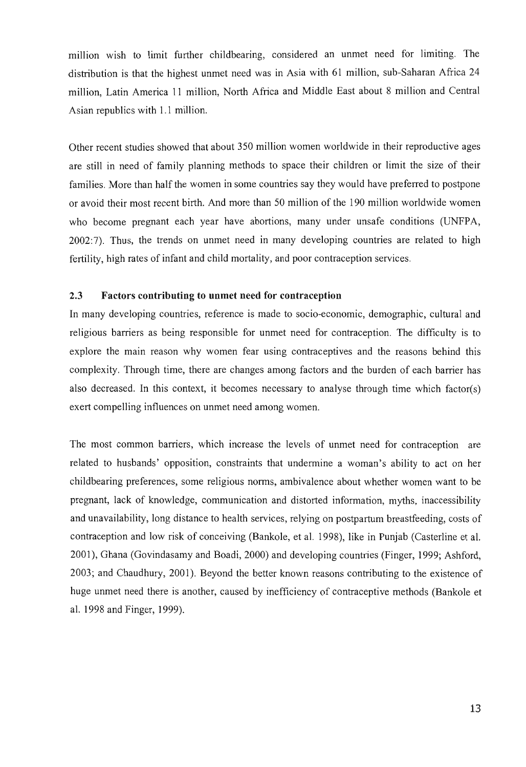million wish to limit further childbearing, considered an unmet need for limiting. The distribution is that the highest unmet need was in Asia with 61 million, sub-Saharan Africa 24 million, Latin America 11 million, North Africa and Middle East about 8 million and Central Asian republics with 1.1 million.

Other recent studies showed that about 350 million women worldwide in their reproductive ages are still in need of family planning methods to space their children or limit the size of their families. More than half the women in some countries say they would have preferred to postpone or avoid their most recent birth. And more than 50 million of the 190 million worldwide women who become pregnant each year have abortions, many under unsafe conditions (UNFPA, 2002:7). Thus, the trends on unmet need in many developing countries are related to high fertility, high rates of infant and child mortality, and poor contraception services.

#### 2.3 **Factors contributing to unmet need for contraception**

In many developing countries, reference is made to socio-economic, demographic, cultural and religious barriers as being responsible for unmet need for contraception. The difficulty is to explore the main reason why women fear using contraceptives and the reasons behind this complexity. Through time, there are changes among factors and the burden of each barrier has also decreased. In this context, it becomes necessary to analyse through time which factor(s) exert compelling influences on unmet need among women.

The most common barriers, which increase the levels of unmet need for contraception are related to husbands' opposition, constraints that undermine a woman's ability to act on her childbearing preferences, some religious norms, ambivalence about whether women want to be pregnant, lack of knowledge, communication and distorted information, myths, inaccessibility and unavailability, long distance to health services, relying on postpartum breastfeeding, costs of contraception and low risk of conceiving (Bankole, et al. 1998), like in Punjab (Casterline et al. 2001), Ghana (Govindasamy and Boadi, 2000) and developing countries (Finger, 1999; Ashford, 2003; and Chaudhury, 2001). Beyond the better known reasons contributing to the existence of huge unmet need there is another, caused by inefficiency of contraceptive methods (Bankole et al. 1998 and Finger, 1999).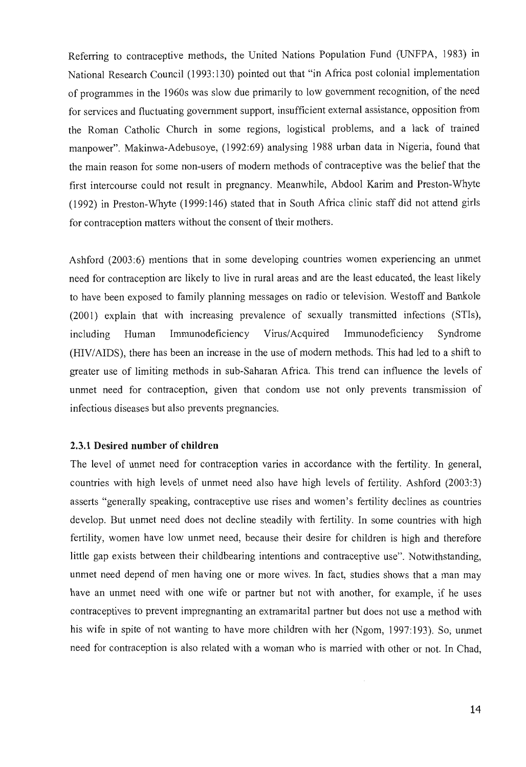Referring to contraceptive methods, the United Nations Population Fund (UNFPA, 1983) in National Research Council (1993:130) pointed out that "in Africa post colonial implementation of programmes in the 1960s was slow due primarily to low government recognition, of the need for services and fluctuating government support, insufficient external assistance, opposition from the Roman Catholic Church in some regions, logistical problems, and a lack of trained manpower". Makinwa-Adebusoye, (1992:69) analysing 1988 urban data in Nigeria, found that the main reason for some non-users of modem methods of contraceptive was the belief that the first intercourse could not result in pregnancy. Meanwhile, Abdool Karim and Preston-Whyte (1992) in Preston-Whyte (1999: 146) stated that in South Africa clinic staff did not attend girls for contraception matters without the consent of their mothers.

Ashford (2003:6) mentions that in some developing countries women experiencing an unmet need for contraception are likely to live in rural areas and are the least educated, the least likely to have been exposed to family planning messages on radio or television. Westoff and Bankole (2001) explain that with increasing prevalence of sexually transmitted infections (STIs), including Human Immunodeficiency Virus/Acquired Immunodeficiency Syndrome (HIV / AIDS), there has been an increase in the use of modem methods. This had led to a shift to greater use of limiting methods in sub-Saharan Africa. This trend can influence the levels of unmet need for contraception, given that condom use not only prevents transmission of infectious diseases but also prevents pregnancies.

#### 2.3.1 **Desired number of children**

The level of unmet need for contraception varies in accordance with the fertility. In general, countries with high levels of unmet need also have high levels of fertility. Ashford (2003:3) asserts "generally speaking, contraceptive use rises and women's fertility declines as countries develop. But unmet need does not decline steadily with fertility. In some countries with high fertility, women have low unmet need, because their desire for children is high and therefore little gap exists between their childbearing intentions and contraceptive use". Notwithstanding, unmet need depend of men having one or more wives. In fact, studies shows that a man may have an unmet need with one wife or partner but not with another, for example, if he uses contraceptives to prevent impregnanting an extramarital partner but does not use a method with his wife in spite of not wanting to have more children with her (Ngom, 1997:193). So; unmet need for contraception is also related with a woman who is married with other or not. In Chad,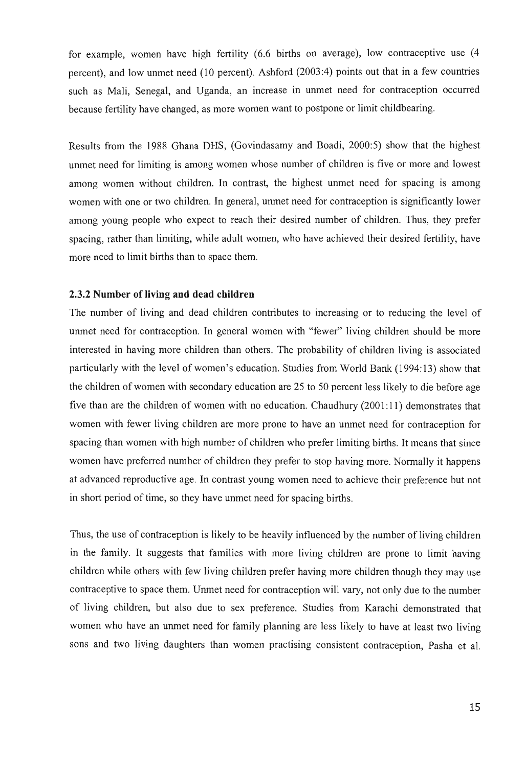for example, women have high fertility (6.6 births on average), low contraceptive use (4 percent), and low unmet need (10 percent). Ashford (2003:4) points out that in a few countries such as Mali, Senegal, and Uganda, an increase in unmet need for contraception occurred because fertility have changed, as more women want to postpone or limit childbearing.

Results from the 1988 Ghana DRS, (Govindasamy and Boadi, 2000:5) show that the highest unmet need for limiting is among women whose number of children is five or more and lowest among women without children. In contrast, the highest unmet need for spacing is among women with one or two children. In general, unmet need for contraception is significantly lower among young people who expect to reach their desired number of children. Thus, they prefer spacing, rather than limiting, while adult women, who have achieved their desired fertility, have more need to limit births than to space them.

### 2.3.2 Number of living and dead children

The number of living and dead children contributes to increasing or to reducing the level of unmet need for contraception. In general women with "fewer" living children should be more interested in having more children than others. The probability of children living is associated particularly with the level of women's education. Studies from World Bank (1994:13) show that the children of women with secondary education are 25 to 50 percent less likely to die before age five than are the children of women with no education. Chaudhury (2001:11) demonstrates that women with fewer living children are more prone to have an unmet need for contraception for spacing than women with high number of children who prefer limiting births. It means that since women have preferred number of children they prefer to stop having more. Normally it happens at advanced reproductive age. In contrast young women need to achieve their preference but not in short period of time, so they have unmet need for spacing births.

Thus, the use of contraception is likely to be heavily influenced by the number of living children in the family. It suggests that families with more living children are prone to limit having children while others with few living children prefer having more children though they may use contraceptive to space them. Unmet need for contraception will vary, not only due to the number of living children, but also due to sex preference. Studies from Karachi demonstrated that women who have an unmet need for family planning are less likely to have at least two living sons and two living daughters than women practising consistent contraception, Pasha et al.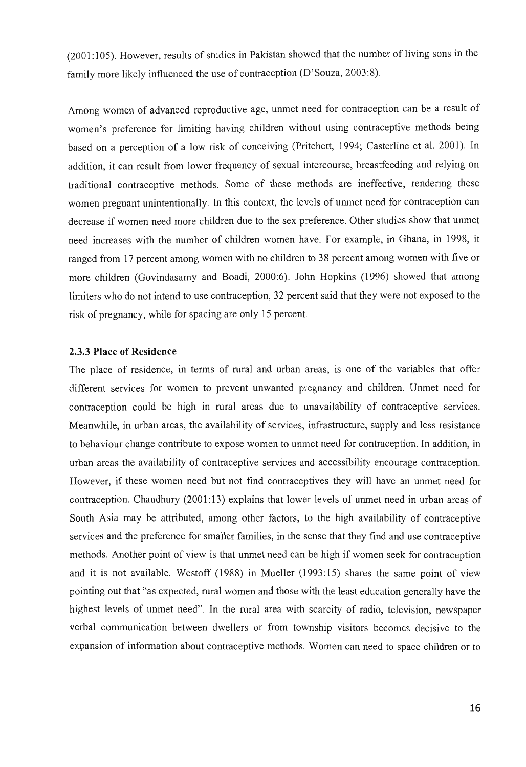(2001: 105). However, results of studies in Pakistan showed that the number of living sons in the family more likely influenced the use of contraception (D'Souza, 2003:8).

Among women of advanced reproductive age, unmet need for contraception can be a result of women's preference for limiting having children without using contraceptive methods being based on a perception of a low risk of conceiving (Pritchett, 1994; Casterline et al. 2001). In addition, it can result from lower frequency of sexual intercourse, breastfeeding and relying on traditional contraceptive methods. Some of these methods are ineffective, rendering these women pregnant unintentionally. In this context, the levels of unmet need for contraception can decrease if women need more children due to the sex preference. Other studies show that unmet need increases with the number of children women have. For example, in Ghana, in 1998, it ranged from 17 percent among women with no children to 38 percent among women with five or more children (Govindasamy and Boadi, 2000:6). John Hopkins (1996) showed that among limiters who do not intend to use contraception, 32 percent said that they were not exposed to the risk of pregnancy, while for spacing are only 15 percent.

### 2.3.3 Place of Residence

The place of residence, in terms of rural and urban areas, is one of the variables that offer different services for women to prevent unwanted pregnancy and children. Unmet need for contraception could be high in rural areas due to unavailability of contraceptive services. Meanwhile, in urban areas, the availability of services, infrastructure, supply and less resistance to behaviour change contribute to expose women to unmet need for contraception. In addition, in urban areas the availability of contraceptive services and accessibility encourage contraception. However, if these women need but not find contraceptives they will have an unmet need for contraception. Chaudhury (2001: 13) explains that lower levels of unmet need in urban areas of South Asia may be attributed, among other factors, to the high availability of contraceptive services and the preference for smaller families, in the sense that they find and use contraceptive methods. Another point of view is that unmet need can be high if women seek for contraception and it is not available. Westoff (1988) in Mueller (1993:15) shares the same point of view pointing out that "as expected, rural women and those with the least education generally have the highest levels of unmet need". In the rural area with scarcity of radio, television, newspaper verbal communication between dwellers or from township visitors becomes decisive to the expansion of information about contraceptive methods. Women can need to space children or to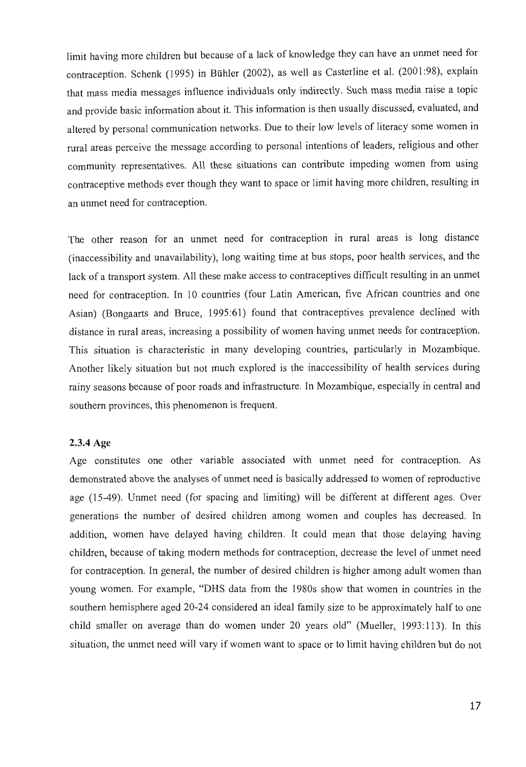limit having more children but because of a lack of knowledge they can have an unmet need for contraception. Schenk (1995) in Buhler (2002), as well as Casterline et al. (2001:98), explain that mass media messages influence individuals only indirectly. Such mass media raise a topic and provide basic information about it. This information is then usually discussed, evaluated, and altered by personal communication networks. Due to their low levels of literacy some women in rural areas perceive the message according to personal intentions of leaders, religious and other community representatives. All these situations can contribute impeding women from using contraceptive methods ever though they want to space or limit having more children, resulting in an unmet need for contraception.

The other reason for an unmet need for contraception in rural areas is long distance (inaccessibility and unavailability), long waiting time at bus stops, poor health services, and the lack of a transport system. All these make access to contraceptives difficult resulting in an unmet need for contraception. In 10 countries (four Latin American, five African countries and one Asian) (Bongaarts and Bruce, 1995:61) found that contraceptives prevalence declined with distance in rural areas, increasing a possibility of women having unmet needs for contraception. This situation is characteristic in many developing countries, particularly in Mozambique. Another likely situation but not much explored is the inaccessibility of health services during rainy seasons because of poor roads and infrastructure. In Mozambique, especially in central and southern provinces, this phenomenon is frequent.

### 2.3.4 Age

Age constitutes one other variable associated with unmet need for contraception. As demonstrated above the analyses of unmet need is basically addressed to women of reproductive age (15-49). Unmet need (for spacing and limiting) will be different at different ages. Over generations the number of desired children among women and couples has decreased. In addition, women have delayed having children. It could mean that those delaying having children, because of taking modem methods for contraception, decrease the level of unmet need for contraception. In general, the number of desired children is higher among adult women than young women. For example, "DRS data from the 1980s show that women in countries in the southern hemisphere aged 20-24 considered an ideal family size to be approximately half to one child smaller on average than do women under 20 years old" (Mueller, 1993:113). In this situation, the unmet need will vary if women want to space or to limit having children but do not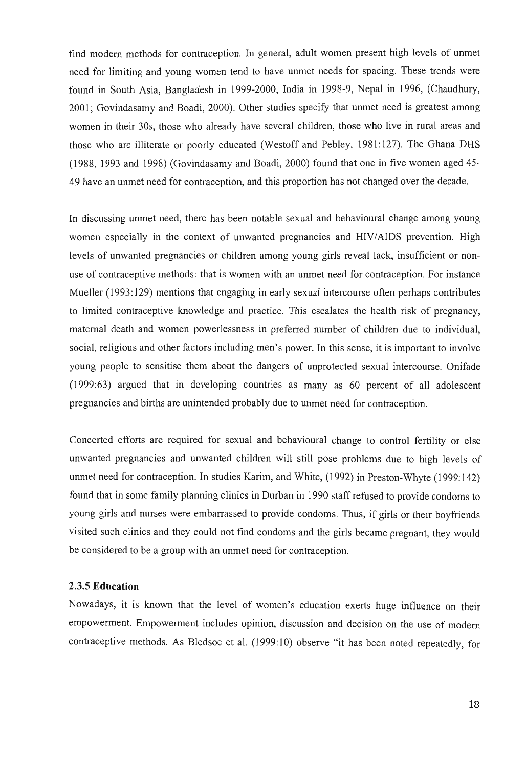find modern methods for contraception. In general, adult women present high levels of unmet need for limiting and young women tend to have unmet needs for spacing. These trends were found in South Asia, Bangladesh in 1999-2000, India in 1998-9, Nepal in 1996, (Chaudhury, 2001; Govindasamy and Boadi, 2000). Other studies specify that unmet need is greatest among women in their 30s, those who already have several children, those who live in rural areas and those who are illiterate or poorly educated (Westoff and Pebley, 1981: 127). The Ghana DHS (1988, 1993 and 1998) (Govindasamy and Boadi, 2000) found that one in five women aged 45- 49 have an unmet need for contraception, and this proportion has not changed over the decade.

In discussing unmet need, there has been notable sexual and behavioural change among young women especially in the context of unwanted pregnancies and HIV/AIDS prevention. High levels of unwanted pregnancies or children among young girls reveal lack, insufficient or nonuse of contraceptive methods: that is women with an unmet need for contraception. For instance Mueller (1993:129) mentions that engaging in early sexual intercourse often perhaps contributes to limited contraceptive knowledge and practice. This escalates the health risk of pregnancy, maternal death and women powerlessness in preferred number of children due to individual, social, religious and other factors including men's power. In this sense, it is important to involve young people to sensitise them about the dangers of unprotected sexual intercourse. Onifade (1999:63) argued that in developing countries as many as 60 percent of all adolescent pregnancies and births are unintended probably due to unmet need for contraception.

Concerted efforts are required for sexual and behavioural change to control fertility or else unwanted pregnancies and unwanted children will still pose problems due to high levels of unmet need for contraception. In studies Karim, and White, (1992) in Preston-Whyte (1999:142) found that in some family planning clinics in Durban in 1990 staff refused to provide condoms to young girls and nurses were embarrassed to provide condoms. Thus, if girls or their boyfriends visited such clinics and they could not find condoms and the girls became pregnant, they would be considered to be a group with an unmet need for contraception.

#### 2.3.5 **Education**

Nowadays, it is known that the level of women's education exerts huge influence on their empowerment. Empowerment includes opinion, discussion and decision on the use of modern contraceptive methods. As Bledsoe et al. (1999:10) observe "it has been noted repeatedly, for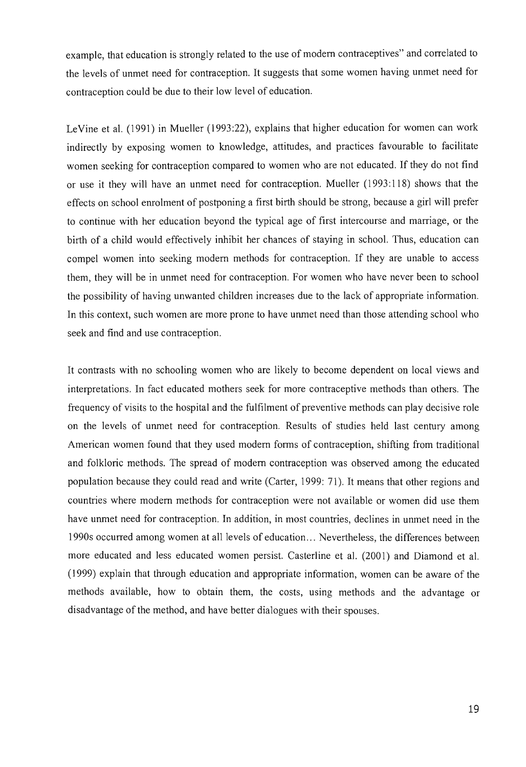example, that education is strongly related to the use of modem contraceptives" and correlated to the levels of unmet need for contraception. It suggests that some women having unmet need for contraception could be due to their low level of education.

LeVine et al. (1991) in Mueller (1993:22), explains that higher education for women can work indirectly by exposing women to knowledge, attitudes, and practices favourable to facilitate women seeking for contraception compared to women who are not educated. If they do not find or use it they will have an unmet need for contraception. Mueller (1993: 118) shows that the effects on school enrolment of postponing a first birth should be strong, because a girl will prefer to continue with her education beyond the typical age of first intercourse and marriage, or the birth of a child would effectively inhibit her chances of staying in school. Thus, education can compel women into seeking modem methods for contraception. If they are unable to access them, they will be in unmet need for contraception. For women who have never been to school the possibility of having unwanted children increases due to the lack of appropriate information. In this context, such women are more prone to have unmet need than those attending school who seek and find and use contraception.

It contrasts with no schooling women who are likely to become dependent on local views and interpretations. In fact educated mothers seek for more contraceptive methods than others. The frequency of visits to the hospital and the fulfilment of preventive methods can play decisive role on the levels of unmet need for contraception. Results of studies held last century among American women found that they used modem forms of contraception, shifting from traditional and folkloric methods. The spread of modem contraception was observed among the educated population because they could read and write (Carter, 1999: 71). It means that other regions and countries where modem methods for contraception were not available or women did use them have unmet need for contraception. In addition, in most countries, declines in unmet need in the 1990s occurred among women at all levels of education ... Nevertheless, the differences between more educated and less educated women persist. Casterline et al. (2001) and Diamond et al. (1999) explain that through education and appropriate information, women can be aware of the methods available, how to obtain them, the costs, using methods and the advantage or disadvantage of the method, and have better dialogues with their spouses.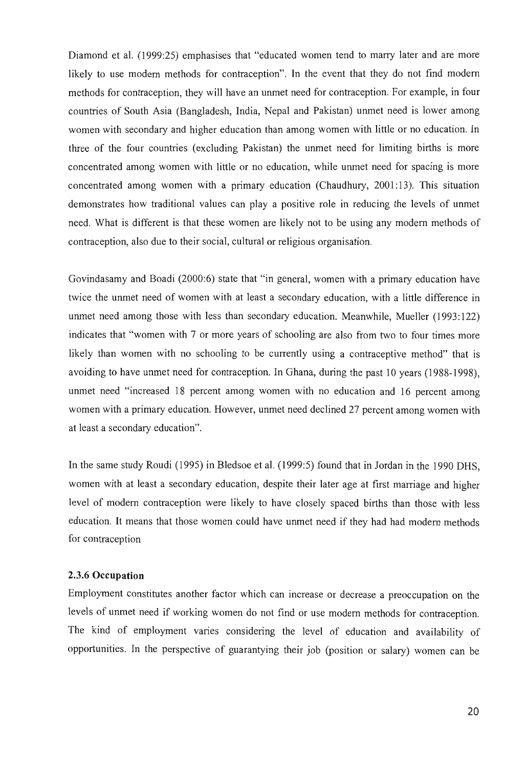Diamond et al. (1999:25) emphasises that "educated women tend to marry later and are more likely to use modem methods for contraception". In the event that they do not find modem methods for contraception, they will have an unmet need for contraception. For example, in four countries of South Asia (Bangladesh, India, Nepal and Pakistan) unmet need is lower among women with secondary and higher education than among women with little or no education. In three of the four countries (excluding Pakistan) the unmet need for limiting births is more concentrated among women with little or no education, while unmet need for spacing is more concentrated among women with a primary education (Chaudhury, 2001: 13). This situation demonstrates how traditional values can playa positive role in reducing the levels of unmet need. What is different is that these women are likely not to be using any modem methods of contraception, also due to their social, cultural or religious organisation.

Govindasamy and Boadi (2000:6) state that "in general, women with a primary education have twice the unmet need of women with at least a secondary education, with a little difference in unmet need among those with less than secondary education. Meanwhile, Mueller (1993:122) indicates that "women with 7 or more years of schooling are also from two to four times more likely than women with no schooling to be currently using a contraceptive method" that is avoiding to have unmet need for contraception. In Ghana, during the past 10 years (1988-1998), unmet need "increased 18 percent among women with no education and 16 percent among women with a primary education. However, unmet need declined 27 percent among women with at least a secondary education".

In the same study Roudi (1995) in Bledsoe et al. (1999:5) found that in Jordan in the 1990 DHS, women with at least a secondary education, despite their later age at first marriage and higher level of modem contraception were likely to have closely spaced births than those with less education. It means that those women could have unmet need if they had had modem methods for contraception

#### 2.3.6 **Occupation**

Employment constitutes another factor which can increase or decrease a preoccupation on the levels of unmet need if working women do not find or use modem methods for contraception. The kind of employment varies considering the level of education and availability of opportunities. In the perspective of guarantying their job (position or salary) women can be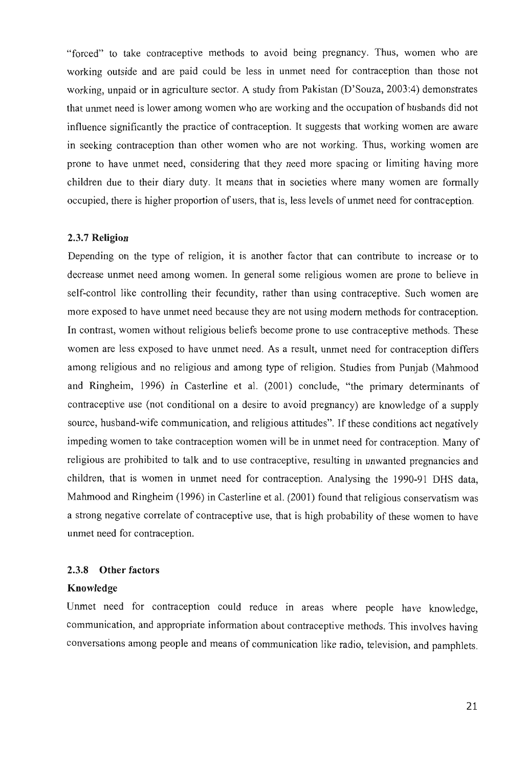"forced" to take contraceptive methods to avoid being pregnancy. Thus, women who are working outside and are paid could be less in unmet need for contraception than those not working, unpaid or in agriculture sector. A study from Pakistan (D'Souza, 2003:4) demonstrates that unmet need is lower among women who are working and the occupation of husbands did not influence significantly the practice of contraception. It suggests that working women are aware in seeking contraception than other women who are not working. Thus, working women are prone to have unmet need, considering that they need more spacing or limiting having more children due to their diary duty. It means that in societies where many women are formally occupied, there is higher proportion of users, that is, less levels of unmet need for contraception.

#### 2.3.7 Religion

Depending on the type of religion, it is another factor that can contribute to increase or to decrease unmet need among women. In general some religious women are prone to believe in self-control like controlling their fecundity, rather than using contraceptive. Such women are more exposed to have unmet need because they are not using modem methods for contraception. In contrast, women without religious beliefs become prone to use contraceptive methods. These women are less exposed to have unmet need. As a result, unmet need for contraception differs among religious and no religious and among type of religion. Studies from Punjab (Mahmood and Ringheim, 1996) in Casterline et al. (2001) conclude, "the primary determinants of contraceptive use (not conditional on a desire to avoid pregnancy) are knowledge of a supply source, husband-wife communication, and religious attitudes". If these conditions act negatively impeding women to take contraception women will be in unmet need for contraception. Many of religious are prohibited to talk and to use contraceptive, resulting in unwanted pregnancies and children, that is women in unmet need for contraception. Analysing the 1990-91 DHS data, Mahmood and Ringheim (1996) in Casterline et al. (2001) found that religious conservatism was a strong negative correlate of contraceptive use, that is high probability of these women to have unmet need for contraception.

### 2.3.8 Other factors

#### Knowledge

Unmet need for contraception could reduce in areas where people have knowledge, communication, and appropriate information about contraceptive methods. This involves having conversations among people and means of communication like radio, television, and pamphlets.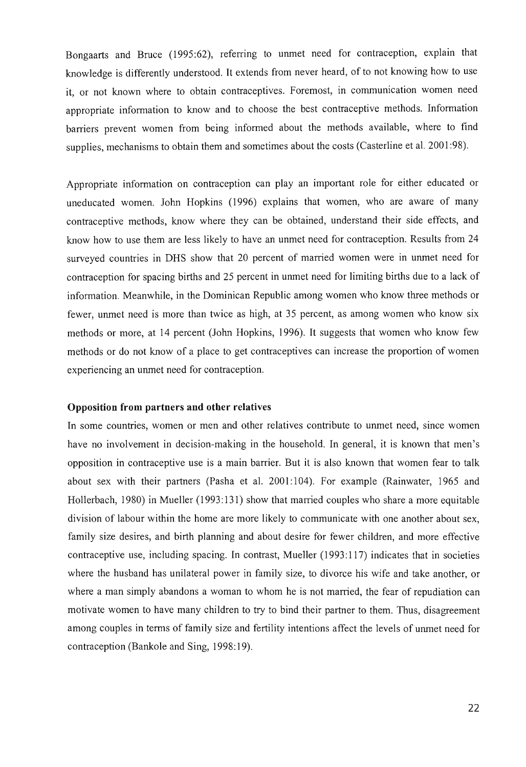Bongaarts and Bruce (1995:62), referring to unrnet need for contraception, explain that knowledge is differently understood. It extends from never heard, of to not knowing how to use it, or not known where to obtain contraceptives. Foremost, in communication women need appropriate information to know and to choose the best contraceptive methods. Information barriers prevent women from being informed about the methods available, where to find supplies, mechanisms to obtain them and sometimes about the costs (Casterline et al. 2001:98).

Appropriate information on contraception can play an important role for either educated or uneducated women. John Hopkins (1996) explains that women, who are aware of many contraceptive methods, know where they can be obtained, understand their side effects, and know how to use them are less likely to have an unmet need for contraception. Results from 24 surveyed countries in DHS show that 20 percent of married women were in unmet need for contraception for spacing births and 25 percent in unmet need for limiting births due to a lack of information. Meanwhile, in the Dominican Republic among women who know three methods or fewer, unmet need is more than twice as high, at 35 percent, as among women who know six methods or more, at 14 percent (John Hopkins, 1996). It suggests that women who know few methods or do not know of a place to get contraceptives can increase the proportion of women experiencing an unrnet need for contraception.

#### Opposition from partners and other relatives

In some countries, women or men and other relatives contribute to unrnet need, since women have no involvement in decision-making in the household. In general, it is known that men's opposition in contraceptive use is a main barrier. But it is also known that women fear to talk about sex with their partners (Pasha et al. 2001:104). For example (Rainwater, 1965 and Hollerbach, 1980) in Mueller (1993: 131) show that married couples who share a more equitable division of labour within the home are more likely to communicate with one another about sex, family size desires, and birth planning and about desire for fewer children, and more effective contraceptive use, including spacing. In contrast, Mueller (1993: 117) indicates that in societies where the husband has unilateral power in family size, to divorce his wife and take another, or where a man simply abandons a woman to whom he is not married, the fear of repudiation can motivate women to have many children to try to bind their partner to them. Thus, disagreement among couples in terms of family size and fertility intentions affect the levels of unrnet need for contraception (Bankole and Sing, 1998:19).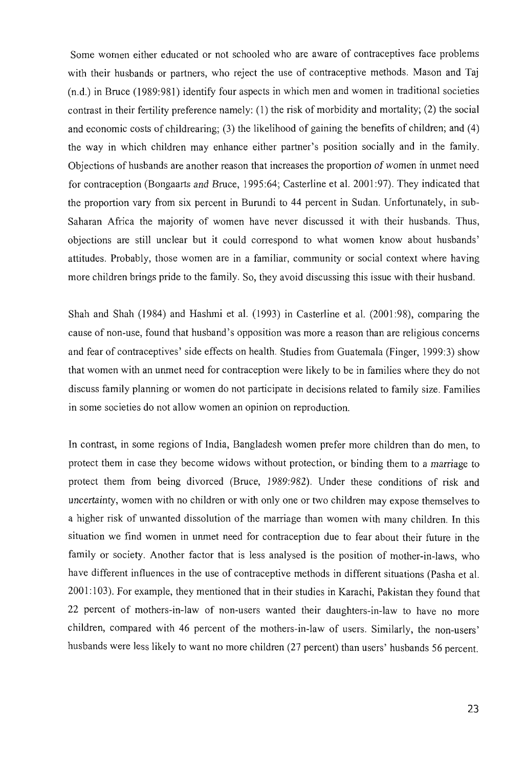Some women either educated or not schooled who are aware of contraceptives face problems with their husbands or partners, who reject the use of contraceptive methods. Mason and Taj (n.d.) in Bruce (1989:981) identify four aspects in which men and women in traditional societies contrast in their fertility preference namely: (1) the risk of morbidity and mortality; (2) the social and economic costs of childrearing; (3) the likelihood of gaining the benefits of children; and (4) the way in which children may enhance either partner's position socially and in the family. Objections of husbands are another reason that increases the proportion of women in unmet need for contraception (Bongaarts and Bruce, 1995:64; Casterline et al. 2001:97). They indicated that the proportion vary from six percent in Burundi to 44 percent in Sudan. Unfortunately, in sub-Saharan Africa the majority of women have never discussed it with their husbands. Thus, objections are still unclear but it could correspond to what women know about husbands' attitudes. Probably, those women are in a familiar, community or social context where having more children brings pride to the family. So, they avoid discussing this issue with their husband.

Shah and Shah (1984) and Hashmi et al. (1993) in Casterline et al. (2001:98), comparing the cause of non-use, found that husband's opposition was more a reason than are religious concerns and fear of contraceptives' side effects on health. Studies from Guatemala (Finger, 1999:3) show that women with an unmet need for contraception were likely to be in families where they do not discuss family planning or women do not participate in decisions related to family size. Families in some societies do not allow women an opinion on reproduction.

In contrast, in some regions of India, Bangladesh women prefer more children than do men, to protect them in case they become widows without protection, or binding them to a marriage to protect them from being divorced (Bruce, 1989:982). Under these conditions of risk and uncertainty, women with no children or with only one or two children may expose themselves to a higher risk of unwanted dissolution of the marriage than women with many children. In this situation we find women in unmet need for contraception due to fear about their future in the family or society. Another factor that is less analysed is the position of mother-in-Iaws, who have different influences in the use of contraceptive methods in different situations (Pasha et al. 2001: 103). For example, they mentioned that in their studies in Karachi, Pakistan they found that 22 percent of mothers-in-law of non-users wanted their daughters-in-law to have no more children, compared with 46 percent of the mothers-in-law of users. Similarly, the non-users' husbands were less likely to want no more children (27 percent) than users' husbands 56 percent.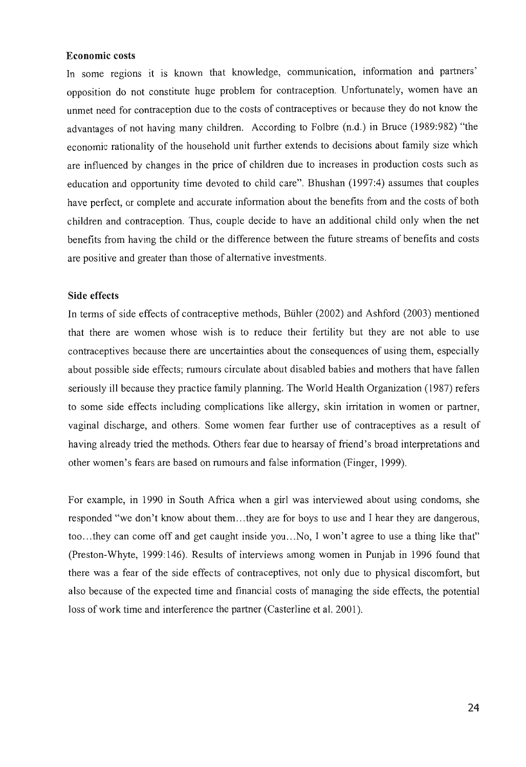#### **Economic costs**

**In** some regions it is known that knowledge, communication, information and partners' opposition do not constitute huge problem for contraception. Unfortunately, women have an unmet need for contraception due to the costs of contraceptives or because they do not know the advantages of not having many children. According to Folbre (n.d.) in Bruce (1989:982) "the economic rationality of the household unit further extends to decisions about family size which are influenced by changes in the price of children due to increases in production costs such as education and opportunity time devoted to child care". Bhushan (1997:4) assumes that couples have perfect, or complete and accurate information about the benefits from and the costs of both children and contraception. Thus, couple decide to have an additional child only when the net benefits from having the child or the difference between the future streams of benefits and costs are positive and greater than those of alternative investments.

#### **Side effects**

**In** terms of side effects of contraceptive methods, Buhler (2002) and Ashford (2003) mentioned that there are women whose wish is to reduce their fertility but they are not able to use contraceptives because there are uncertainties about the consequences of using them, especially about possible side effects; rumours circulate about disabled babies and mothers that have fallen seriously ill because they practice family planning. The World Health Organization (1987) refers to some side effects including complications like allergy, skin irritation in women or partner, vaginal discharge, and others. Some women fear further use of contraceptives as a result of having already tried the methods. Others fear due to hearsay of friend's broad interpretations and other women's fears are based on rumours and false information (Finger, 1999).

For example, in 1990 in South Africa when a girl was interviewed about using condoms, she responded "we don't know about them ... they are for boys to use and I hear they are dangerous, too... they can come off and get caught inside you... No, I won't agree to use a thing like that" (Preston-Whyte, 1999: 146). Results of interviews among women in Punjab in 1996 found that there was a fear of the side effects of contraceptives, not only due to physical discomfort, but also because of the expected time and financial costs of managing the side effects, the potential loss of work time and interference the partner (Casterline et al. 2001).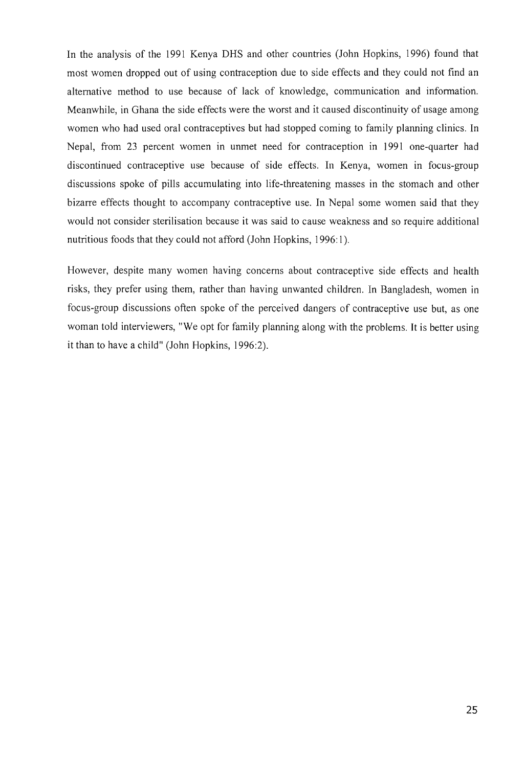In the analysis of the 1991 Kenya DHS and other countries (John Hopkins, 1996) found that most women dropped out of using contraception due to side effects and they could not find an alternative method to use because of lack of knowledge, communication and information. Meanwhile, in Ghana the side effects were the worst and it caused discontinuity of usage among women who had used oral contraceptives but had stopped coming to family planning clinics. In Nepal, from 23 percent women in unmet need for contraception in 1991 one-quarter had discontinued contraceptive use because of side effects. In Kenya, women in focus-group discussions spoke of pills accumulating into life-threatening masses in the stomach and other bizarre effects thought to accompany contraceptive use. In Nepal some women said that they would not consider sterilisation because it was said to cause weakness and so require additional nutritious foods that they could not afford (John Hopkins, 1996:1).

However, despite many women having concerns about contraceptive side effects and health risks, they prefer using them, rather than having unwanted children. In Bangladesh, women in focus-group discussions often spoke of the perceived dangers of contraceptive use but, as one woman told interviewers, "We opt for family planning along with the problems. It is better using it than to have a child" (John Hopkins, 1996:2).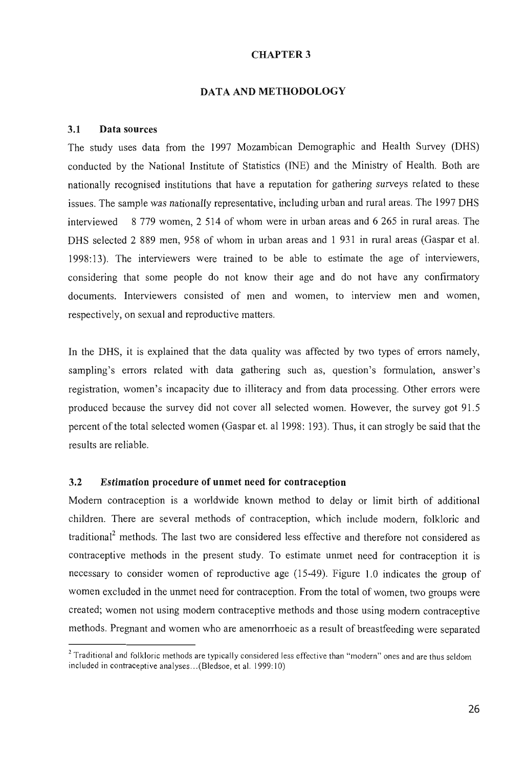#### CHAPTER 3

#### DATA AND METHODOLOGY

#### 3.1 Data sources

The study uses data from the 1997 Mozambican Demographic and Health Survey (DHS) conducted by the National Institute of Statistics (INE) and the Ministry of Health. Both are nationally recognised institutions that have a reputation for gathering surveys related to these issues. The sample was nationally representative, including urban and rural areas. The 1997 DHS interviewed 8 779 women, 2 514 of whom were in urban areas and 6 265 in rural areas. The DHS selected 2 889 men, 958 of whom in urban areas and 1 931 in rural areas (Gaspar et al. 1998: 13). The interviewers were trained to be able to estimate the age of interviewers, considering that some people do not know their age and do not have any confirmatory documents. Interviewers consisted of men and women, to interview men and women, respectively, on sexual and reproductive matters.

In the DHS, it is explained that the data quality was affected by two types of errors namely, sampling's errors related with data gathering such as, question's formulation, answer's registration, women's incapacity due to illiteracy and from data processing. Other errors were produced because the survey did not cover all selected women. However, the survey got 91.5 percent of the total selected women (Gaspar et. a11998: 193). Thus, it can strog1y be said that the results are reliable.

### 3.2 Estimation procedure of unmet need for contraception

Modem contraception is a worldwide known method to delay or limit birth of additional children. There are several methods of contraception, which include modem, folkloric and traditional<sup>2</sup> methods. The last two are considered less effective and therefore not considered as contraceptive methods in the present study. To estimate unmet need for contraception it is necessary to consider women of reproductive age (15-49). Figure 1.0 indicates the group of women excluded in the unmet need for contraception. From the total of women, two groups were created; women not using modem contraceptive methods and those using modem contraceptive methods. Pregnant and women who are amenorrhoeic as a result of breastfeeding were separated

<sup>&</sup>lt;sup>2</sup> Traditional and folkloric methods are typically considered less effective than "modern" ones and are thus seldom included in contraceptive analyses .. . (Bledsoe, et al. 1999:10)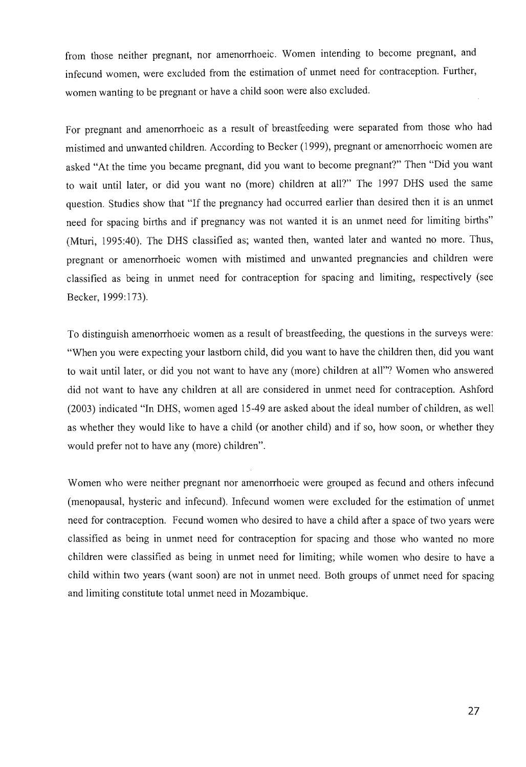from those neither pregnant, nor amenorrhoeic. Women intending to become pregnant, and infecund women, were excluded from the estimation of unmet need for contraception. Further, women wanting to be pregnant or have a child soon were also excluded.

For pregnant and amenorrhoeic as a result of breastfeeding were separated from those who had mistimed and unwanted children. According to Becker (1999), pregnant or amenorrhoeic women are asked "At the time you became pregnant, did you want to become pregnant?" Then "Did you want to wait until later, or did you want no (more) children at all?" The 1997 DRS used the same question. Studies show that "If the pregnancy had occurred earlier than desired then it is an unmet need for spacing births and if pregnancy was not wanted it is an unmet need for limiting births" (Mturi, 1995:40). The DHS classified as; wanted then, wanted later and wanted no more. Thus, pregnant or amenorrhoeic women with mistimed and unwanted pregnancies and children were classified as being in unmet need for contraception for spacing and limiting, respectively (see Becker, 1999: 173).

To distinguish amenorrhoeic women as a result of breastfeeding, the questions in the surveys were: "When you were expecting your lastbom child, did you want to have the children then, did you want to wait until later, or did you not want to have any (more) children at all"? Women who answered did not want to have any children at all are considered in unmet need for contraception. Ashford (2003) indicated "In DHS, women aged 15-49 are asked about the ideal number of children, as well as whether they would like to have a child (or another child) and if so, how soon, or whether they would prefer not to have any (more) children".

Women who were neither pregnant nor amenorrhoeic were grouped as fecund and others infecund (menopausal, hysteric and infecund). Infecund women were excluded for the estimation of unmet need for contraception. Fecund women who desired to have a child after a space of two years were classified as being in unmet need for contraception for spacing and those who wanted no more children were classified as being in unmet need for limiting; while women who desire to have a child within two years (want soon) are not in unmet need. Both groups of unmet need for spacing and limiting constitute total unmet need in Mozambique.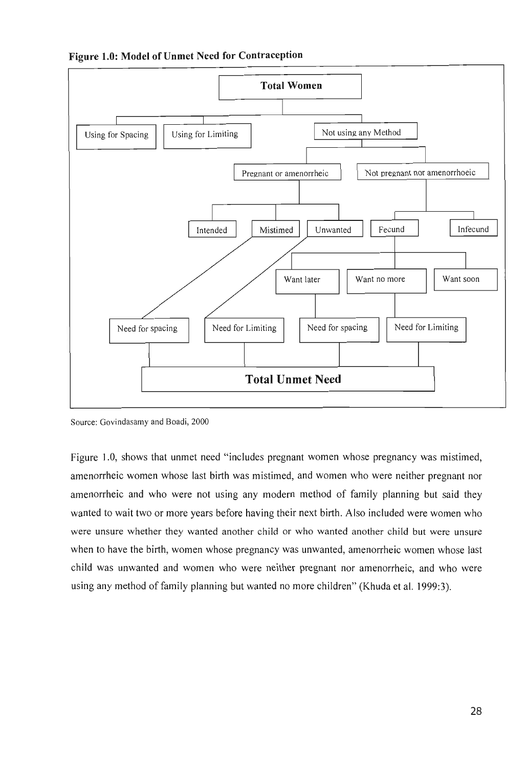



Source: Govindasamy and Boadi, 2000

Figure 1.0, shows that unmet need "includes pregnant women whose pregnancy was mistimed, amenorrheic women whose last birth was mistimed, and women who were neither pregnant nor amenorrheic and who were not using any modem method of family planning but said they wanted to wait two or more years before having their next birth. Also included were women who were unsure whether they wanted another child or who wanted another child but were unsure when to have the birth, women whose pregnancy was unwanted, amenorrheic women whose last child was unwanted and women who were neither pregnant nor amenorrheic, and who were using any method of family planning but wanted no more children" (Khuda et al. 1999:3).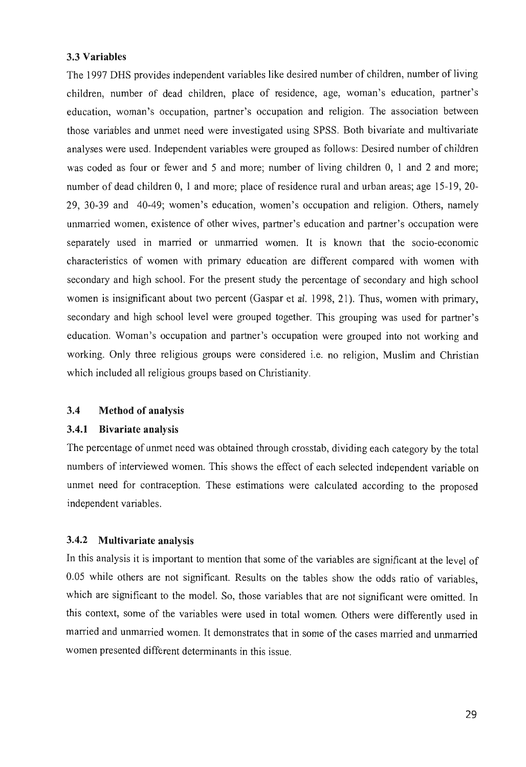### 3.3 Variables

The 1997 DHS provides independent variables like desired number of children, number of living children, number of dead children, place of residence, age, woman's education, partner's education, woman's occupation, partner's occupation and religion. The association between those variables and unmet need were investigated using SPSS. Both bivariate and multivariate analyses were used. Independent variables were grouped as follows: Desired number of children was coded as four or fewer and 5 and more; number of living children 0, 1 and 2 and more; number of dead children 0, 1 and more; place of residence rural and urban areas; age 15-19, 20- 29, 30-39 and 40-49; women's education, women's occupation and religion. Others, namely unmarried women, existence of other wives, partner's education and partner's occupation were separately used in married or unmarried women. It is known that the socio-economic characteristics of women with primary education are different compared with women with secondary and high school. For the present study the percentage of secondary and high school women is insignificant about two percent (Gaspar et al. 1998, 21). Thus, women with primary, secondary and high school level were grouped together. This grouping was used for partner's education. Woman's occupation and partner's occupation were grouped into not working and working. Only three religious groups were considered i.e. no religion, Muslim and Christian which included all religious groups based on Christianity.

## 3.4 Method of analysis

### 3.4.1 Bivariate analysis

The percentage of unmet need was obtained through crosstab, dividing each category by the total numbers of interviewed women. This shows the effect of each selected independent variable on unmet need for contraception. These estimations were calculated according to the proposed independent variables.

## 3.4.2 Multivariate analysis

In this analysis it is important to mention that some of the variables are significant at the level of 0.05 while others are not significant. Results on the tables show the odds ratio of variables, which are significant to the model. So, those variables that are not significant were omitted. In this context, some of the variables were used in total women. Others were differently used in married and unmarried women. It demonstrates that in some of the cases married and unmarried women presented different determinants in this issue.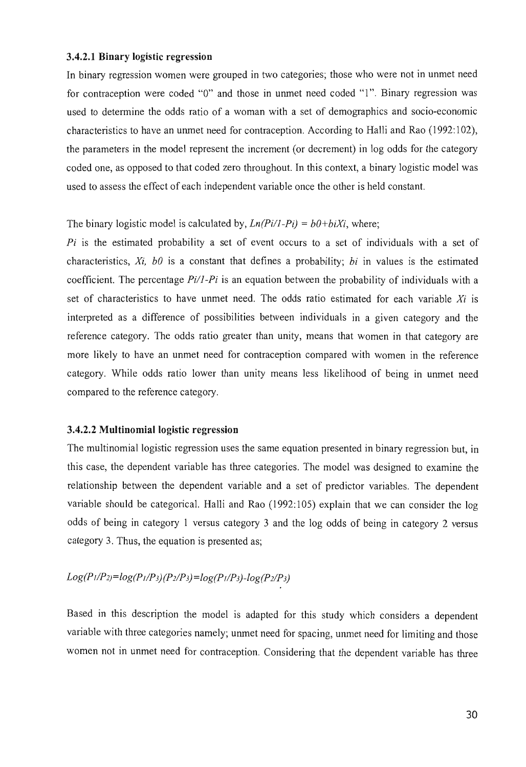#### 3.4.2.1 Binary logistic regression

In binary regression women were grouped in two categories; those who were not in unmet need for contraception were coded "0" and those in unmet need coded "1". Binary regression was used to determine the odds ratio of a woman with a set of demographics and socio-economic characteristics to have an unmet need for contraception. According to Halli and Rao (1992:102), the parameters in the model represent the increment (or decrement) in log odds for the category coded one, as opposed to that coded zero throughout. In this context, a binary logistic model was used to assess the effect of each independent variable once the other is held constant.

## The binary logistic model is calculated by,  $Ln(Pi/1-Pi) = b0+biXi$ , where;

*Pi* is the estimated probability a set of event occurs to a set of individuals with a set of characteristics, *Xi, bO* is a constant that defines a probability; *bi* in values is the estimated coefficient. The percentage *Pi/1-Pi* is an equation between the probability of individuals with a set of characteristics to have unmet need. The odds ratio estimated for each variable *Xi* is interpreted as a difference of possibilities between individuals in a given category and the reference category. The odds ratio greater than unity, means that women in that category are more likely to have an unmet need for contraception compared with women in the reference category. While odds ratio lower than unity means less likelihood of being in unmet need compared to the reference category.

## 3.4.2.2 Multinomial logistic regression

The multinomial logistic regression uses the same equation presented in binary regression but, in this case, the dependent variable has three categories. The model was designed to examine the relationship between the dependent variable and a set of predictor variables. The dependent variable should be categorical. Halli and Rao (1992: 105) explain that we can consider the log odds of being in category 1 versus category 3 and the log odds of being in category 2 versus category 3. Thus, the equation is presented as;

# *Log(P /IP2)=log(P /IP3j(P2IP3}=log(P /IP3}-log(P2IP3}*

Based in this description the model is adapted for this study which considers a dependent variable with three categories namely; unmet need for spacing, unmet need for limiting and those women not in unmet need for contraception. Considering that the dependent variable has three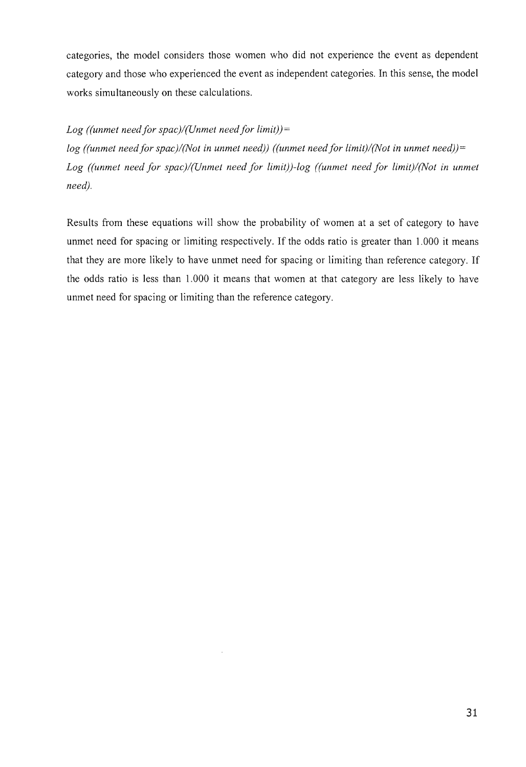categories, the model considers those women who did not experience the event as dependent category and those who experienced the event as independent categories. In this sense, the model works simultaneously on these calculations.

# Log ((unmet need for spac)/(Unmet need for limit)) =

*log ((unmet need for spac)/(Not in unmet need)) ((unmet need for limit)/(Not in unmet need))* = Log ((unmet need for spac)/(Unmet need for limit))-log ((unmet need for limit)/(Not in unmet *need).* 

Results from these equations will show the probability of women at a set of category to have unmet need for spacing or limiting respectively. If the odds ratio is greater than 1.000 it means that they are more likely to have unmet need for spacing or limiting than reference category. If the odds ratio is less than 1.000 it means that women at that category are less likely to have unmet need for spacing or limiting than the reference category.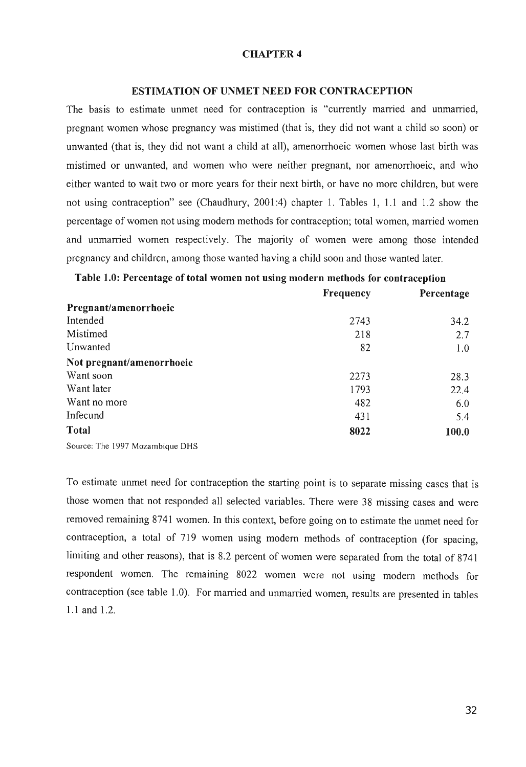### CHAPTER 4

#### ESTIMA TION OF UNMET NEED FOR CONTRACEPTION

The basis to estimate unmet need for contraception is "currently married and unmarried, pregnant women whose pregnancy was mistimed (that is, they did not want a child so soon) or unwanted (that is, they did not want a child at all), amenorrhoeic women whose last birth was mistimed or unwanted, and women who were neither pregnant, nor amenorrhoeic, and who either wanted to wait two or more years for their next birth, or have no more children, but were not using contraception" see (Chaudhury, 2001:4) chapter 1. Tables 1, 1.1 and 1.2 show the percentage of women not using modem methods for contraception; total women, married women and unmarried women respectively. The majority of women were among those intended pregnancy and children, among those wanted having a child soon and those wanted later.

|                                            | Frequency | Percentage |
|--------------------------------------------|-----------|------------|
| Pregnant/amenorrhoeic                      |           |            |
| Intended                                   | 2743      | 34.2       |
| Mistimed                                   | 218       | 2.7        |
| Unwanted                                   | 82        | 1.0        |
| Not pregnant/amenorrhoeic                  |           |            |
| Want soon                                  | 2273      | 28.3       |
| Want later                                 | 1793      | 22.4       |
| Want no more                               | 482       | 6.0        |
| Infecund                                   | 431       | 5.4        |
| <b>Total</b>                               | 8022      | 100.0      |
| $0.$ $\sqrt{11}$ $1007M$ $11$ $\sqrt{110}$ |           |            |

Table 1.0: Percentage of total women not using modern methods for contraception

Source: The 1997 Mozambique DHS

To estimate unmet need for contraception the starting point is to separate missing cases that is those women that not responded all selected variables. There were 38 missing cases and were removed remaining 8741 women. In this context, before going on to estimate the unmet need for contraception, a total of 719 women using modem methods of contraception (for spacing, limiting and other reasons), that is 8.2 percent of women were separated from the total of 8741 respondent women. The remaining 8022 women were not using modem methods for contraception (see table 1.0). For married and unmarried women, results are presented in tables 1.1 and 1.2.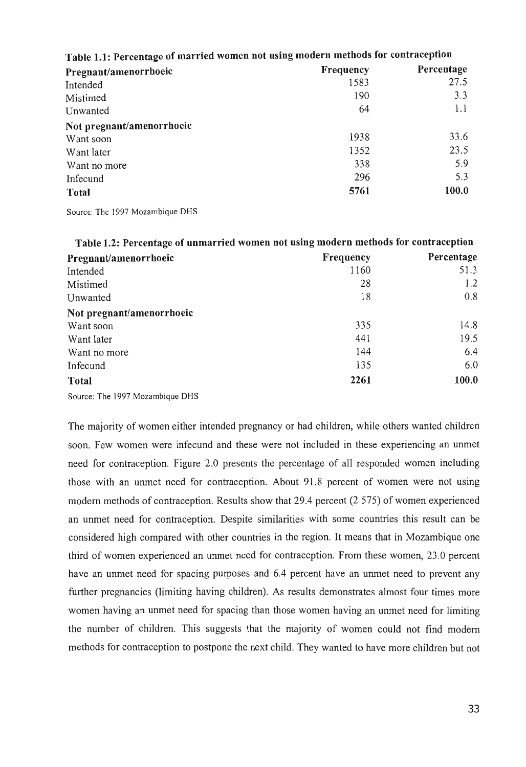| Table 1.1: Percentage of married women not using modern methods for contraception |           |            |  |
|-----------------------------------------------------------------------------------|-----------|------------|--|
| Pregnant/amenorrhoeic                                                             | Frequency | Percentage |  |
| Intended                                                                          | 1583      | 27.5       |  |
| Mistimed                                                                          | 190       | 3.3        |  |
| Unwanted                                                                          | 64        | 1.1        |  |
| Not pregnant/amenorrhoeic                                                         |           |            |  |
| Want soon                                                                         | 1938      | 33.6       |  |
| Want later                                                                        | 1352      | 23.5       |  |
| Want no more                                                                      | 338       | 5.9        |  |
| Infecund                                                                          | 296       | 5.3        |  |
| <b>Total</b>                                                                      | 5761      | 100.0      |  |
|                                                                                   |           |            |  |

# **Table 1.1: Percentage of married women not using modern methods for contraception**

Source: The 1997 Mozambique DHS

| Table 1.2: Percentage of unmarried women not using modern methods for contraception |           |            |  |
|-------------------------------------------------------------------------------------|-----------|------------|--|
| Pregnant/amenorrhoeic                                                               | Frequency | Percentage |  |
| Intended                                                                            | 1160      | 51.3       |  |
| Mistimed                                                                            | 28        | 1.2        |  |
| Unwanted                                                                            | 18        | 0.8        |  |
| Not pregnant/amenorrhoeic                                                           |           |            |  |
| Want soon                                                                           | 335       | 14.8       |  |
| Want later                                                                          | 441       | 19.5       |  |
| Want no more                                                                        | 144       | 6.4        |  |
| Infecund                                                                            | 135       | 6.0        |  |
| <b>Total</b>                                                                        | 2261      | 100.0      |  |

Source: The 1997 Mozambique DHS

The majority of women either intended pregnancy or had children, while others wanted children soon. Few women were infecund and these were not included in these experiencing an unmet need for contraception. Figure 2.0 presents the percentage of all responded women including those with an unmet need for contraception. About 91.8 percent of women were not using modem methods of contraception. Results show that 29.4 percent (2 575) of women experienced an unmet need for contraception. Despite similarities with some countries this result can be considered high compared with other countries in the region. It means that in Mozambique one third of women experienced an unmet need for contraception. From these women, 23.0 percent have an unmet need for spacing purposes and 6.4 percent have an unmet need to prevent any further pregnancies (limiting having children). As results demonstrates almost four times more women having an unmet need for spacing than those women having an unmet need for limiting the number of children. This suggests that the majority of women could not find modem methods for contraception to postpone the next child. They wanted to have more children but not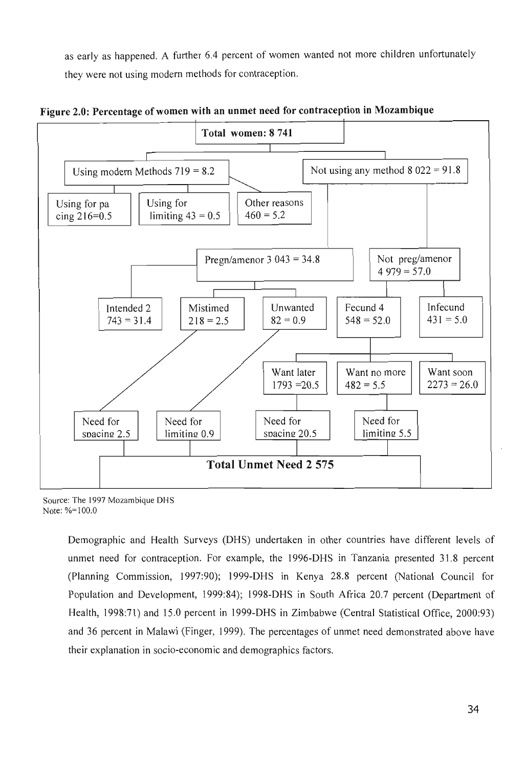as early as happened. A further 6.4 percent of women wanted not more children unfortunately they were not using modern methods for contraception.



**Figure 2.0: Percentage** of women **with an unmet need for contraception in Mozambique** 

Source: The 1997 Mozambique DHS Note: %=100.0

Demographic and Health Surveys (DHS) undertaken in other countries have different levels of unmet need for contraception. For example, the 1996-DHS in Tanzania presented 31.8 percent (Planning Commission, 1997:90); 1999-DHS in Kenya 28.8 percent (National Council for Population and Development, 1999:84); 1998-DHS in South Africa 20.7 percent (Department of Health, 1998:71) and 15.0 percent in 1999-DHS in Zimbabwe (Central Statistical Office, 2000:93) and 36 percent in Malawi (Finger, 1999). The percentages of unmet need demonstrated above have their explanation in socio-economic and demographics factors.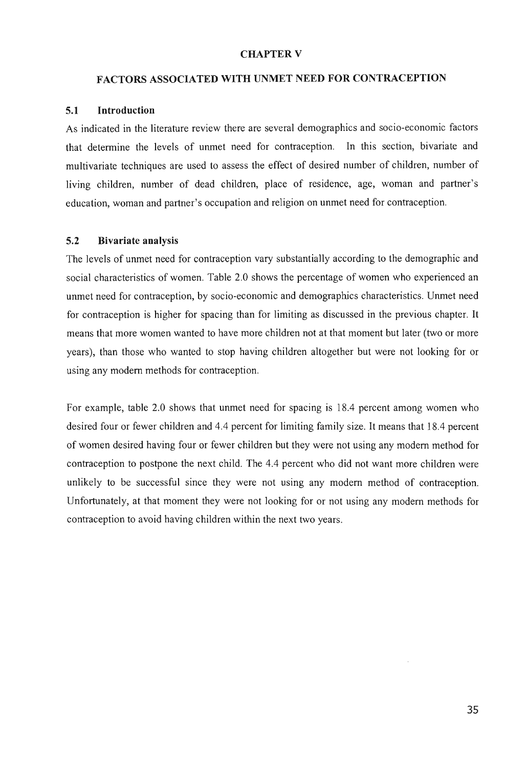### CHAPTER V

### FACTORS ASSOCIATED WITH UNMET NEED FOR CONTRACEPTION

## 5.1 Introduction

As indicated in the literature review there are several demographics and socio-economic factors that determine the levels of unrnet need for contraception. In this section, bivariate and multivariate techniques are used to assess the effect of desired number of children, number of living children, number of dead children, place of residence, age, woman and partner's education, woman and partner's occupation and religion on unrnet need for contraception.

## 5.2 Bivariate analysis

The levels of unrnet need for contraception vary substantially according to the demographic and social characteristics of women. Table 2.0 shows the percentage of women who experienced an unmet need for contraception, by socio-economic and demographics characteristics. Unrnet need for contraception is higher for spacing than for limiting as discussed in the previous chapter. It means that more women wanted to have more children not at that moment but later (two or more years), than those who wanted to stop having children altogether but were not looking for or using any modem methods for contraception.

For example, table 2.0 shows that unmet need for spacing is 18.4 percent among women who desired four or fewer children and 4.4 percent for limiting family size. It means that 18.4 percent of women desired having four or fewer children but they were not using any modem method for contraception to postpone the next child. The 4.4 percent who did not want more children were unlikely to be successful since they were not using any modem method of contraception. Unfortunately, at that moment they were not looking for or not using any modem methods for contraception to avoid having children within the next two years.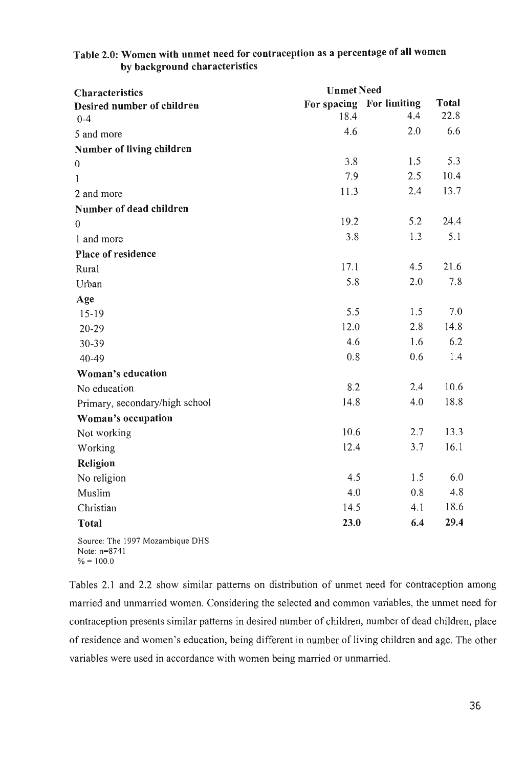| Characteristics                | <b>Unmet Need</b> |                          |              |
|--------------------------------|-------------------|--------------------------|--------------|
| Desired number of children     |                   | For spacing For limiting | <b>Total</b> |
| $0 - 4$                        | 18.4              | 4.4                      | 22.8         |
| 5 and more                     | 4.6               | 2.0                      | 6.6          |
| Number of living children      |                   |                          |              |
| $\boldsymbol{0}$               | 3.8               | 1.5                      | 5.3          |
| $\mathbf{1}$                   | 7.9               | 2.5                      | 10.4         |
| 2 and more                     | 11.3              | 2.4                      | 13.7         |
| Number of dead children        |                   |                          |              |
| $\theta$                       | 19.2              | 5.2                      | 24.4         |
| 1 and more                     | 3.8               | 1.3                      | 5.1          |
| Place of residence             |                   |                          |              |
| Rural                          | 17.1              | 4.5                      | 21.6         |
| Urban                          | 5.8               | 2.0                      | 7.8          |
| Age                            |                   |                          |              |
| $15-19$                        | 5.5               | 1.5                      | 7.0          |
| $20 - 29$                      | 12.0              | 2.8                      | 14.8         |
| 30-39                          | 4.6               | 1.6                      | 6.2          |
| 40-49                          | 0.8               | 0.6                      | 1.4          |
| Woman's education              |                   |                          |              |
| No education                   | 8.2               | 2.4                      | 10.6         |
| Primary, secondary/high school | 14.8              | 4.0                      | 18.8         |
| Woman's occupation             |                   |                          |              |
| Not working                    | 10.6              | 2.7                      | 13.3         |
| Working                        | 12.4              | 3.7                      | 16.1         |
| Religion                       |                   |                          |              |
| No religion                    | 4.5               | 1.5                      | 6.0          |
| Muslim                         | 4.0               | 0.8                      | 4.8          |
| Christian                      | 14.5              | 4.1                      | 18.6         |
| <b>Total</b>                   | 23.0              | 6.4                      | 29.4         |

# Table 2.0: Women with unmet need for contraception as a percentage of all women by background characteristics

Source: The 1997 Mozambique DHS Note: n=8741  $\% = 100.0$ 

Tables 2.1 and 2.2 show similar patterns on distribution of unmet need for contraception among married and unmarried women. Considering the selected and common variables, the unmet need for contraception presents similar patterns in desired number of children, number of dead children, place of residence and women's education, being different in number of living children and age. The other variables were used in accordance with women being married or unmarried.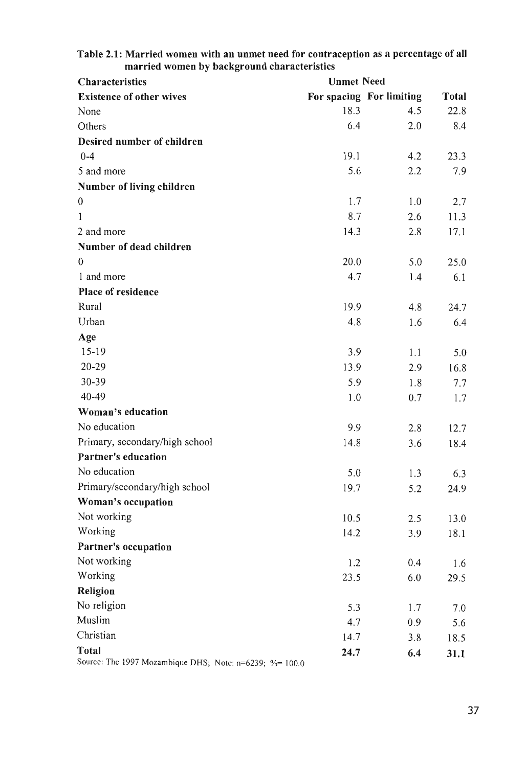| married women by background characteristics<br><b>Characteristics</b><br><b>Unmet Need</b> |      |                          |                      |
|--------------------------------------------------------------------------------------------|------|--------------------------|----------------------|
| <b>Existence of other wives</b>                                                            |      | For spacing For limiting |                      |
| None                                                                                       | 18.3 | 4.5                      | <b>Total</b><br>22.8 |
| Others                                                                                     | 6.4  | 2.0                      | 8.4                  |
|                                                                                            |      |                          |                      |
| Desired number of children                                                                 |      |                          |                      |
| $0 - 4$                                                                                    | 19.1 | 4.2                      | 23.3                 |
| 5 and more                                                                                 | 5.6  | 2.2                      | 7.9                  |
| Number of living children                                                                  |      |                          |                      |
| $\boldsymbol{0}$                                                                           | 1.7  | 1.0                      | 2.7                  |
| 1                                                                                          | 8.7  | 2.6                      | 11.3                 |
| 2 and more                                                                                 | 14.3 | 2.8                      | 17.1                 |
| Number of dead children                                                                    |      |                          |                      |
| $\theta$                                                                                   | 20.0 | 5.0                      | 25.0                 |
| 1 and more                                                                                 | 4.7  | 1.4                      | 6.1                  |
| Place of residence                                                                         |      |                          |                      |
| Rural                                                                                      | 19.9 | 4.8                      | 24.7                 |
| Urban                                                                                      | 4.8  | 1.6                      | 6.4                  |
| Age                                                                                        |      |                          |                      |
| $15-19$                                                                                    | 3.9  | 1.1                      | 5.0                  |
| $20 - 29$                                                                                  | 13.9 | 2.9                      | 16.8                 |
| 30-39                                                                                      | 5.9  | 1.8                      | 7.7                  |
| 40-49                                                                                      | 1.0  | 0.7                      | 1.7                  |
| Woman's education                                                                          |      |                          |                      |
| No education                                                                               | 9.9  | 2.8                      | 12.7                 |
| Primary, secondary/high school                                                             | 14.8 | 3.6                      | 18.4                 |
| Partner's education                                                                        |      |                          |                      |
| No education                                                                               | 5.0  | 1.3                      | 6.3                  |
| Primary/secondary/high school                                                              | 19.7 | 5.2                      | 24.9                 |
| Woman's occupation                                                                         |      |                          |                      |
| Not working                                                                                | 10.5 | 2.5                      | 13.0                 |
| Working                                                                                    | 14.2 | 3.9                      | 18.1                 |
| Partner's occupation                                                                       |      |                          |                      |
| Not working                                                                                | 1.2  | 0.4                      | 1.6                  |
| Working                                                                                    | 23.5 | 6.0                      | 29.5                 |
| Religion                                                                                   |      |                          |                      |
| No religion                                                                                | 5.3  | 1.7                      | 7.0                  |
| Muslim                                                                                     | 4.7  | 0.9                      | 5.6                  |
| Christian                                                                                  | 14.7 | 3.8                      | 18.5                 |
| <b>Total</b>                                                                               | 24.7 | 6.4                      | 31.1                 |
| Source: The 1997 Mozambique DHS; Note: n=6239; %= 100.0                                    |      |                          |                      |

# Table 2.1: Married women with an unmet need for contraception as a percentage of all married women by background characteristics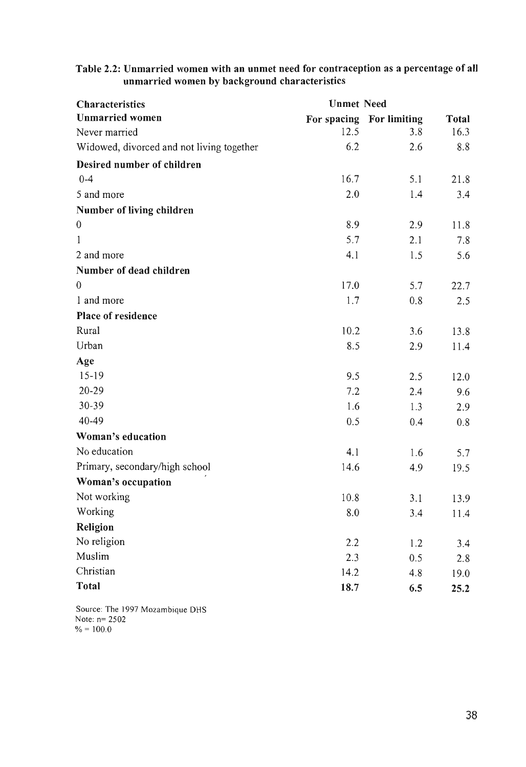| <b>Characteristics</b>                    | <b>Unmet Need</b> |                          |          |
|-------------------------------------------|-------------------|--------------------------|----------|
| <b>Unmarried women</b>                    |                   | For spacing For limiting | Total    |
| Never married                             | 12.5              | 3.8                      | 16.3     |
| Widowed, divorced and not living together | 6.2               | 2.6                      | 8.8      |
| Desired number of children                |                   |                          |          |
| $0 - 4$                                   | 16.7              | 5.1                      | 21.8     |
| 5 and more                                | 2.0               | 1.4                      | 3.4      |
| Number of living children                 |                   |                          |          |
| $\boldsymbol{0}$                          | 8.9               | 2.9                      | 11.8     |
| 1                                         | 5.7               | 2.1                      | 7.8      |
| 2 and more                                | 4.1               | 1.5                      | 5.6      |
| Number of dead children                   |                   |                          |          |
| $\theta$                                  | 17.0              | 5.7                      | 22.7     |
| 1 and more                                | 1.7               | 0.8                      | 2.5      |
| Place of residence                        |                   |                          |          |
| Rural                                     | 10.2              | 3.6                      | 13.8     |
| Urban                                     | 8.5               | 2.9                      | 11.4     |
| Age                                       |                   |                          |          |
| $15-19$                                   | 9.5               | 2.5                      | 12.0     |
| 20-29                                     | 7.2               | 2.4                      | 9.6      |
| 30-39                                     | 1.6               | 1.3                      | 2.9      |
| 40-49                                     | 0.5               | 0.4                      | 0.8      |
| Woman's education                         |                   |                          |          |
| No education                              | 4.1               | 1.6                      | 5.7      |
| Primary, secondary/high school            | 14.6              | 4.9                      | 19.5     |
| Woman's occupation                        |                   |                          |          |
| Not working                               | 10.8              | 3.1                      | 13.9     |
| Working                                   | 8.0               | 3.4                      | $11.4\,$ |
| Religion                                  |                   |                          |          |
| No religion                               | 2.2               | 1.2                      | 3.4      |
| Muslim                                    | 2.3               | 0.5                      | 2.8      |
| Christian                                 | 14.2              | 4.8                      | 19.0     |
| <b>Total</b>                              | 18.7              | 6.5                      | 25.2     |

Table 2.2: Unmarried women with an unmet need for contraception as a percentage of aU unmarried women by background characteristics

Source: The 1997 Mozambique DHS Note: n= 2502  $\% = 100.0$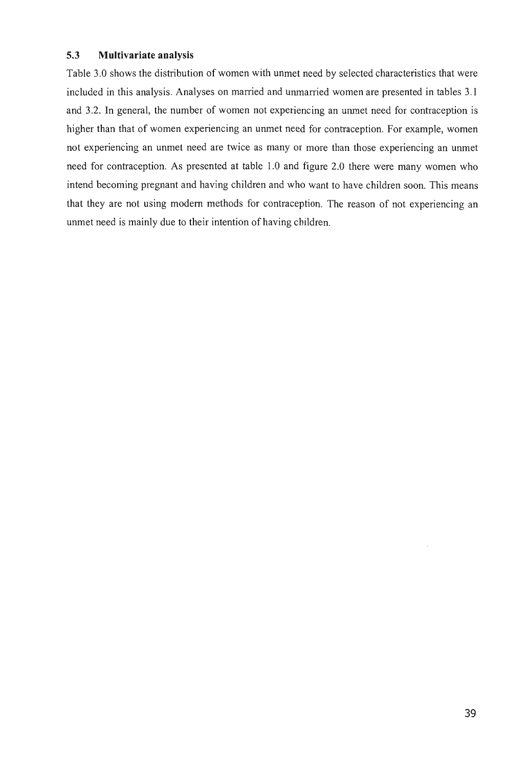# **5.3 Multivariate analysis**

Table 3.0 shows the distribution of women with unmet need by selected characteristics that were included in this analysis. Analyses on married and unmarried women are presented in tables 3.1 and 3.2. **In** general, the number of women not experiencing an unmet need for contraception is higher than that of women experiencing an unmet need for contraception. For example, women not experiencing an unmet need are twice as many or more than those experiencing an unmet need for contraception. As presented at table 1.0 and figure 2.0 there were many women who intend becoming pregnant and having children and who want to have children soon. This means that they are not using modem methods for contraception. The reason of not experiencing an unmet need is mainly due to their intention of having children.

 $\overline{\phantom{a}}$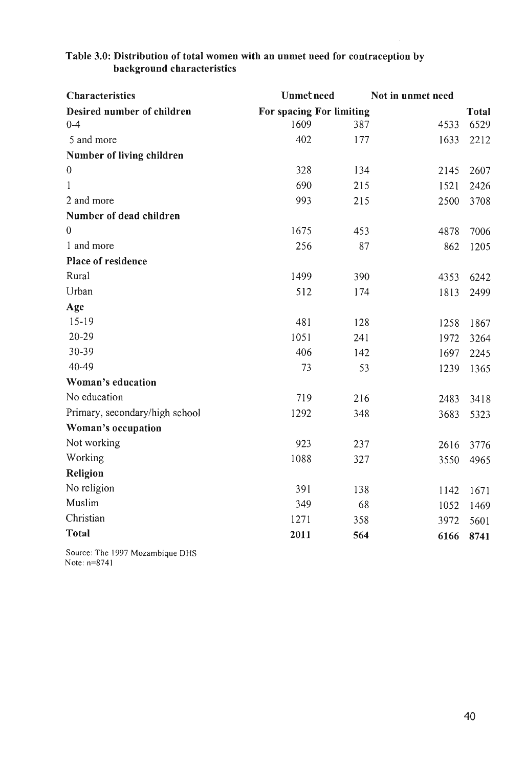| <b>Characteristics</b>         | <b>Unmet need</b>        |     | Not in unmet need |              |
|--------------------------------|--------------------------|-----|-------------------|--------------|
| Desired number of children     | For spacing For limiting |     |                   | <b>Total</b> |
| $0 - 4$                        | 1609                     | 387 | 4533              | 6529         |
| 5 and more                     | 402                      | 177 | 1633              | 2212         |
| Number of living children      |                          |     |                   |              |
| $\mathbf 0$                    | 328                      | 134 | 2145              | 2607         |
| $\mathbf{1}$                   | 690                      | 215 | 1521              | 2426         |
| 2 and more                     | 993                      | 215 | 2500              | 3708         |
| Number of dead children        |                          |     |                   |              |
| $\mathbf{0}$                   | 1675                     | 453 | 4878              | 7006         |
| 1 and more                     | 256                      | 87  | 862               | 1205         |
| Place of residence             |                          |     |                   |              |
| Rural                          | 1499                     | 390 | 4353              | 6242         |
| Urban                          | 512                      | 174 | 1813              | 2499         |
| Age                            |                          |     |                   |              |
| $15-19$                        | 481                      | 128 | 1258              | 1867         |
| $20 - 29$                      | 1051                     | 241 | 1972              | 3264         |
| 30-39                          | 406                      | 142 | 1697              | 2245         |
| 40-49                          | 73                       | 53  | 1239              | 1365         |
| Woman's education              |                          |     |                   |              |
| No education                   | 719                      | 216 | 2483              | 3418         |
| Primary, secondary/high school | 1292                     | 348 | 3683              | 5323         |
| Woman's occupation             |                          |     |                   |              |
| Not working                    | 923                      | 237 | 2616              | 3776         |
| Working                        | 1088                     | 327 | 3550              | 4965         |
| Religion                       |                          |     |                   |              |
| No religion                    | 391                      | 138 | 1142              | 1671         |
| Muslim                         | 349                      | 68  | 1052              | 1469         |
| Christian                      | 1271                     | 358 | 3972              | 5601         |
| <b>Total</b>                   | 2011                     | 564 | 6166              | 8741         |

# Table 3.0: Distribution of total women with an unmet need for contraception by background characteristics

Source: The 1997 Mozambique DHS Note: n=8741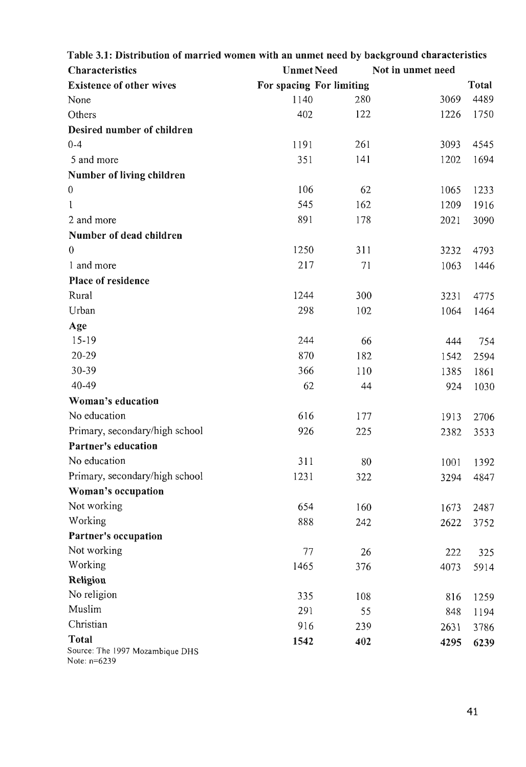| Table 3.1: Distribution of married women with an unmet need by background characteristics |                          |     |                   |       |
|-------------------------------------------------------------------------------------------|--------------------------|-----|-------------------|-------|
| <b>Characteristics</b>                                                                    | <b>Unmet Need</b>        |     | Not in unmet need |       |
| <b>Existence of other wives</b>                                                           | For spacing For limiting |     |                   | Total |
| None                                                                                      | 1140                     | 280 | 3069              | 4489  |
| Others                                                                                    | 402                      | 122 | 1226              | 1750  |
| Desired number of children                                                                |                          |     |                   |       |
| $0 - 4$                                                                                   | 1191                     | 261 | 3093              | 4545  |
| 5 and more                                                                                | 351                      | 141 | 1202              | 1694  |
| Number of living children                                                                 |                          |     |                   |       |
| $\boldsymbol{0}$                                                                          | 106                      | 62  | 1065              | 1233  |
| 1                                                                                         | 545                      | 162 | 1209              | 1916  |
| 2 and more                                                                                | 891                      | 178 | 2021              | 3090  |
| Number of dead children                                                                   |                          |     |                   |       |
| $\overline{0}$                                                                            | 1250                     | 311 | 3232              | 4793  |
| 1 and more                                                                                | 217                      | 71  | 1063              | 1446  |
| <b>Place of residence</b>                                                                 |                          |     |                   |       |
| Rural                                                                                     | 1244                     | 300 | 3231              | 4775  |
| Urban                                                                                     | 298                      | 102 | 1064              | 1464  |
| Age                                                                                       |                          |     |                   |       |
| $15-19$                                                                                   | 244                      | 66  | 444               | 754   |
| $20 - 29$                                                                                 | 870                      | 182 | 1542              | 2594  |
| 30-39                                                                                     | 366                      | 110 | 1385              | 1861  |
| 40-49                                                                                     | 62                       | 44  | 924               | 1030  |
| Woman's education                                                                         |                          |     |                   |       |
| No education                                                                              | 616                      | 177 | 1913              | 2706  |
| Primary, secondary/high school                                                            | 926                      | 225 | 2382              | 3533  |
| <b>Partner's education</b>                                                                |                          |     |                   |       |
| No education                                                                              | 311                      | 80  | 1001              | 1392  |
| Primary, secondary/high school                                                            | 1231                     | 322 | 3294              | 4847  |
| Woman's occupation                                                                        |                          |     |                   |       |
| Not working                                                                               | 654                      | 160 | 1673              | 2487  |
| Working                                                                                   | 888                      | 242 | 2622              | 3752  |
| Partner's occupation                                                                      |                          |     |                   |       |
| Not working                                                                               | 77                       | 26  | 222               | 325   |
| Working                                                                                   | 1465                     | 376 | 4073              | 5914  |
| Religion                                                                                  |                          |     |                   |       |
| No religion                                                                               | 335                      | 108 | 816               | 1259  |
| Muslim                                                                                    | 291                      | 55  | 848               | 1194  |
| Christian                                                                                 | 916                      | 239 | 2631              | 3786  |
| <b>Total</b>                                                                              | 1542                     | 402 | 4295              |       |
| Source: The 1997 Mozambique DHS<br>Note: n=6239                                           |                          |     |                   | 6239  |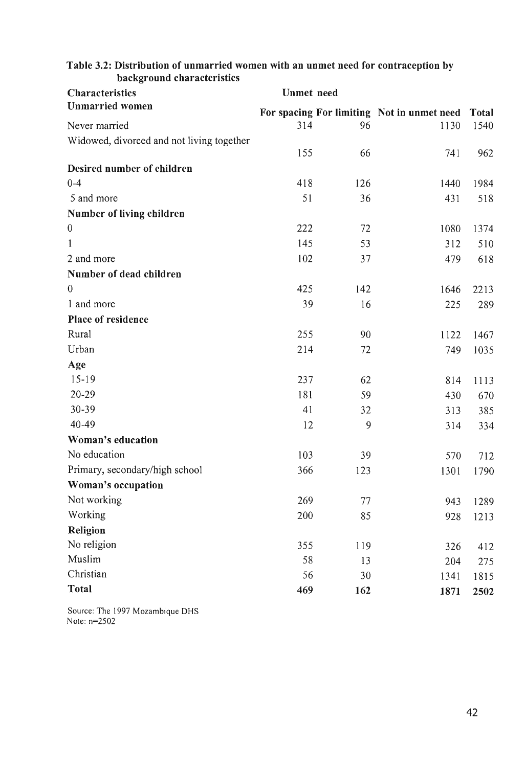| <b>Characteristics</b>                    | <b>Unmet</b> need |     |                                            |              |
|-------------------------------------------|-------------------|-----|--------------------------------------------|--------------|
| <b>Unmarried women</b>                    |                   |     | For spacing For limiting Not in unmet need | <b>Total</b> |
| Never married                             | 314               | 96  | 1130                                       | 1540         |
| Widowed, divorced and not living together |                   |     |                                            |              |
|                                           | 155               | 66  | 741                                        | 962          |
| Desired number of children                |                   |     |                                            |              |
| $0 - 4$                                   | 418               | 126 | 1440                                       | 1984         |
| 5 and more                                | 51                | 36  | 431                                        | 518          |
| Number of living children                 |                   |     |                                            |              |
| $\boldsymbol{0}$                          | 222               | 72  | 1080                                       | 1374         |
| $\mathbf{1}$                              | 145               | 53  | 312                                        | 510          |
| 2 and more                                | 102               | 37  | 479                                        | 618          |
| Number of dead children                   |                   |     |                                            |              |
| $\mathbf{0}$                              | 425               | 142 | 1646                                       | 2213         |
| 1 and more                                | 39                | 16  | 225                                        | 289          |
| Place of residence                        |                   |     |                                            |              |
| Rural                                     | 255               | 90  | 1122                                       | 1467         |
| Urban                                     | 214               | 72  | 749                                        | 1035         |
| Age                                       |                   |     |                                            |              |
| $15-19$                                   | 237               | 62  | 814                                        | 1113         |
| 20-29                                     | 181               | 59  | 430                                        | 670          |
| 30-39                                     | 41                | 32  | 313                                        | 385          |
| 40-49                                     | 12                | 9   | 314                                        | 334          |
| Woman's education                         |                   |     |                                            |              |
| No education                              | 103               | 39  | 570                                        | 712          |
| Primary, secondary/high school            | 366               | 123 | 1301                                       | 1790         |
| Woman's occupation                        |                   |     |                                            |              |
| Not working                               | 269               | 77  | 943                                        | 1289         |
| Working                                   | 200               | 85  | 928                                        | 1213         |
| Religion                                  |                   |     |                                            |              |
| No religion                               | 355               | 119 | 326                                        | 412          |
| Muslim                                    | 58                | 13  | 204                                        | 275          |
| Christian                                 | 56                | 30  | 1341                                       | 1815         |
| Total                                     | 469               | 162 | 1871                                       | 2502         |
|                                           |                   |     |                                            |              |

# Table 3.2: Distribution of unmarried women with an unmet need for contraception by background characteristics

Source: The 1997 Mozambique DHS Note: n=2502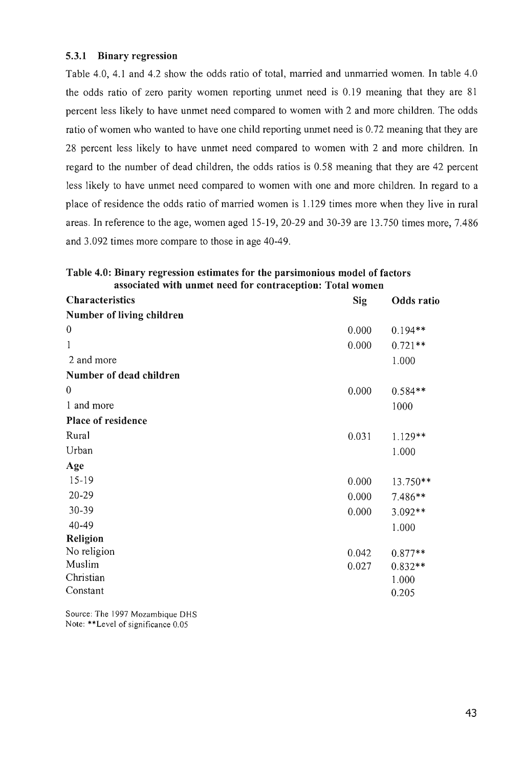## 5.3.1 Binary regression

Table 4.0, 4.1 and 4.2 show the odds ratio of total, married and unmarried women. In table 4.0 the odds ratio of zero parity women reporting unmet need is 0.19 meaning that they are 81 percent less likely to have unmet need compared to women with 2 and more children. The odds ratio of women who wanted to have one child reporting unmet need is 0.72 meaning that they are 28 percent less likely to have unmet need compared to women with 2 and more children. In regard to the number of dead children, the odds ratios is 0.58 meaning that they are 42 percent less likely to have unmet need compared to women with one and more children. In regard to a place of residence the odds ratio of married women is 1.129 times more when they live in rural areas. In reference to the age, women aged 15-19,20-29 and 30-39 are 13.750 times more, 7.486 and 3.092 times more compare to those in age 40-49.

| Table 4.0: Binary regression estimates for the parsimonious model of factors |  |  |
|------------------------------------------------------------------------------|--|--|
| associated with unmet need for contraception: Total women                    |  |  |

| <b>Characteristics</b>    | <b>Sig</b> | Odds ratio |
|---------------------------|------------|------------|
| Number of living children |            |            |
| $\boldsymbol{0}$          | 0.000      | $0.194**$  |
| $\mathbf{1}$              | 0.000      | $0.721**$  |
| 2 and more                |            | 1.000      |
| Number of dead children   |            |            |
| $\theta$                  | 0.000      | $0.584**$  |
| 1 and more                |            | 1000       |
| Place of residence        |            |            |
| Rural                     | 0.031      | $1.129**$  |
| Urban                     |            | 1.000      |
| Age                       |            |            |
| $15-19$                   | 0.000      | 13.750**   |
| $20 - 29$                 | 0.000      | 7.486**    |
| 30-39                     | 0.000      | 3.092**    |
| $40 - 49$                 |            | 1.000      |
| Religion                  |            |            |
| No religion               | 0.042      | $0.877**$  |
| Muslim                    | 0.027      | $0.832**$  |
| Christian                 |            | 1.000      |
| Constant                  |            | 0.205      |

Source: The 1997 Mozambique DHS Note: \*\*Level of significance 0.05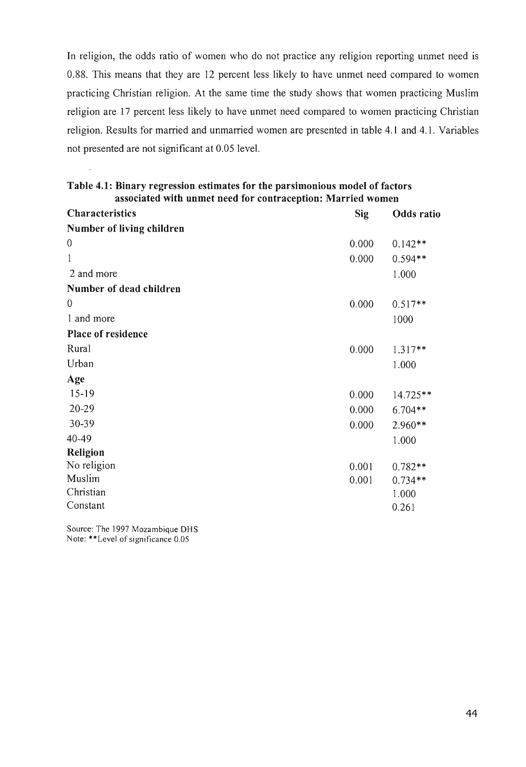In religion, the odds ratio of women who do not practice any religion reporting unmet need is 0.88. This means that they are 12 percent less likely to have unmet need compared to women practicing Christian religion. At the same time the study shows that women practicing Muslim religion are 17 percent less likely to have unmet need compared to women practicing Christian religion. Results for married and unmarried women are presented in table 4.1 and 4.1. Variables not presented are not significant at 0.05 level.

| <b>Characteristics</b>    | <b>Sig</b> | Odds ratio |
|---------------------------|------------|------------|
| Number of living children |            |            |
| $\boldsymbol{0}$          | 0.000      | $0.142**$  |
| 1                         | 0.000      | $0.594**$  |
| 2 and more                |            | 1.000      |
| Number of dead children   |            |            |
| $\mathbf{0}$              | 0.000      | $0.517**$  |
| 1 and more                |            | 1000       |
| Place of residence        |            |            |
| Rural                     | 0.000      | $1.317**$  |
| Urban                     |            | 1.000      |
| Age                       |            |            |
| $15-19$                   | 0.000      | 14.725**   |
| $20 - 29$                 | 0.000      | $6.704**$  |
| 30-39                     | 0.000      | 2.960**    |
| 40-49                     |            | 1.000      |
| <b>Religion</b>           |            |            |
| No religion               | 0.001      | $0.782**$  |
| Muslim                    | 0.001      | $0.734**$  |
| Christian                 |            | 1.000      |
| Constant                  |            | 0.261      |

| Table 4.1: Binary regression estimates for the parsimonious model of factors |
|------------------------------------------------------------------------------|
| associated with unmet need for contraception: Married women                  |

Source: The 1997 Mozambique DHS Note: \*\*Level of significance 0.05

 $\hat{\mathcal{A}}$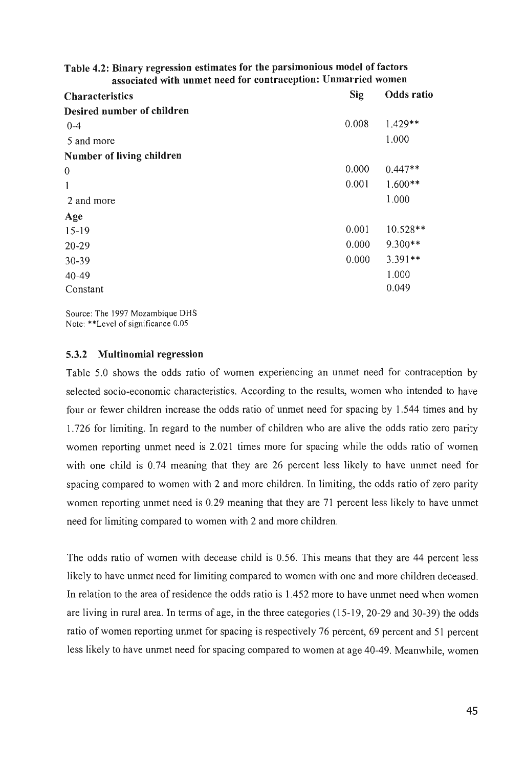| Table 4.2: Binary regression estimates for the parsimonious model of factors |
|------------------------------------------------------------------------------|
| associated with unmet need for contraception: Unmarried women                |

| <b>Characteristics</b>     | Sig   | <b>Odds</b> ratio |
|----------------------------|-------|-------------------|
| Desired number of children |       |                   |
| $0 - 4$                    | 0.008 | 1.429**           |
| 5 and more                 |       | 1.000             |
| Number of living children  |       |                   |
| $\boldsymbol{0}$           | 0.000 | $0.447**$         |
| 1                          | 0.001 | $1.600**$         |
| 2 and more                 |       | 1.000             |
| Age                        |       |                   |
| $15-19$                    | 0.001 | $10.528**$        |
| 20-29                      | 0.000 | 9.300**           |
| 30-39                      | 0.000 | $3.391**$         |
| $40 - 49$                  |       | 1.000             |
| Constant                   |       | 0.049             |

Source: The 1997 Mozambique DHS Note: \*\*Level of significance 0.05

## 5.3.2 Multinomial regression

Table 5.0 shows the odds ratio of women experiencing an unmet need for contraception by selected socio-economic characteristics. According to the results, women who intended to have four or fewer children increase the odds ratio of unmet need for spacing by 1.544 times and by 1.726 for limiting. In regard to the number of children who are alive the odds ratio zero parity women reporting unmet need is 2.021 times more for spacing while the odds ratio of women with one child is 0.74 meaning that they are 26 percent less likely to have unmet need for spacing compared to women with 2 and more children. In limiting, the odds ratio of zero parity women reporting unmet need is 0.29 meaning that they are 71 percent less likely to have unmet need for limiting compared to women with 2 and more children.

The odds ratio of women with decease child is 0.56. This means that they are 44 percent less likely to have unmet need for limiting compared to women with one and more children deceased. In relation to the area of residence the odds ratio is 1.452 more to have unmet need when women are living in rural area. In terms of age, in the three categories (15-19, 20-29 and 30-39) the odds ratio of women reporting unmet for spacing is respectively 76 percent, 69 percent and 51 percent less likely to have unmet need for spacing compared to women at age 40-49. Meanwhile, women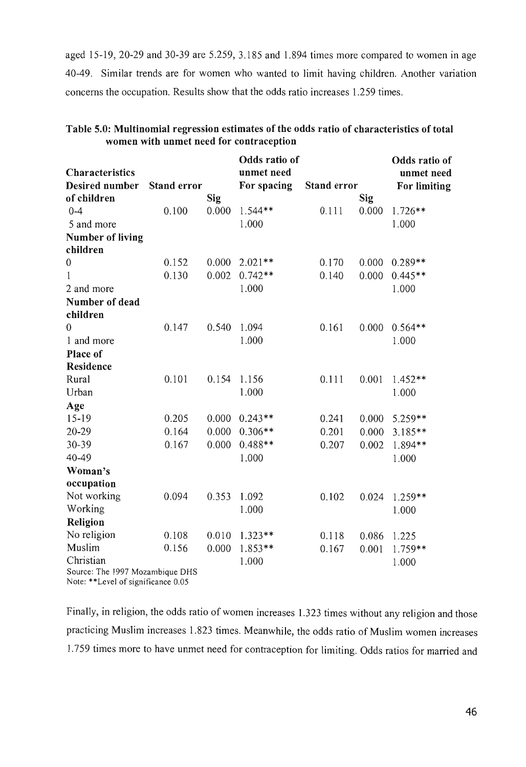aged 15-19,20-29 and 30-39 are 5.259, 3.185 and 1.894 times more compared to women in age 40-49. Similar trends are for women who wanted to limit having children. Another variation concerns the occupation. Results show that the odds ratio increases 1.259 times.

|                                    |                    |       | Odds ratio of |             |            | Odds ratio of |
|------------------------------------|--------------------|-------|---------------|-------------|------------|---------------|
| Characteristics                    |                    |       | unmet need    |             |            | unmet need    |
| Desired number                     | <b>Stand error</b> |       | For spacing   | Stand error |            | For limiting  |
| of children                        |                    | Sig   |               |             | <b>Sig</b> |               |
| $0 - 4$                            | 0.100              | 0.000 | $1.544**$     | 0.111       | 0.000      | $1.726**$     |
| 5 and more                         |                    |       | 1.000         |             |            | 1.000         |
| <b>Number of living</b>            |                    |       |               |             |            |               |
| children                           |                    |       |               |             |            |               |
| $\mathbf{0}$                       | 0.152              | 0.000 | $2.021**$     | 0.170       | 0.000      | $0.289**$     |
| 1                                  | 0.130              | 0.002 | $0.742**$     | 0.140       | 0.000      | $0.445**$     |
| 2 and more                         |                    |       | 1.000         |             |            | 1.000         |
| Number of dead                     |                    |       |               |             |            |               |
| children                           |                    |       |               |             |            |               |
| $\overline{0}$                     | 0.147              | 0.540 | 1.094         | 0.161       | 0.000      | $0.564**$     |
| 1 and more                         |                    |       | 1.000         |             |            | 1.000         |
| Place of                           |                    |       |               |             |            |               |
| Residence                          |                    |       |               |             |            |               |
| Rural                              | 0.101              | 0.154 | 1.156         | 0.111       | 0.001      | $1.452**$     |
| Urban                              |                    |       | 1.000         |             |            | 1.000         |
| Age                                |                    |       |               |             |            |               |
| $15-19$                            | 0.205              | 0.000 | $0.243**$     | 0.241       | 0.000      | 5.259**       |
| $20 - 29$                          | 0.164              | 0.000 | $0.306**$     | 0.201       | 0.000      | $3.185**$     |
| 30-39                              | 0.167              | 0.000 | $0.488**$     | 0.207       | 0.002      | 1.894**       |
| 40-49                              |                    |       | 1.000         |             |            | 1.000         |
| Woman's                            |                    |       |               |             |            |               |
| occupation                         |                    |       |               |             |            |               |
| Not working                        | 0.094              | 0.353 | 1.092         | 0.102       | 0.024      | 1.259**       |
| Working                            |                    |       | 1.000         |             |            | 1.000         |
| Religion                           |                    |       |               |             |            |               |
| No religion                        | 0.108              | 0.010 | $1.323**$     | 0.118       | 0.086      | 1.225         |
| Muslim                             | 0.156              | 0.000 | 1.853**       | 0.167       | 0.001      | 1.759**       |
| Christian                          |                    |       | 1.000         |             |            | 1.000         |
| Source: The 1997 Mozambique DHS    |                    |       |               |             |            |               |
| Note: **Level of significance 0.05 |                    |       |               |             |            |               |

## Table 5.0: Multinomial regression estimates of the odds ratio of characteristics of total women with unmet need for contraception

Finally, in religion, the odds ratio of women increases 1.323 times without any religion and those practicing Muslim increases 1.823 times. Meanwhile, the odds ratio of Muslim women increases 1.759 times more to have unmet need for contraception for limiting. Odds ratios for married and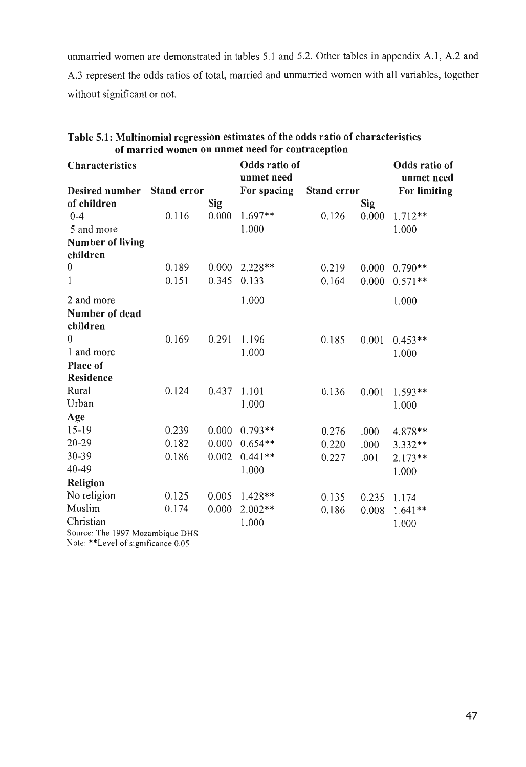unmarried women are demonstrated in tables 5.1 and 5.2. Other tables in appendix A.1, A.2 and A.3 represent the odds ratios of total, married and unmarried women with all variables, together without significant or not.

| <b>Characteristics</b>          |                    |            | Odds ratio of |                    |            | Odds ratio of       |
|---------------------------------|--------------------|------------|---------------|--------------------|------------|---------------------|
|                                 |                    |            | unmet need    |                    |            | unmet need          |
| Desired number                  | <b>Stand error</b> |            | For spacing   | <b>Stand error</b> |            | <b>For limiting</b> |
| of children                     |                    | <b>Sig</b> |               |                    | <b>Sig</b> |                     |
| $0 - 4$                         | 0.116              | 0.000      | 1.697**       | 0.126              | 0.000      | $1.712**$           |
| 5 and more                      |                    |            | 1.000         |                    |            | 1.000               |
| <b>Number of living</b>         |                    |            |               |                    |            |                     |
| children                        |                    |            |               |                    |            |                     |
| $\boldsymbol{0}$                | 0.189              | 0.000      | $2.228**$     | 0.219              | 0.000      | $0.790**$           |
| $\mathbf{1}$                    | 0.151              | 0.345      | 0.133         | 0.164              | 0.000      | $0.571**$           |
| 2 and more                      |                    |            | 1.000         |                    |            | 1.000               |
| Number of dead                  |                    |            |               |                    |            |                     |
| children                        |                    |            |               |                    |            |                     |
| $\Omega$                        | 0.169              | 0.291      | 1.196         | 0.185              | 0.001      | $0.453**$           |
| 1 and more                      |                    |            | 1.000         |                    |            | 1.000               |
| <b>Place of</b>                 |                    |            |               |                    |            |                     |
| <b>Residence</b>                |                    |            |               |                    |            |                     |
| Rural                           | 0.124              | 0.437      | 1.101         | 0.136              | 0.001      | 1.593**             |
| Urban                           |                    |            | 1.000         |                    |            | 1.000               |
| Age                             |                    |            |               |                    |            |                     |
| $15-19$                         | 0.239              | 0.000      | $0.793**$     | 0.276              | .000       | 4.878**             |
| $20 - 29$                       | 0.182              | 0.000      | $0.654**$     | 0.220              | ,000       | 3.332**             |
| 30-39                           | 0.186              | 0.002      | $0.441**$     | 0.227              | .001       | $2.173**$           |
| 40-49                           |                    |            | 1.000         |                    |            | 1.000               |
| Religion                        |                    |            |               |                    |            |                     |
| No religion                     | 0.125              | 0.005      | $1.428**$     | 0.135              | 0.235      | 1.174               |
| Muslim                          | 0.174              | 0.000      | $2.002**$     | 0.186              | 0.008      | $1.641**$           |
| Christian                       |                    |            | 1.000         |                    |            | 1.000               |
| Source: The 1997 Mozambique DHS |                    |            |               |                    |            |                     |

| Table 5.1: Multinomial regression estimates of the odds ratio of characteristics |  |
|----------------------------------------------------------------------------------|--|
| of married women on unmet need for contraception                                 |  |

Note: \*\*Level of significance 0.05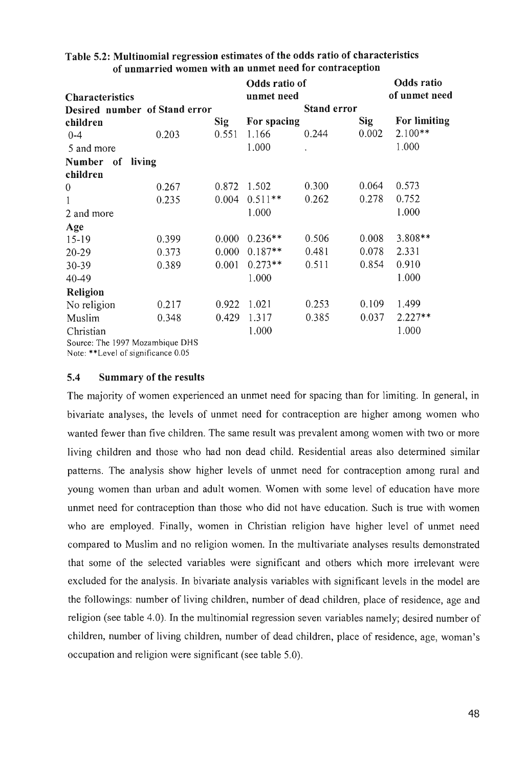| <b>Characteristics</b>          |       |            | Odds ratio of<br>unmet need |                    |            | <b>Odds</b> ratio<br>of unmet need |
|---------------------------------|-------|------------|-----------------------------|--------------------|------------|------------------------------------|
|                                 |       |            |                             | <b>Stand error</b> |            |                                    |
| Desired number of Stand error   |       |            |                             |                    |            |                                    |
| children                        |       | <b>Sig</b> | For spacing                 |                    | <b>Sig</b> | For limiting                       |
| $0 - 4$                         | 0.203 | 0.551      | 1.166                       | 0.244              | 0.002      | $2.100**$                          |
| 5 and more                      |       |            | 1.000                       |                    |            | 1.000                              |
| Number of<br>living             |       |            |                             |                    |            |                                    |
| children                        |       |            |                             |                    |            |                                    |
| $\boldsymbol{0}$                | 0.267 | 0.872      | 1.502                       | 0.300              | 0.064      | 0.573                              |
| $\mathbf{1}$                    | 0.235 | 0.004      | $0.511**$                   | 0.262              | 0.278      | 0.752                              |
| 2 and more                      |       |            | 1.000                       |                    |            | 1.000                              |
| Age                             |       |            |                             |                    |            |                                    |
| $15-19$                         | 0.399 | 0.000      | $0.236**$                   | 0.506              | 0.008      | 3.808**                            |
| 20-29                           | 0.373 | 0.000      | $0.187**$                   | 0.481              | 0.078      | 2.331                              |
| $30 - 39$                       | 0.389 | 0.001      | $0.273**$                   | 0.511              | 0.854      | 0.910                              |
| 40-49                           |       |            | 1.000                       |                    |            | 1.000                              |
| Religion                        |       |            |                             |                    |            |                                    |
| No religion                     | 0.217 | 0.922      | 1.021                       | 0.253              | 0.109      | 1.499                              |
| Muslim                          | 0.348 | 0.429      | 1.317                       | 0.385              | 0.037      | $2.227**$                          |
| Christian                       |       |            | 1.000                       |                    |            | 1.000                              |
| Source: The 1997 Mozambique DHS |       |            |                             |                    |            |                                    |

# Table 5.2: Multinomial regression estimates of the odds ratio of characteristics of unmarried women with an unmet need for contraception

Note: \*\*Level of significance 0.05

# 5.4 Summary of the results

The majority of women experienced an unmet need for spacing than for limiting. In general, in bivariate analyses, the levels of unmet need for contraception are higher among women who wanted fewer than five children. The same result was prevalent among women with two or more living children and those who had non dead child. Residential areas also determined similar patterns. The analysis show higher levels of unmet need for contraception among rural and young women than urban and adult women. Women with some level of education have more unmet need for contraception than those who did not have education. Such is true with women who are employed. Finally, women in Christian religion have higher level of unmet need compared to Muslim and no religion women. In the multivariate analyses results demonstrated that some of the selected variables were significant and others which more irrelevant were excluded for the analysis. In bivariate analysis variables with significant levels in the model are the followings: number of living children, number of dead children, place of residence, age and religion (see table 4.0). In the multinomial regression seven variables namely; desired number of children, number of living children, number of dead children, place of residence, age, woman's occupation and religion were significant (see table 5.0).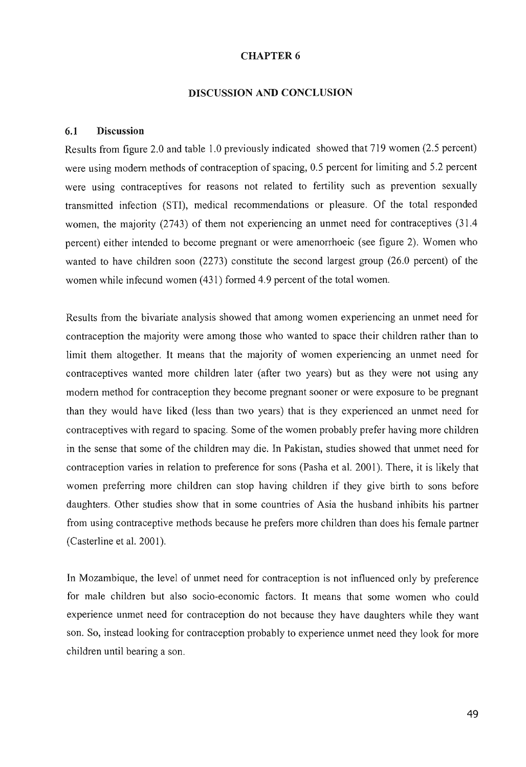#### CHAPTER 6

#### DISCUSSION AND CONCLUSION

#### 6.1 Discussion

Results from figure 2.0 and table 1.0 previously indicated showed that 719 women (2.5 percent) were using modem methods of contraception of spacing, 0.5 percent for limiting and 5.2 percent were using contraceptives for reasons not related to fertility such as prevention sexually transmitted infection (STI), medical recommendations or pleasure. Of the total responded women, the majority (2743) of them not experiencing an unmet need for contraceptives (31.4 percent) either intended to become pregnant or were amenorrhoeic (see figure 2). Women who wanted to have children soon (2273) constitute the second largest group (26.0 percent) of the women while infecund women (431) formed 4.9 percent of the total women.

Results from the bivariate analysis showed that among women experiencing an unmet need for contraception the majority were among those who wanted to space their children rather than to limit them altogether. It means that the majority of women experiencing an unmet need for contraceptives wanted more children later (after two years) but as they were not using any modem method for contraception they become pregnant sooner or were exposure to be pregnant than they would have liked (less than two years) that is they experienced an unmet need for contraceptives with regard to spacing. Some of the women probably prefer having more children in the sense that some of the children may die. In Pakistan, studies showed that unmet need for contraception varies in relation to preference for sons (Pasha et al. 2001). There, it is likely that women preferring more children can stop having children if they give birth to sons before daughters. Other studies show that in some countries of Asia the husband inhibits his partner from using contraceptive methods because he prefers more children than does his female partner (Casterline et al. 2001).

In Mozambique, the level of unmet need for contraception is not influenced only by preference for male children but also socia-economic factors. It means that some women who could experience unmet need for contraception do not because they have daughters while they want son. So, instead looking for contraception probably to experience unmet need they look for more children until bearing a son.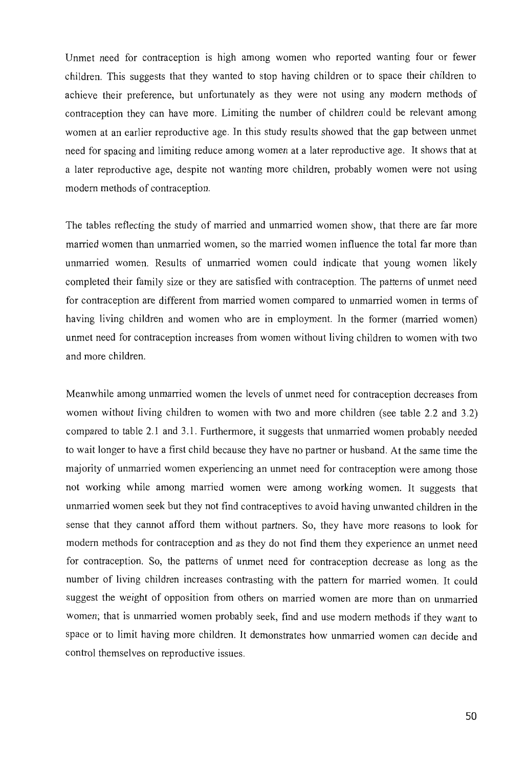Unmet need for contraception is high among women who reported wanting four or fewer children. This suggests that they wanted to stop having children or to space their children to achieve their preference, but unfortunately as they were not using any modern methods of contraception they can have more. Limiting the number of children could be relevant among women at an earlier reproductive age. In this study results showed that the gap between unmet need for spacing and limiting reduce among women at a later reproductive age. It shows that at a later reproductive age, despite not wanting more children, probably women were not using modern methods of contraception.

The tables reflecting the study of married and unmarried women show, that there are far more married women than unmarried women, so the married women influence the total far more than unmarried women. Results of unmarried women could indicate that young women likely completed their family size or they are satisfied with contraception. The patterns of unmet need for contraception are different from married women compared to unmarried women in terms of having living children and women who are in employment. In the former (married women) unmet need for contraception increases from women without living children to women with two and more children.

Meanwhile among unmarried women the levels of unmet need for contraception decreases from women without living children to women with two and more children (see table 2.2 and 3.2) compared to table 2.1 and 3.1. Furthermore, it suggests that unmarried women probably needed to wait longer to have a first child because they have no partner or husband. At the same time the majority of unmarried women experiencing an unmet need for contraception were among those not working while among married women were among working women. It suggests that unmarried women seek but they not find contraceptives to avoid having unwanted children in the sense that they cannot afford them without partners. So, they have more reasons to look for modern methods for contraception and as they do not find them they experience an unmet need for contraception. So, the patterns of unmet need for contraception decrease as long as the number of living children increases contrasting with the pattern for married women. It could suggest the weight of opposition from others on married women are more than on unmarried women; that is unmarried women probably seek, find and use modern methods if they want to space or to limit having more children. It demonstrates how unmarried women can decide and control themselves on reproductive issues.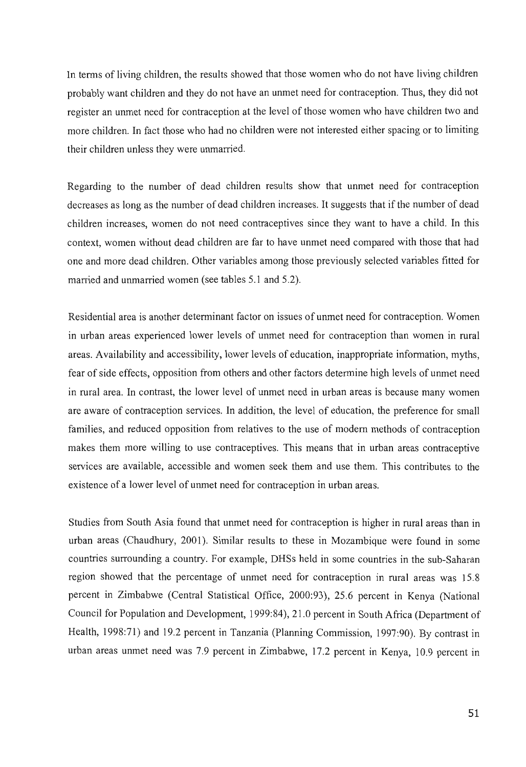In terms of living children, the results showed that those women who do not have living children probably want children and they do not have an unmet need for contraception. Thus, they did not register an unmet need for contraception at the level of those women who have children two and more children. In fact those who had no children were not interested either spacing or to limiting their children unless they were unmarried.

Regarding to the number of dead children results show that unmet need for contraception decreases as long as the number of dead children increases. It suggests that if the number of dead children increases, women do not need contraceptives since they want to have a child. In this context, women without dead children are far to have unmet need compared with those that had one and more dead children. Other variables among those previously selected variables fitted for married and unmarried women (see tables 5.1 and 5.2).

Residential area is another detenninant factor on issues of unmet need for contraception. Women in urban areas experienced lower levels of unmet need for contraception than women in rural areas. Availability and accessibility, lower levels of education, inappropriate information, myths, fear of side effects, opposition from others and other factors detennine high levels of unmet need in rural area. In contrast, the lower level of unmet need in urban areas is because many women are aware of contraception services. In addition, the level of education, the preference for small families, and reduced opposition from relatives to the use of modern methods of contraception makes them more willing to use contraceptives. This means that in urban areas contraceptive services are available, accessible and women seek them and use them. This contributes to the existence of a lower level of unmet need for contraception in urban areas.

Studies from South Asia found that unmet need for contraception is higher in rural areas than in urban areas (Chaudhury, 2001). Similar results to these in Mozambique were found in some countries surrounding a country. For example, DHSs held in some countries in the sub-Saharan region showed that the percentage of unmet need for contraception in rural areas was 15.8 percent in Zimbabwe (Central Statistical Office, 2000:93), 25.6 percent in Kenya (National Council for Population and Development, 1999:84),21.0 percent in South Africa (Department of Health, 1998:71) and 19.2 percent in Tanzania (Planning Commission, 1997:90). By contrast in urban areas unmet need was 7.9 percent in Zimbabwe, 17.2 percent in Kenya, 10.9 percent in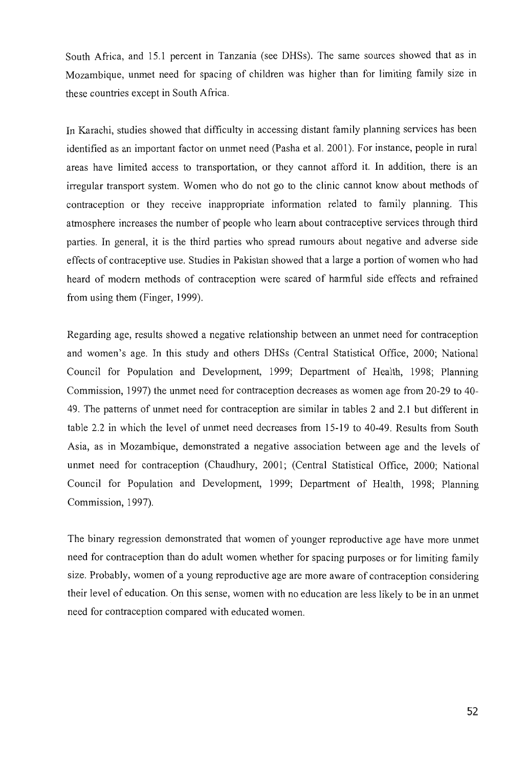South Africa, and 15.1 percent in Tanzania (see DHSs). The same sources showed that as in Mozambique, unmet need for spacing of children was higher than for limiting family size in these countries except in South Africa.

In Karachi, studies showed that difficulty in accessing distant family planning services has been identified as an important factor on unmet need (Pasha et al. 2001). For instance, people in rural areas have limited access to transportation, or they cannot afford it. In addition, there is an irregular transport system. Women who do not go to the clinic cannot know about methods of contraception or they receive inappropriate information related to family planning. This atmosphere increases the number of people who learn about contraceptive services through third parties. In general, it is the third parties who spread rumours about negative and adverse side effects of contraceptive use. Studies in Pakistan showed that a large a portion of women who had heard of modem methods of contraception were scared of harmful side effects and refrained from using them (Finger, 1999).

Regarding age, results showed a negative relationship between an unmet need for contraception and women's age. In this study and others DHSs (Central Statistical Office, 2000; National Council for Population and Development, 1999; Department of Health, 1998; Planning Commission, 1997) the unmet need for contraception decreases as women age from 20-29 to 40- 49. The patterns of unmet need for contraception are similar in tables 2 and 2.1 but different in table 2.2 in which the level of unmet need decreases from 15-19 to 40-49. Results from South Asia, as in Mozambique, demonstrated a negative association between age and the levels of unmet need for contraception (Chaudhury, 2001; (Central Statistical Office, 2000; National Council for Population and Development, 1999; Department of Health, 1998; Planning Commission, 1997).

The binary regression demonstrated that women of younger reproductive age have more unmet need for contraception than do adult women whether for spacing purposes or for limiting family size. Probably, women of a young reproductive age are more aware of contraception considering their level of education. On this sense, women with no education are less likely to be in an unmet need for contraception compared with educated women.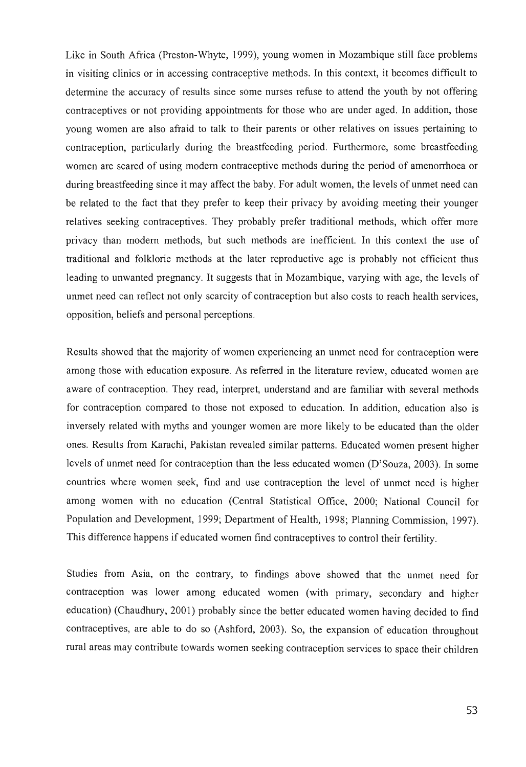Like in South Africa (Preston-Whyte, 1999), young women in Mozambique still face problems in visiting clinics or in accessing contraceptive methods. In this context, it becomes difficult to determine the accuracy of results since some nurses refuse to attend the youth by not offering contraceptives or not providing appointments for those who are under aged. In addition, those young women are also afraid to talk to their parents or other relatives on issues pertaining to contraception, particularly during the breastfeeding period. Furthermore, some breastfeeding women are scared of using modem contraceptive methods during the period of amenorrhoea or during breastfeeding since it may affect the baby. For adult women, the levels of unmet need can be related to the fact that they prefer to keep their privacy by avoiding meeting their younger relatives seeking contraceptives. They probably prefer traditional methods, which offer more privacy than modem methods, but such methods are inefficient. In this context the use of traditional and folkloric methods at the later reproductive age is probably not efficient thus leading to unwanted pregnancy. It suggests that in Mozambique, varying with age, the levels of unmet need can reflect not only scarcity of contraception but also costs to reach health services, opposition, beliefs and personal perceptions.

Results showed that the majority of women experiencing an unmet need for contraception were among those with education exposure. As referred in the literature review, educated women are aware of contraception. They read, interpret, understand and are familiar with several methods for contraception compared to those not exposed to education. In addition, education also is inversely related with myths and younger women are more likely to be educated than the older ones. Results from Karachi, Pakistan revealed similar patterns. Educated women present higher levels of unmet need for contraception than the less educated women (D'Souza, 2003). In some countries where women seek, find and use contraception the level of unmet need is higher among women with no education (Central Statistical Office, 2000; National Council for Population and Development, 1999; Department of Health, 1998; Planning Commission, 1997). This difference happens if educated women find contraceptives to control their fertility.

Studies from Asia, on the contrary, to findings above showed that the unmet need for contraception was lower among educated women (with primary, secondary and higher education) (Chaudhury, 2001) probably since the better educated women having decided to find contraceptives, are able to do so (Ashford, 2003). So, the expansion of education throughout rural areas may contribute towards women seeking contraception services to space their children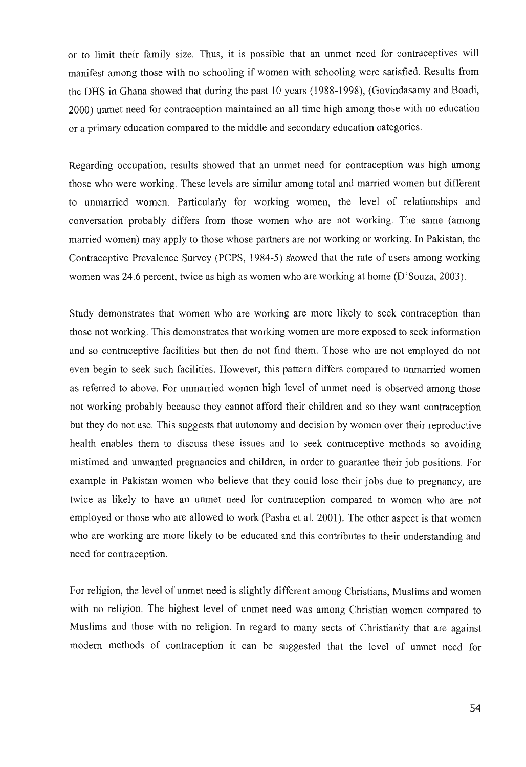or to limit their family size. Thus, it is possible that an unmet need for contraceptives will manifest among those with no schooling if women with schooling were satisfied. Results from the DHS in Ghana showed that during the past 10 years (1988-1998), (Govindasamy and Boadi, 2000) unmet need for contraception maintained an all time high among those with no education or a primary education compared to the middle and secondary education categories.

Regarding occupation, results showed that an unmet need for contraception was high among those who were working. These levels are similar among total and married women but different to unmarried women. Particularly for working women, the level of relationships and conversation probably differs from those women who are not working. The same (among married women) may apply to those whose partners are not working or working. In Pakistan, the Contraceptive Prevalence Survey (PCPS, 1984-5) showed that the rate of users among working women was 24.6 percent, twice as high as women who are working at home (D'Souza, 2003).

Study demonstrates that women who are working are more likely to seek contraception than those not working. This demonstrates that working women are more exposed to seek information and so contraceptive facilities but then do not find them. Those who are not employed do not even begin to seek such facilities. However, this pattern differs compared to unmarried women as referred to above. For unmarried women high level of unmet need is observed among those not working probably because they cannot afford their children and so they want contraception but they do not use. This suggests that autonomy and decision by women over their reproductive health enables them to discuss these issues and to seek contraceptive methods so avoiding mistimed and unwanted pregnancies and children, in order to guarantee their job positions. For example in Pakistan women who believe that they could lose their jobs due to pregnancy, are twice as likely to have an unmet need for contraception compared to women who are not employed or those who are allowed to work (Pasha et al. 2001). The other aspect is that women who are working are more likely to be educated and this contributes to their understanding and need for contraception.

For religion, the level of unmet need is slightly different among Christians, Muslims and women with no religion. The highest level of unmet need was among Christian women compared to Muslims and those with no religion. In regard to many sects of Christianity that are against modern methods of contraception it can be suggested that the level of unmet need for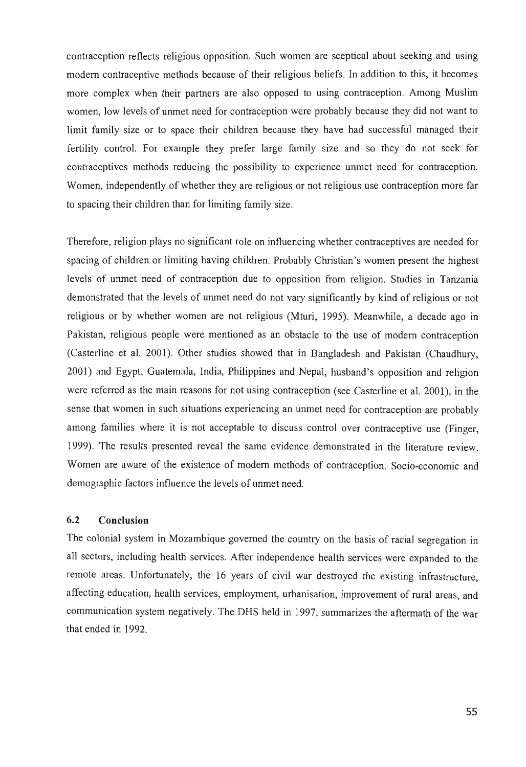contraception reflects religious opposition. Such women are sceptical about seeking and using modem contraceptive methods because of their religious beliefs. In addition to this, it becomes more complex when their partners are also opposed to using contraception. Among Muslim women, low levels of unmet need for contraception were probably because they did not want to limit family size or to space their children because they have had successful managed their fertility control. For example they prefer large family size and so they do not seek for contraceptives methods reducing the possibility to experience unmet need for contraception. Women, independently of whether they are religious or not religious use contraception more far to spacing their children than for limiting family size.

Therefore, religion plays no significant role on influencing whether contraceptives are needed for spacing of children or limiting having children. Probably Christian's women present the highest levels of unmet need of contraception due to opposition from religion. Studies in Tanzania demonstrated that the levels of unmet need do not vary significantly by kind of religious or not religious or by whether women are not religious (Mturi, 1995). Meanwhile, a decade ago in Pakistan, religious people were mentioned as an obstacle to the use of modem contraception (Casterline et al. 2001). Other studies showed that in Bangladesh and Pakistan (Chaudhury, 2001) and Egypt, Guatemala, India, Philippines and Nepal, husband's opposition and religion were referred as the main reasons for not using contraception (see Casterline et al. 2001), in the sense that women in such situations experiencing an unmet need for contraception are probably among families where it is not acceptable to discuss control over contraceptive use (Finger, 1999). The results presented reveal the same evidence demonstrated in the literature review. Women are aware of the existence of modem methods of contraception. Socio-economic and demographic factors influence the levels of unmet need.

# **6.2 Conclusion**

The colonial system in Mozambique governed the country on the basis of racial segregation in all sectors, including health services. After independence health services were expanded to the remote areas. Unfortunately, the 16 years of civil war destroyed the existing infrastructure, affecting education, health services, employment, urbanisation, improvement of rural areas, and communication system negatively. The DRS held in 1997, summarizes the aftermath of the war that ended in 1992.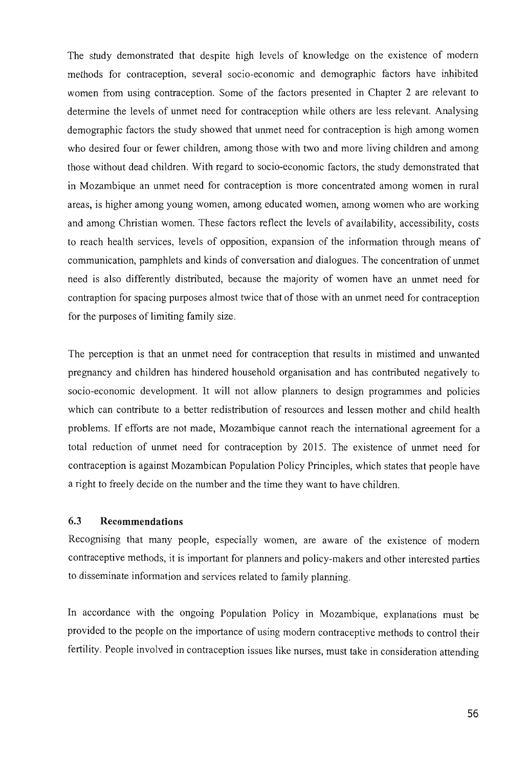The study demonstrated that despite high levels of knowledge on the existence of modem methods for contraception, several socio-economic and demographic factors have inhibited women from using contraception. Some of the factors presented in Chapter 2 are relevant to determine the levels of unmet need for contraception while others are less relevant. Analysing demographic factors the study showed that unmet need for contraception is high among women who desired four or fewer children, among those with two and more living children and among those without dead children. With regard to socio-economic factors, the study demonstrated that in Mozambique an unmet need for contraception is more concentrated among women in rural areas, is higher among young women, among educated women, among women who are working and among Christian women. These factors reflect the levels of availability, accessibility, costs to reach health services, levels of opposition, expansion of the information through means of communication, pamphlets and kinds of conversation and dialogues. The concentration of unmet need is also differently distributed, because the majority of women have an unmet need for contraption for spacing purposes almost twice that of those with an unmet need for contraception for the purposes of limiting family size.

The perception is that an unmet need for contraception that results in mistimed and unwanted pregnancy and children has hindered household organisation and has contributed negatively to socio-economic development. It will not allow planners to design programmes and policies which can contribute to a better redistribution of resources and lessen mother and child health problems. If efforts are not made, Mozambique cannot reach the international agreement for a total reduction of unmet need for contraception by 2015. The existence of unmet need for contraception is against Mozambican Population Policy Principles, which states that people have a right to freely decide on the number and the time they want to have children.

## 6.3 Recommendations

Recognising that many people, especially women, are aware of the existence of modem contraceptive methods, it is important for planners and policy-makers and other interested parties to disseminate information and services related to family planning.

In accordance with the ongoing Population Policy in Mozambique, explanations must be provided to the people on the importance of using modem contraceptive methods to control their fertility. People involved in contraception issues like nurses, must take in consideration attending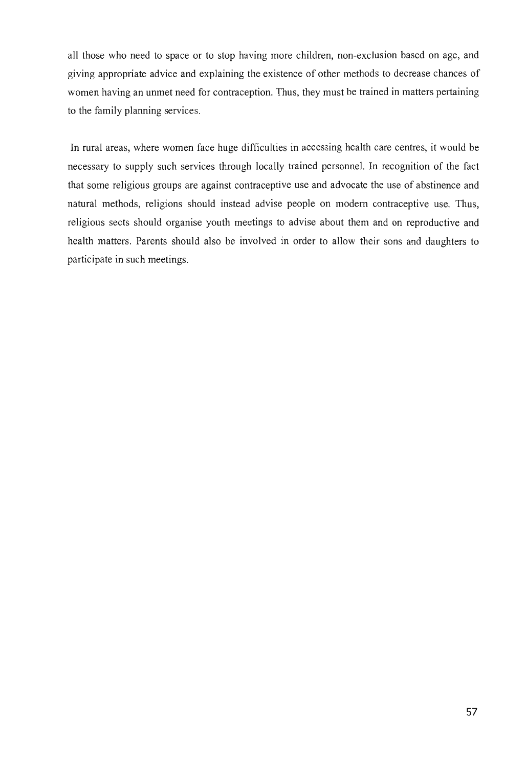all those who need to space or to stop having more children, non-exclusion based on age, and giving appropriate advice and explaining the existence of other methods to decrease chances of women having an unmet need for contraception. Thus, they must be trained in matters pertaining to the family planning services.

In rural areas, where women face huge difficulties in accessing health care centres, it would be necessary to supply such services through locally trained personnel. In recognition of the fact that some religious groups are against contraceptive use and advocate the use of abstinence and natural methods, religions should instead advise people on modem contraceptive use. Thus, religious sects should organise youth meetings to advise about them and on reproductive and health matters. Parents should also be involved in order to allow their sons and daughters to participate in such meetings.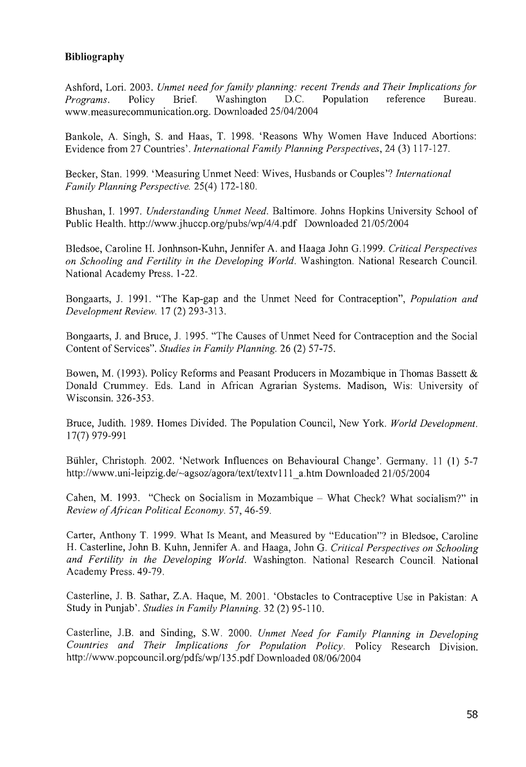# **Bibliography**

Ashford, Lori. 2003. *Unmet need for family planning: recent Trends and Their Implications for Programs.* Policy Brief. Washington D.C. Population reference Bureau. www.measurecommunication.org. Downloaded *25/0412004* 

Bankole, A. Singh, S. and Haas, T. 1998. 'Reasons Why Women Have Induced Abortions: Evidence from 27 Countries'. *International Family Planning Perspectives,* 24 (3) 117-127.

Becker, Stan. 1999. 'Measuring Unmet Need: Wives, Husbands or Couples'? *International Family Planning Perspective.* 25(4) 172-180.

Bhushan,1. 1997. *Understanding Unmet Need.* Baltimore. Johns Hopkins University School of Public Health. http://www.jhuccp.org/pubs/wp/4/4.pdf Downloaded 21/05/2004

Bledsoe, Caroline H. Jonhnson-Kuhn, Jennifer A. and Haaga John G.1999. *Critical Perspectives on Schooling and Fertility in the Developing World.* Washington. National Research Council. National Academy Press. 1-22.

Bongaarts, J. 1991. "The Kap-gap and the Unmet Need for Contraception", *Population and Development Review.* 17 (2) 293-313.

Bongaarts, J. and Bruce, J. 1995. "The Causes of Unmet Need for Contraception and the Social Content of Services". *Studies in Family Planning.* 26 (2) 57-75.

Bowen, M. (1993). Policy Reforms and Peasant Producers in Mozambique in Thomas Bassett & Donald Crummey. Eds. Land in African Agrarian Systems. Madison, Wis: University of Wisconsin. 326-353 .

Bruce, Judith. 1989. Homes Divided. The Population Council, New York. *World Development.*  17(7) 979-991

Biihler, Christoph. 2002. 'Network Influences on Behavioural Change'. Germany. 11 (1) 5-7 http://www.uni-leipzig.de/~agsoz/agora/text/textv111 a.htm Downloaded 21/05/2004

Cahen, M. 1993. "Check on Socialism in Mozambique - What Check? What socialism?" in *Review of African Political Economy.* 57,46-59.

Carter, Anthony T. 1999. What Is Meant, and Measured by "Education"? in Bledsoe, Caroline H. Casterline, John B. Kuhn, Jennifer A. and Haaga, John G. *Critical Perspectives on Schooling and Fertility in the Developing World.* Washington. National Research Council. National Academy Press. 49-79.

Casterline, J. B. Sathar, Z.A. Haque, M. 2001. 'Obstacles to Contraceptive Use in Pakistan: A Study in Punjab'. *Studies in Family Planning.* 32 (2) 95-110.

Casterline, J.B. and Sinding, S.W. 2000. *Unmet Need for Family Planning in Developing Countries and Their Implications for Population Policy.* Policy Research Division. *http://www* . popcouncil. orglpdfs/wpl13 5. pdf Downloaded *08/06/2004*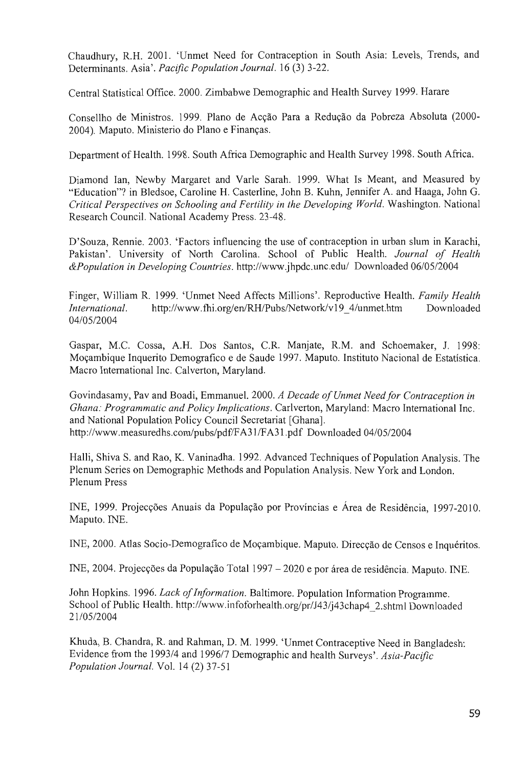Chaudhury, RH. 2001. 'Unmet Need for Contraception in South Asia: Levels, Trends, and Determinants. Asia'. *Pacific Population Journal.* 16 (3) 3-22.

Central Statistical Office. 2000. Zimbabwe Demographic and Health Survey 1999. Harare

Consellho de Ministros. 1999. Plano de Acção Para a Redução da Pobreza Absoluta (2000-2004). Maputo. Ministerio do Plano e Finanyas.

Department of Health. 1998. South Africa Demographic and Health Survey 1998. South Africa.

Diamond Ian, Newby Margaret and Varle Sarah. 1999. What Is Meant, and Measured by "Education"? in Bledsoe, Caroline H. Casterline, John B. Kuhn, Jennifer A. and Haaga, John G. *Critical Perspectives on Schooling and Fertility in the Developing World.* Washington. National Research Council. National Academy Press. 23-48.

D'Souza, Rennie. 2003. 'Factors influencing the use of contraception in urban slum in Karachi, Pakistan'. University of North Carolina. School of Public Health. *Journal of Health &Population in Developing Countries.* http://www.jhpdc.unc.edu/ Downloaded *0610512004* 

Finger, William R 1999. 'Unmet Need Affects Millions' . Reproductive Health. *Family Health International.* http://www.fhi.org/en/RH/Pubs/Network/v19 4/unmet.htm Downloaded *04/0512004* 

Gaspar, M.C. Cossa, A.H. Dos Santos, C.R Manjate, RM. and Schoemaker, J. 1998: M09ambique Inquerito Demografico e de Saude 1997. Maputo. Instituto Nacional de Estatistica. Macro International Inc. Calverton, Maryland.

Govindasamy, Pav and Boadi, Emmanuel. 2000. *A Decade of Unmet Need for Contraception in Ghana: Programmatic and Policy Implications. Carlverton, Maryland: Macro International Inc.* and National Population Policy Council Secretariat [Ghana]. http://www.measuredhs.com/pubs/pdf/F A31 *IF* A31. pdf Downloaded *04/05/2004* 

Halli, Shiva S. and Rao, K. Vaninadha. 1992. Advanced Techniques of Population Analysis. The Plenum Series on Demographic Methods and Population Analysis. New York and London. Plenum Press

INE, 1999. Projecções Anuais da População por Províncias e Área de Residência, 1997-2010. Maputo. INE.

INE, 2000. Atlas Socio-Demografico de Moçambique. Maputo. Direcção de Censos e Inquéritos.

INE, 2004. Projecções da População Total 1997 – 2020 e por área de residência. Maputo. INE.

John Hopkins. 1996. *Lack of Information.* Baltimore. Population Information Programme. School of Public Health. http://www.infoforhealth.org/pr/J43/j43chap4\_2.shtml Downloaded *2110512004* 

Khuda, B. Chandra, R. and Rahman, D. M. 1999. 'Unmet Contraceptive Need in Bangladesh: Evidence from the *1993/4* and *199617* Demographic and health Surveys'. *Asia-Pacific Population Journal.* Vol. 14 (2) 37-51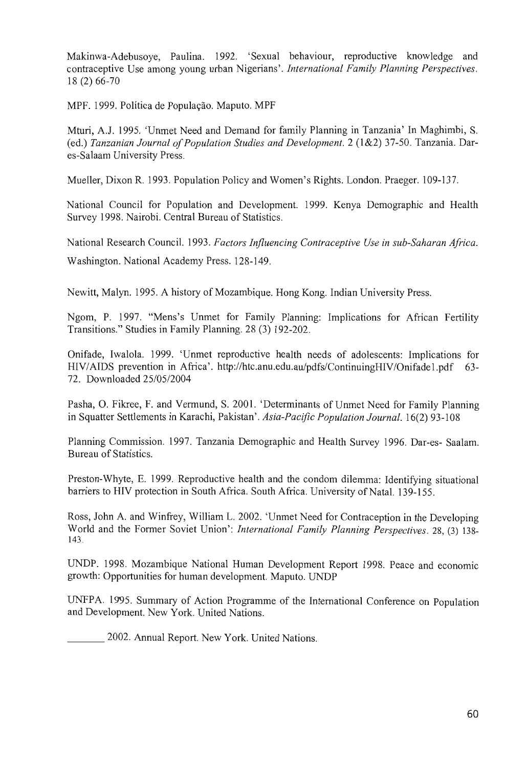Makinwa-Adebusoye, Paulina. 1992. 'Sexual behaviour, reproductive knowledge and contraceptive Use among young urban Nigerians'. *International Family Planning Perspectives.*  18 (2) 66-70

MPF. 1999. Política de População. Maputo. MPF

Mturi, AJ. 1995. 'Unmet Need and Demand for family Planning in Tanzania' In Maghimbi, S. (ed.) *Tanzanian Journal of Population Studies and Development.* 2 (1&2) 37-50. Tanzania. Dares-Salaam University Press.

Mueller, Dixon R. 1993. Population Policy and Women's Rights. London. Praeger. 109-137.

National Council for Population and Development. 1999. Kenya Demographic and Health Survey 1998. Nairobi. Central Bureau of Statistics.

National Research Council. 1993. *Factors Influencing Contraceptive Use in sub-Saharan Africa.*  Washington. National Academy Press. 128-149.

Newitt, Malyn. 1995. A history of Mozambique. Hong Kong. Indian University Press.

Ngom, P. 1997. "Mens's Unmet for Family Planning: Implications for African Fertility Transitions." Studies in Family Planning. 28 (3) 192-202.

Onifade, Iwalola. 1999. 'Unmet reproductive health needs of adolescents: Implications for HIV/AIDS prevention in Africa'. http://htc.anu.edu.au/pdfs/ContinuingHIV/Onifade1.pdf 63- 72. Downloaded *25/05/2004* 

Pasha, O. Fikree, F. and Vermund, S. 2001. 'Determinants of Unmet Need for Family Planning in Squatter Settlements in Karachi, Pakistan'. *ASia-Pacific Population Journal.* 16(2) 93-108

Planning Commission. 1997. Tanzania Demographic and Health Survey 1996. Dar-es- Saalam. Bureau of Statistics.

Preston-Whyte, E. 1999. Reproductive health and the condom dilemma: Identifying situational barriers to HIV protection in South Africa. South Africa. University of Natal. 139-155.

Ross, John A. and Winfrey, William L. 2002. 'Unmet Need for Contraception in the Developing World and the Former Soviet Union': *International Family Planning Perspectives.* 28, (3) 138- 143.

UNDP. 1998. Mozambique National Human Development Report 1998. Peace and economic growth: Opportunities for human development. Maputo. UNDP

UNFPA. 1995. Summary of Action Programme of the International Conference on Population and Development. New York. United Nations.

2002. Annual Report. New York. United Nations.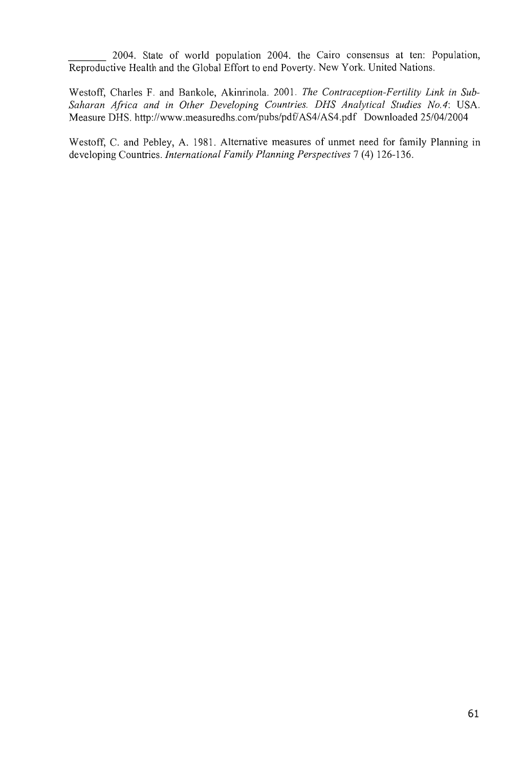2004. State of world population 2004. the Cairo consensus at ten: Population, Reproductive Health and the Global Effort to end Poverty. New York. United Nations.

Westoff, Charles F. and Bankole, Akinrinola. 2001. *The Contraception-Fertility Link in Sub-*Saharan Africa and in Other Developing Countries. DHS Analytical Studies No.4: USA. Measure DHS. http://www.measuredhs.com/pubs/pdf/AS4/AS4.pdf Downloaded 25/04/2004

Westoff, C. and Pebley, A. 1981. Alternative measures of unmet need for family Planning in developing Countries. *International Family Planning Perspectives* 7 (4) 126-136.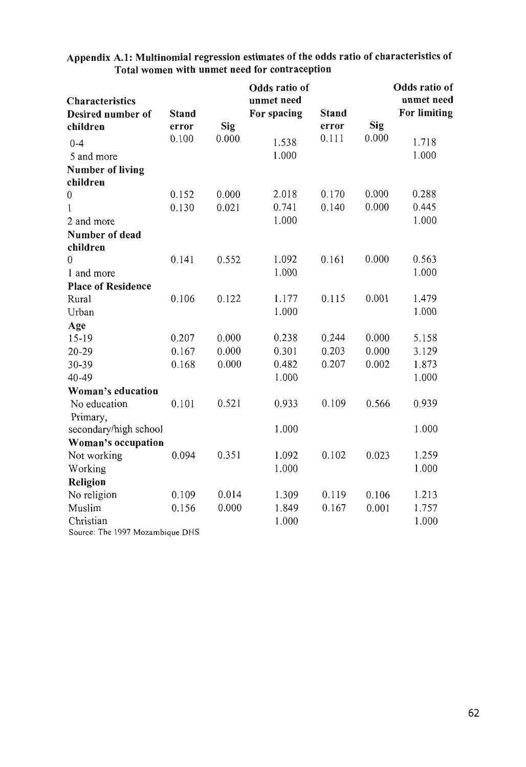|                           |              |            | Odds ratio of |              |            | Odds ratio of |
|---------------------------|--------------|------------|---------------|--------------|------------|---------------|
| <b>Characteristics</b>    |              |            | unmet need    |              |            | unmet need    |
| Desired number of         | <b>Stand</b> |            | For spacing   | <b>Stand</b> |            | For limiting  |
| children                  | error        | <b>Sig</b> |               | error        | <b>Sig</b> |               |
| $0 - 4$                   | 0.100        | 0.000      | 1.538         | 0.111        | 0.000      | 1.718         |
| 5 and more                |              |            | 1.000         |              |            | 1.000         |
| <b>Number of living</b>   |              |            |               |              |            |               |
| children                  |              |            |               |              |            |               |
| $\overline{0}$            | 0.152        | 0.000      | 2.018         | 0.170        | 0.000      | 0.288         |
| 1                         | 0.130        | 0.021      | 0.741         | 0.140        | 0.000      | 0.445         |
| 2 and more                |              |            | 1.000         |              |            | 1.000         |
| Number of dead            |              |            |               |              |            |               |
| children                  |              |            |               |              |            |               |
| $\boldsymbol{0}$          | 0.141        | 0.552      | 1.092         | 0.161        | 0.000      | 0.563         |
| 1 and more                |              |            | 1.000         |              |            | 1.000         |
| <b>Place of Residence</b> |              |            |               |              |            |               |
| Rural                     | 0.106        | 0.122      | 1.177         | 0.115        | 0.001      | 1.479         |
| Urban                     |              |            | 1.000         |              |            | 1.000         |
| Age                       |              |            |               |              |            |               |
| 15-19                     | 0.207        | 0.000      | 0.238         | 0.244        | 0.000      | 5.158         |
| $20 - 29$                 | 0.167        | 0.000      | 0.301         | 0.203        | 0.000      | 3.129         |
| 30-39                     | 0.168        | 0.000      | 0.482         | 0.207        | 0.002      | 1.873         |
| 40-49                     |              |            | 1.000         |              |            | 1.000         |
| Woman's education         |              |            |               |              |            |               |
| No education              | 0.101        | 0.521      | 0.933         | 0.109        | 0.566      | 0.939         |
| Primary,                  |              |            |               |              |            |               |
| secondary/high school     |              |            | 1.000         |              |            | 1.000         |
| Woman's occupation        |              |            |               |              |            |               |
| Not working               | 0.094        | 0.351      | 1.092         | 0.102        | 0.023      | 1.259         |
| Working                   |              |            | 1.000         |              |            | 1.000         |
| Religion                  |              |            |               |              |            |               |
| No religion               | 0.109        | 0.014      | 1.309         | 0.119        | 0.106      | 1.213         |
| Muslim                    | 0.156        | 0.000      | 1.849         | 0.167        | 0.001      | 1.757         |
| Christian                 |              |            | 1.000         |              |            | 1.000         |

**Appendix A.1: Multinomial regression estimates ofthe odds ratio of characteristics of Total women with unmet need for contraception** 

Source: The 1997 Mozambique DHS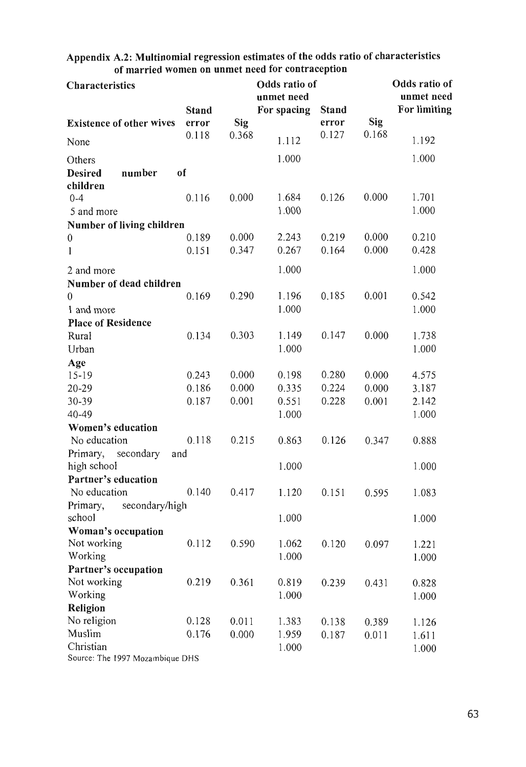| <u>ul married wullen un unifier need for contraccipitum</u> |                |              |                |                |              | Odds ratio of |
|-------------------------------------------------------------|----------------|--------------|----------------|----------------|--------------|---------------|
| <b>Characteristics</b>                                      |                |              |                | Odds ratio of  |              |               |
|                                                             |                |              | unmet need     |                |              | unmet need    |
|                                                             | <b>Stand</b>   |              | For spacing    | <b>Stand</b>   |              | For limiting  |
| <b>Existence of other wives</b>                             | error<br>0.118 | Sig<br>0.368 |                | error<br>0.127 | Sig<br>0.168 |               |
| None                                                        |                |              | 1.112          |                |              | 1.192         |
| Others                                                      |                |              | 1.000          |                |              | 1.000         |
| <b>Desired</b><br>number                                    | of             |              |                |                |              |               |
| children                                                    |                |              |                |                |              |               |
| $0 - 4$                                                     | 0.116          | 0.000        | 1.684          | 0.126          | 0.000        | 1.701         |
| 5 and more                                                  |                |              | 1.000          |                |              | 1.000         |
| Number of living children                                   |                |              |                |                |              |               |
| $\boldsymbol{0}$                                            | 0.189          | 0.000        | 2.243          | 0.219          | 0.000        | 0.210         |
| 1                                                           | 0.151          | 0.347        | 0.267          | 0.164          | 0.000        | 0.428         |
| 2 and more                                                  |                |              | 1.000          |                |              | 1.000         |
| Number of dead children                                     |                |              |                |                |              |               |
| $\theta$                                                    | 0.169          | 0.290        | 1.196          | 0.185          | 0.001        | 0.542         |
| 1 and more                                                  |                |              | 1.000          |                |              | 1.000         |
| <b>Place of Residence</b>                                   |                |              |                |                |              |               |
| Rural                                                       | 0.134          | 0.303        | 1.149          | 0.147          | 0.000        | 1.738         |
| Urban                                                       |                |              | 1.000          |                |              | 1.000         |
| Age                                                         |                |              |                |                |              |               |
| $15 - 19$                                                   | 0.243          | 0.000        | 0.198          | 0.280          | 0.000        | 4.575         |
| $20 - 29$                                                   | 0.186          | 0.000        | 0.335          | 0.224          | 0.000        | 3.187         |
| 30-39                                                       | 0.187          | 0.001        | 0.551          | 0.228          | 0.001        | 2.142         |
| 40-49                                                       |                |              | 1.000          |                |              | 1.000         |
| Women's education                                           |                |              |                |                |              |               |
| No education                                                | 0.118          | 0.215        | 0.863          | 0.126          | 0.347        | 0.888         |
| Primary, secondary                                          | and            |              |                |                |              |               |
| high school                                                 |                |              | 1.000          |                |              | 1.000         |
| Partner's education                                         |                |              |                |                |              |               |
| No education                                                | 0.140          | 0.417        | 1.120          | 0.151          | 0.595        | 1.083         |
| Primary,<br>secondary/high                                  |                |              |                |                |              |               |
| school                                                      |                |              | 1.000          |                |              | 1.000         |
| Woman's occupation                                          |                |              |                |                |              |               |
| Not working                                                 | 0.112          | 0.590        | 1.062          | 0.120          | 0.097        | 1.221         |
| Working                                                     |                |              | 1.000          |                |              | 1.000         |
| Partner's occupation                                        |                |              |                |                |              |               |
| Not working                                                 | 0.219          | 0.361        | 0.819          | 0.239          | 0.431        | 0.828         |
| Working<br>Religion                                         |                |              | 1.000          |                |              | 1.000         |
| No religion                                                 | 0.128          | 0.011        |                |                |              |               |
| Muslim                                                      | 0.176          | 0.000        | 1.383<br>1.959 | 0.138          | 0.389        | 1.126         |
| Christian                                                   |                |              | 1.000          | 0.187          | 0.011        | 1.611         |
|                                                             |                |              |                |                |              | 1.000         |

Appendix A.2: Multinomial regression estimates of the odds ratio of characteristics of married women on unmet need for contraception

Source: The 1997 Mozambique DHS